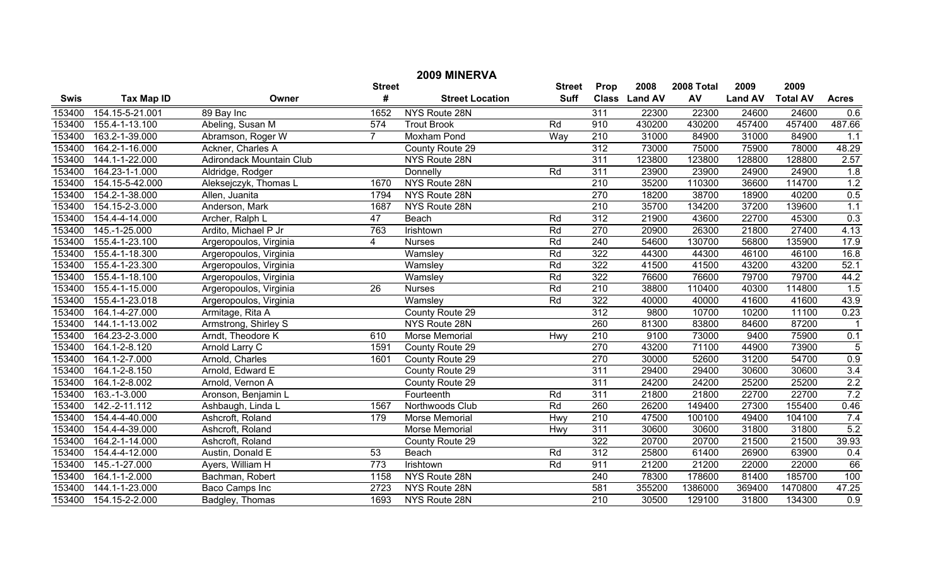| 2009 MINERVA |                   |                                 |                |                        |               |                  |                |            |                |                 |              |
|--------------|-------------------|---------------------------------|----------------|------------------------|---------------|------------------|----------------|------------|----------------|-----------------|--------------|
|              |                   |                                 | <b>Street</b>  |                        | <b>Street</b> | Prop             | 2008           | 2008 Total | 2009           | 2009            |              |
| <b>Swis</b>  | <b>Tax Map ID</b> | Owner                           | #              | <b>Street Location</b> | <b>Suff</b>   | <b>Class</b>     | <b>Land AV</b> | AV         | <b>Land AV</b> | <b>Total AV</b> | <b>Acres</b> |
| 153400       | 154.15-5-21.001   | 89 Bay Inc                      | 1652           | NYS Route 28N          |               | 311              | 22300          | 22300      | 24600          | 24600           | 0.6          |
| 153400       | 155.4-1-13.100    | Abeling, Susan M                | 574            | <b>Trout Brook</b>     | Rd            | 910              | 430200         | 430200     | 457400         | 457400          | 487.66       |
| 153400       | 163.2-1-39.000    | Abramson, Roger W               | $\overline{7}$ | Moxham Pond            | Way           | 210              | 31000          | 84900      | 31000          | 84900           | 1.1          |
| 153400       | 164.2-1-16.000    | Ackner, Charles A               |                | County Route 29        |               | $\overline{312}$ | 73000          | 75000      | 75900          | 78000           | 48.29        |
| 153400       | 144.1-1-22.000    | <b>Adirondack Mountain Club</b> |                | NYS Route 28N          |               | 311              | 123800         | 123800     | 128800         | 128800          | 2.57         |
| 153400       | 164.23-1-1.000    | Aldridge, Rodger                |                | Donnelly               | Rd            | 311              | 23900          | 23900      | 24900          | 24900           | 1.8          |
| 153400       | 154.15-5-42.000   | Aleksejczyk, Thomas L           | 1670           | NYS Route 28N          |               | 210              | 35200          | 110300     | 36600          | 114700          | 1.2          |
| 153400       | 154.2-1-38.000    | Allen, Juanita                  | 1794           | NYS Route 28N          |               | 270              | 18200          | 38700      | 18900          | 40200           | 0.5          |
| 153400       | 154.15-2-3.000    | Anderson, Mark                  | 1687           | NYS Route 28N          |               | 210              | 35700          | 134200     | 37200          | 139600          | 1.1          |
| 153400       | 154.4-4-14.000    | Archer, Ralph L                 | 47             | Beach                  | Rd            | $\overline{312}$ | 21900          | 43600      | 22700          | 45300           | 0.3          |
| 153400       | 145.-1-25.000     | Ardito, Michael P Jr            | 763            | Irishtown              | Rd            | 270              | 20900          | 26300      | 21800          | 27400           | 4.13         |
| 153400       | 155.4-1-23.100    | Argeropoulos, Virginia          | 4              | <b>Nurses</b>          | Rd            | 240              | 54600          | 130700     | 56800          | 135900          | 17.9         |
| 153400       | 155.4-1-18.300    | Argeropoulos, Virginia          |                | Wamsley                | Rd            | 322              | 44300          | 44300      | 46100          | 46100           | 16.8         |
| 153400       | 155.4-1-23.300    | Argeropoulos, Virginia          |                | Wamsley                | Rd            | 322              | 41500          | 41500      | 43200          | 43200           | 52.1         |
| 153400       | 155.4-1-18.100    | Argeropoulos, Virginia          |                | Wamsley                | Rd            | $\overline{322}$ | 76600          | 76600      | 79700          | 79700           | 44.2         |
| 153400       | 155.4-1-15.000    | Argeropoulos, Virginia          | 26             | <b>Nurses</b>          | Rd            | 210              | 38800          | 110400     | 40300          | 114800          | 1.5          |
| 153400       | 155.4-1-23.018    | Argeropoulos, Virginia          |                | Wamsley                | Rd            | 322              | 40000          | 40000      | 41600          | 41600           | 43.9         |
| 153400       | 164.1-4-27.000    | Armitage, Rita A                |                | County Route 29        |               | 312              | 9800           | 10700      | 10200          | 11100           | 0.23         |
| 153400       | 144.1-1-13.002    | Armstrong, Shirley S            |                | NYS Route 28N          |               | 260              | 81300          | 83800      | 84600          | 87200           |              |
| 153400       | 164.23-2-3.000    | Arndt, Theodore K               | 610            | Morse Memorial         | Hwy           | 210              | 9100           | 73000      | 9400           | 75900           | 0.1          |
| 153400       | 164.1-2-8.120     | Arnold Larry C                  | 1591           | County Route 29        |               | 270              | 43200          | 71100      | 44900          | 73900           | $\sqrt{5}$   |
| 153400       | 164.1-2-7.000     | Arnold, Charles                 | 1601           | County Route 29        |               | 270              | 30000          | 52600      | 31200          | 54700           | 0.9          |
| 153400       | 164.1-2-8.150     | Arnold, Edward E                |                | County Route 29        |               | 311              | 29400          | 29400      | 30600          | 30600           | 3.4          |
| 153400       | 164.1-2-8.002     | Arnold, Vernon A                |                | County Route 29        |               | 311              | 24200          | 24200      | 25200          | 25200           | 2.2          |
| 153400       | 163.-1-3.000      | Aronson, Benjamin L             |                | Fourteenth             | Rd            | 311              | 21800          | 21800      | 22700          | 22700           | 7.2          |
| 153400       | 142.-2-11.112     | Ashbaugh, Linda L               | 1567           | Northwoods Club        | Rd            | 260              | 26200          | 149400     | 27300          | 155400          | 0.46         |
| 153400       | 154.4-4-40.000    | Ashcroft, Roland                | 179            | <b>Morse Memorial</b>  | Hwy           | 210              | 47500          | 100100     | 49400          | 104100          | 7.4          |
| 153400       | 154.4-4-39.000    | Ashcroft, Roland                |                | Morse Memorial         | Hwy           | 311              | 30600          | 30600      | 31800          | 31800           | 5.2          |
| 153400       | 164.2-1-14.000    | Ashcroft, Roland                |                | County Route 29        |               | 322              | 20700          | 20700      | 21500          | 21500           | 39.93        |
| 153400       | 154.4-4-12.000    | Austin, Donald E                | 53             | Beach                  | Rd            | 312              | 25800          | 61400      | 26900          | 63900           | 0.4          |
| 153400       | 145.-1-27.000     | Ayers, William H                | 773            | Irishtown              | Rd            | 911              | 21200          | 21200      | 22000          | 22000           | 66           |
| 153400       | 164.1-1-2.000     | Bachman, Robert                 | 1158           | NYS Route 28N          |               | 240              | 78300          | 178600     | 81400          | 185700          | 100          |
| 153400       | 144.1-1-23.000    | Baco Camps Inc                  | 2723           | NYS Route 28N          |               | 581              | 355200         | 1386000    | 369400         | 1470800         | 47.25        |
| 153400       | 154.15-2-2.000    | Badgley, Thomas                 | 1693           | NYS Route 28N          |               | 210              | 30500          | 129100     | 31800          | 134300          | 0.9          |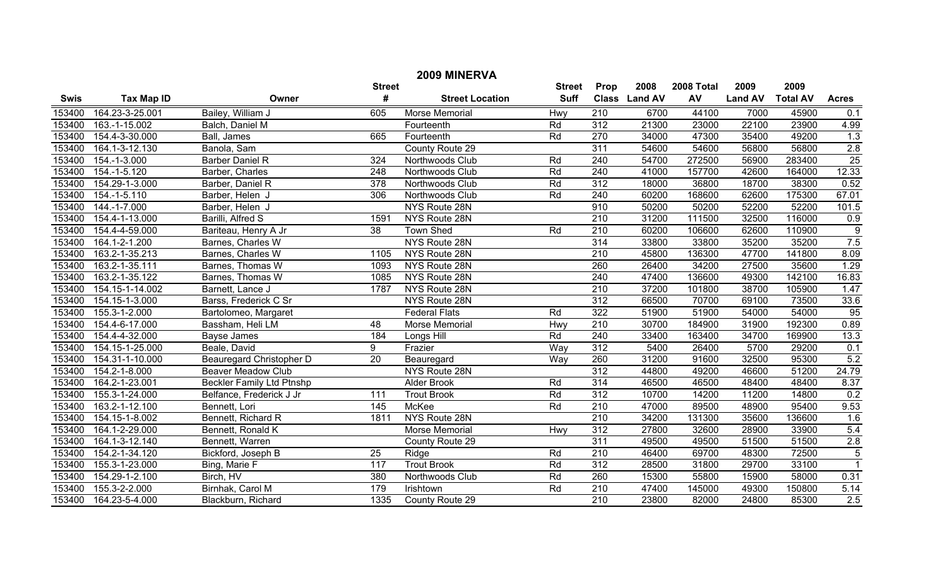| 2009 MINERVA |                   |                                  |                  |                        |               |                  |               |            |                |                 |                  |  |
|--------------|-------------------|----------------------------------|------------------|------------------------|---------------|------------------|---------------|------------|----------------|-----------------|------------------|--|
|              |                   |                                  | <b>Street</b>    |                        | <b>Street</b> | Prop             | 2008          | 2008 Total | 2009           | 2009            |                  |  |
| <b>Swis</b>  | <b>Tax Map ID</b> | Owner                            | #                | <b>Street Location</b> | <b>Suff</b>   |                  | Class Land AV | AV         | <b>Land AV</b> | <b>Total AV</b> | <b>Acres</b>     |  |
| 153400       | 164.23-3-25.001   | Bailey, William J                | 605              | <b>Morse Memorial</b>  | Hwy           | 210              | 6700          | 44100      | 7000           | 45900           | 0.1              |  |
| 153400       | 163.-1-15.002     | Balch, Daniel M                  |                  | Fourteenth             | Rd            | 312              | 21300         | 23000      | 22100          | 23900           | 4.99             |  |
| 153400       | 154.4-3-30.000    | Ball, James                      | 665              | Fourteenth             | Rd            | 270              | 34000         | 47300      | 35400          | 49200           | $\overline{1.3}$ |  |
| 153400       | 164.1-3-12.130    | Banola, Sam                      |                  | County Route 29        |               | 311              | 54600         | 54600      | 56800          | 56800           | 2.8              |  |
| 153400       | 154.-1-3.000      | <b>Barber Daniel R</b>           | 324              | Northwoods Club        | Rd            | 240              | 54700         | 272500     | 56900          | 283400          | 25               |  |
| 153400       | $154.-1-5.120$    | Barber, Charles                  | $\overline{248}$ | Northwoods Club        | Rd            | 240              | 41000         | 157700     | 42600          | 164000          | 12.33            |  |
| 153400       | 154.29-1-3.000    | Barber, Daniel R                 | $\overline{378}$ | Northwoods Club        | Rd            | $\overline{312}$ | 18000         | 36800      | 18700          | 38300           | 0.52             |  |
| 153400       | $154.-1-5.110$    | Barber, Helen J                  | 306              | Northwoods Club        | Rd            | 240              | 60200         | 168600     | 62600          | 175300          | 67.01            |  |
| 153400       | 144.-1-7.000      | Barber, Helen J                  |                  | NYS Route 28N          |               | 910              | 50200         | 50200      | 52200          | 52200           | 101.5            |  |
| 153400       | 154.4-1-13.000    | Barilli, Alfred S                | 1591             | NYS Route 28N          |               | 210              | 31200         | 111500     | 32500          | 116000          | 0.9              |  |
| 153400       | 154.4-4-59.000    | Bariteau, Henry A Jr             | 38               | <b>Town Shed</b>       | Rd            | $\overline{210}$ | 60200         | 106600     | 62600          | 110900          | $\overline{9}$   |  |
| 153400       | 164.1-2-1.200     | Barnes, Charles W                |                  | NYS Route 28N          |               | 314              | 33800         | 33800      | 35200          | 35200           | 7.5              |  |
| 153400       | 163.2-1-35.213    | Barnes, Charles W                | 1105             | NYS Route 28N          |               | 210              | 45800         | 136300     | 47700          | 141800          | 8.09             |  |
| 153400       | 163.2-1-35.111    | Barnes, Thomas W                 | 1093             | NYS Route 28N          |               | 260              | 26400         | 34200      | 27500          | 35600           | 1.29             |  |
| 153400       | 163.2-1-35.122    | Barnes, Thomas W                 | 1085             | NYS Route 28N          |               | 240              | 47400         | 136600     | 49300          | 142100          | 16.83            |  |
| 153400       | 154.15-1-14.002   | Barnett, Lance J                 | 1787             | NYS Route 28N          |               | 210              | 37200         | 101800     | 38700          | 105900          | 1.47             |  |
| 153400       | 154.15-1-3.000    | Barss, Frederick C Sr            |                  | NYS Route 28N          |               | 312              | 66500         | 70700      | 69100          | 73500           | 33.6             |  |
| 153400       | 155.3-1-2.000     | Bartolomeo, Margaret             |                  | <b>Federal Flats</b>   | Rd            | 322              | 51900         | 51900      | 54000          | 54000           | 95               |  |
| 153400       | 154.4-6-17.000    | Bassham, Heli LM                 | 48               | Morse Memorial         | Hwy           | 210              | 30700         | 184900     | 31900          | 192300          | 0.89             |  |
| 153400       | 154.4-4-32.000    | <b>Bayse James</b>               | 184              | Longs Hill             | Rd            | 240              | 33400         | 163400     | 34700          | 169900          | 13.3             |  |
| 153400       | 154.15-1-25.000   | Beale, David                     | 9                | Frazier                | Way           | 312              | 5400          | 26400      | 5700           | 29200           | 0.1              |  |
| 153400       | 154.31-1-10.000   | <b>Beauregard Christopher D</b>  | $\overline{20}$  | Beauregard             | <b>Way</b>    | 260              | 31200         | 91600      | 32500          | 95300           | 5.2              |  |
| 153400       | 154.2-1-8.000     | <b>Beaver Meadow Club</b>        |                  | NYS Route 28N          |               | 312              | 44800         | 49200      | 46600          | 51200           | 24.79            |  |
| 153400       | 164.2-1-23.001    | <b>Beckler Family Ltd Ptnshp</b> |                  | <b>Alder Brook</b>     | Rd            | 314              | 46500         | 46500      | 48400          | 48400           | 8.37             |  |
| 153400       | 155.3-1-24.000    | Belfance, Frederick J Jr         | 111              | <b>Trout Brook</b>     | Rd            | 312              | 10700         | 14200      | 11200          | 14800           | 0.2              |  |
| 153400       | 163.2-1-12.100    | Bennett, Lori                    | 145              | McKee                  | Rd            | $\overline{210}$ | 47000         | 89500      | 48900          | 95400           | 9.53             |  |
| 153400       | 154.15-1-8.002    | Bennett, Richard R               | 1811             | NYS Route 28N          |               | $\overline{210}$ | 34200         | 131300     | 35600          | 136600          | 1.6              |  |
| 153400       | 164.1-2-29.000    | Bennett, Ronald K                |                  | Morse Memorial         | Hwy           | $\overline{312}$ | 27800         | 32600      | 28900          | 33900           | 5.4              |  |
| 153400       | 164.1-3-12.140    | Bennett, Warren                  |                  | County Route 29        |               | 311              | 49500         | 49500      | 51500          | 51500           | 2.8              |  |
| 153400       | 154.2-1-34.120    | Bickford, Joseph B               | $\overline{25}$  | Ridge                  | Rd            | $\overline{210}$ | 46400         | 69700      | 48300          | 72500           | $\overline{5}$   |  |
| 153400       | 155.3-1-23.000    | Bing, Marie F                    | 117              | <b>Trout Brook</b>     | Rd            | 312              | 28500         | 31800      | 29700          | 33100           | $\overline{1}$   |  |
| 153400       | 154.29-1-2.100    | Birch, HV                        | 380              | Northwoods Club        | Rd            | 260              | 15300         | 55800      | 15900          | 58000           | 0.31             |  |
| 153400       | 155.3-2-2.000     | Birnhak, Carol M                 | 179              | Irishtown              | Rd            | 210              | 47400         | 145000     | 49300          | 150800          | 5.14             |  |
| 153400       | 164.23-5-4.000    | Blackburn, Richard               | 1335             | County Route 29        |               | $\overline{210}$ | 23800         | 82000      | 24800          | 85300           | 2.5              |  |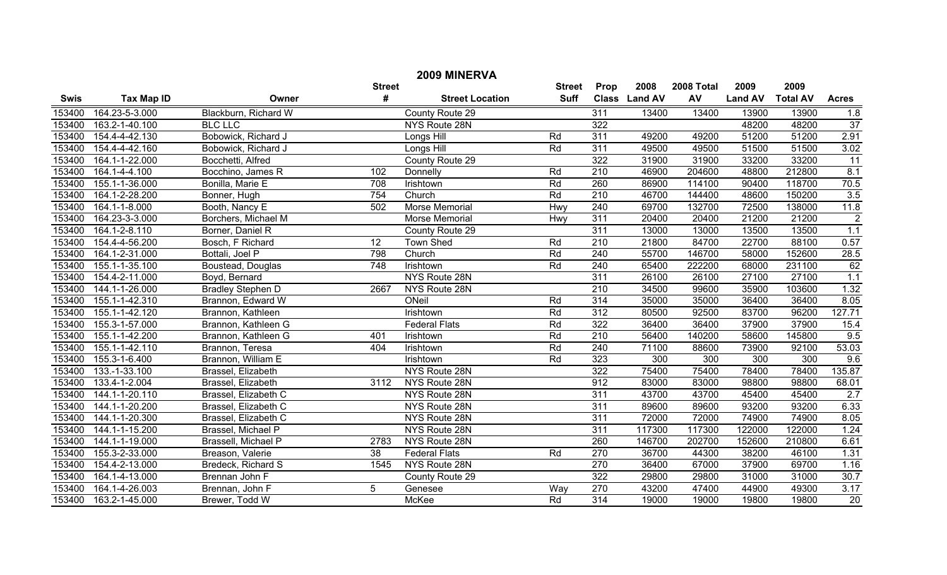| 2009 MINERVA |                   |                          |                 |                        |               |                  |               |            |                |                  |                 |
|--------------|-------------------|--------------------------|-----------------|------------------------|---------------|------------------|---------------|------------|----------------|------------------|-----------------|
|              |                   |                          | <b>Street</b>   |                        | <b>Street</b> | Prop             | 2008          | 2008 Total | 2009           | 2009             |                 |
| <b>Swis</b>  | <b>Tax Map ID</b> | Owner                    | #               | <b>Street Location</b> | <b>Suff</b>   |                  | Class Land AV | AV         | <b>Land AV</b> | <b>Total AV</b>  | <b>Acres</b>    |
| 153400       | 164.23-5-3.000    | Blackburn, Richard W     |                 | County Route 29        |               | 311              | 13400         | 13400      | 13900          | 13900            | 1.8             |
| 153400       | 163.2-1-40.100    | <b>BLC LLC</b>           |                 | NYS Route 28N          |               | 322              |               |            | 48200          | 48200            | 37              |
| 153400       | 154.4-4-42.130    | Bobowick, Richard J      |                 | Longs Hill             | Rd            | 311              | 49200         | 49200      | 51200          | 51200            | 2.91            |
| 153400       | 154.4-4-42.160    | Bobowick, Richard J      |                 | Longs Hill             | Rd            | 311              | 49500         | 49500      | 51500          | 51500            | 3.02            |
| 153400       | 164.1-1-22.000    | Bocchetti, Alfred        |                 | County Route 29        |               | 322              | 31900         | 31900      | 33200          | 33200            | $\overline{11}$ |
| 153400       | 164.1-4-4.100     | Bocchino, James R        | 102             | Donnelly               | Rd            | $\overline{210}$ | 46900         | 204600     | 48800          | 212800           | 8.1             |
| 153400       | 155.1-1-36.000    | Bonilla, Marie E         | 708             | Irishtown              | Rd            | 260              | 86900         | 114100     | 90400          | 118700           | 70.5            |
| 153400       | 164.1-2-28.200    | Bonner, Hugh             | 754             | Church                 | Rd            | $\overline{210}$ | 46700         | 144400     | 48600          | 150200           | 3.5             |
| 153400       | 164.1-1-8.000     | Booth, Nancy E           | 502             | Morse Memorial         | Hwy           | 240              | 69700         | 132700     | 72500          | 138000           | 11.8            |
| 153400       | 164.23-3-3.000    | Borchers, Michael M      |                 | Morse Memorial         | Hwy           | 311              | 20400         | 20400      | 21200          | 21200            | $\overline{2}$  |
| 153400       | 164.1-2-8.110     | Borner, Daniel R         |                 | County Route 29        |               | 311              | 13000         | 13000      | 13500          | 13500            | 1.1             |
| 153400       | 154.4-4-56.200    | Bosch, F Richard         | 12              | <b>Town Shed</b>       | Rd            | 210              | 21800         | 84700      | 22700          | 88100            | 0.57            |
| 153400       | 164.1-2-31.000    | Bottali, Joel P          | 798             | Church                 | Rd            | 240              | 55700         | 146700     | 58000          | 152600           | 28.5            |
| 153400       | 155.1-1-35.100    | Boustead, Douglas        | 748             | Irishtown              | Rd            | 240              | 65400         | 222200     | 68000          | 231100           | 62              |
| 153400       | 154.4-2-11.000    | Boyd, Bernard            |                 | NYS Route 28N          |               | 311              | 26100         | 26100      | 27100          | 27100            | 1.1             |
| 153400       | 144.1-1-26.000    | <b>Bradley Stephen D</b> | 2667            | NYS Route 28N          |               | 210              | 34500         | 99600      | 35900          | 103600           | 1.32            |
| 153400       | 155.1-1-42.310    | Brannon, Edward W        |                 | ONeil                  | Rd            | 314              | 35000         | 35000      | 36400          | 36400            | 8.05            |
| 153400       | 155.1-1-42.120    | Brannon, Kathleen        |                 | Irishtown              | Rd            | 312              | 80500         | 92500      | 83700          | 96200            | 127.71          |
| 153400       | 155.3-1-57.000    | Brannon, Kathleen G      |                 | <b>Federal Flats</b>   | Rd            | 322              | 36400         | 36400      | 37900          | 37900            | 15.4            |
| 153400       | 155.1-1-42.200    | Brannon, Kathleen G      | 401             | Irishtown              | Rd            | $\overline{210}$ | 56400         | 140200     | 58600          | 145800           | 9.5             |
| 153400       | 155.1-1-42.110    | Brannon, Teresa          | 404             | Irishtown              | Rd            | 240              | 71100         | 88600      | 73900          | 92100            | 53.03           |
| 153400       | 155.3-1-6.400     | Brannon, William E       |                 | Irishtown              | Rd            | 323              | 300           | 300        | 300            | $\overline{300}$ | 9.6             |
| 153400       | 133.-1-33.100     | Brassel, Elizabeth       |                 | NYS Route 28N          |               | 322              | 75400         | 75400      | 78400          | 78400            | 135.87          |
| 153400       | 133.4-1-2.004     | Brassel, Elizabeth       | 3112            | NYS Route 28N          |               | 912              | 83000         | 83000      | 98800          | 98800            | 68.01           |
| 153400       | 144.1-1-20.110    | Brassel, Elizabeth C     |                 | NYS Route 28N          |               | 311              | 43700         | 43700      | 45400          | 45400            | 2.7             |
| 153400       | 144.1-1-20.200    | Brassel, Elizabeth C     |                 | NYS Route 28N          |               | 311              | 89600         | 89600      | 93200          | 93200            | 6.33            |
| 153400       | 144.1-1-20.300    | Brassel, Elizabeth C     |                 | NYS Route 28N          |               | 311              | 72000         | 72000      | 74900          | 74900            | 8.05            |
| 153400       | 144.1-1-15.200    | Brassel, Michael P       |                 | NYS Route 28N          |               | 311              | 117300        | 117300     | 122000         | 122000           | 1.24            |
| 153400       | 144.1-1-19.000    | Brassell, Michael P      | 2783            | NYS Route 28N          |               | 260              | 146700        | 202700     | 152600         | 210800           | 6.61            |
| 153400       | 155.3-2-33.000    | Breason, Valerie         | $\overline{38}$ | <b>Federal Flats</b>   | Rd            | 270              | 36700         | 44300      | 38200          | 46100            | 1.31            |
| 153400       | 154.4-2-13.000    | Bredeck, Richard S       | 1545            | NYS Route 28N          |               | 270              | 36400         | 67000      | 37900          | 69700            | 1.16            |
| 153400       | 164.1-4-13.000    | Brennan John F           |                 | County Route 29        |               | 322              | 29800         | 29800      | 31000          | 31000            | 30.7            |
| 153400       | 164.1-4-26.003    | Brennan, John F          | 5               | Genesee                | Way           | 270              | 43200         | 47400      | 44900          | 49300            | 3.17            |
| 153400       | 163.2-1-45.000    | Brewer, Todd W           |                 | <b>McKee</b>           | Rd            | 314              | 19000         | 19000      | 19800          | 19800            | $\overline{20}$ |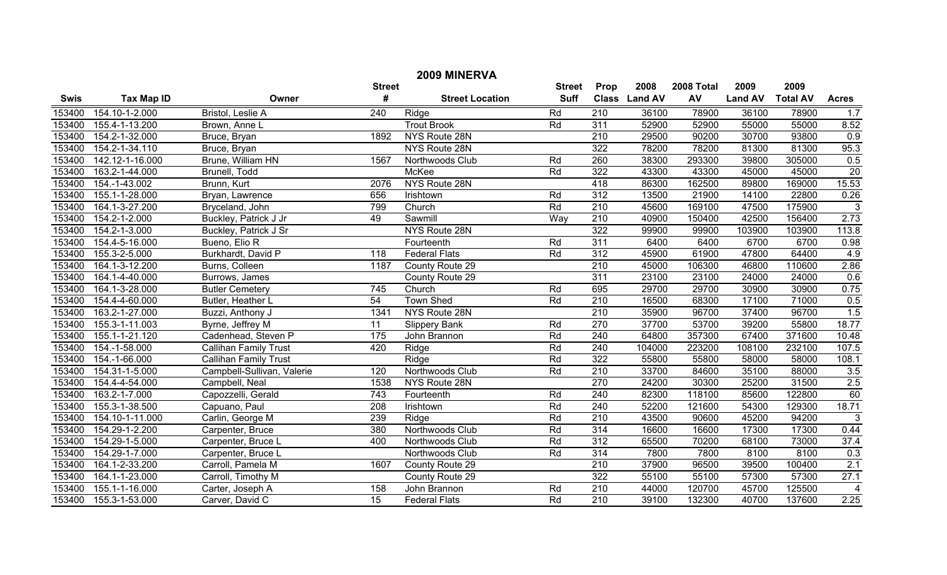| 2009 MINERVA  |                   |                              |                  |                        |                 |                  |                |            |                |                 |                |
|---------------|-------------------|------------------------------|------------------|------------------------|-----------------|------------------|----------------|------------|----------------|-----------------|----------------|
| <b>Street</b> |                   |                              |                  |                        | <b>Street</b>   | Prop             | 2008           | 2008 Total | 2009           | 2009            |                |
| <b>Swis</b>   | <b>Tax Map ID</b> | Owner                        | #                | <b>Street Location</b> | <b>Suff</b>     | <b>Class</b>     | <b>Land AV</b> | AV         | <b>Land AV</b> | <b>Total AV</b> | <b>Acres</b>   |
| 153400        | 154.10-1-2.000    | Bristol, Leslie A            | $\overline{240}$ | Ridge                  | Rd              | $\overline{210}$ | 36100          | 78900      | 36100          | 78900           | 1.7            |
| 153400        | 155.4-1-13.200    | Brown, Anne L                |                  | <b>Trout Brook</b>     | Rd              | 311              | 52900          | 52900      | 55000          | 55000           | 8.52           |
| 153400        | 154.2-1-32.000    | Bruce, Bryan                 | 1892             | NYS Route 28N          |                 | 210              | 29500          | 90200      | 30700          | 93800           | 0.9            |
| 153400        | 154.2-1-34.110    | Bruce, Bryan                 |                  | NYS Route 28N          |                 | 322              | 78200          | 78200      | 81300          | 81300           | 95.3           |
| 153400        | 142.12-1-16.000   | Brune, William HN            | 1567             | Northwoods Club        | Rd              | 260              | 38300          | 293300     | 39800          | 305000          | 0.5            |
| 153400        | 163.2-1-44.000    | Brunell, Todd                |                  | <b>McKee</b>           | Rd              | 322              | 43300          | 43300      | 45000          | 45000           | 20             |
| 153400        | 154.-1-43.002     | Brunn, Kurt                  | 2076             | NYS Route 28N          |                 | 418              | 86300          | 162500     | 89800          | 169000          | 15.53          |
| 153400        | 155.1-1-28.000    | Bryan, Lawrence              | 656              | Irishtown              | Rd              | $\overline{312}$ | 13500          | 21900      | 14100          | 22800           | 0.26           |
| 153400        | 164.1-3-27.200    | Bryceland, John              | 799              | Church                 | Rd              | 210              | 45600          | 169100     | 47500          | 175900          | $\overline{3}$ |
| 153400        | 154.2-1-2.000     | Buckley, Patrick J Jr        | 49               | Sawmill                | Way             | 210              | 40900          | 150400     | 42500          | 156400          | 2.73           |
| 153400        | 154.2-1-3.000     | Buckley, Patrick J Sr        |                  | NYS Route 28N          |                 | 322              | 99900          | 99900      | 103900         | 103900          | 113.8          |
| 153400        | 154.4-5-16.000    | Bueno, Elio R                |                  | Fourteenth             | Rd              | 311              | 6400           | 6400       | 6700           | 6700            | 0.98           |
| 153400        | 155.3-2-5.000     | Burkhardt, David P           | $\overline{118}$ | <b>Federal Flats</b>   | Rd              | $\overline{312}$ | 45900          | 61900      | 47800          | 64400           | 4.9            |
| 153400        | 164.1-3-12.200    | Burns, Colleen               | 1187             | County Route 29        |                 | 210              | 45000          | 106300     | 46800          | 110600          | 2.86           |
| 153400        | 164.1-4-40.000    | Burrows, James               |                  | County Route 29        |                 | 311              | 23100          | 23100      | 24000          | 24000           | 0.6            |
| 153400        | 164.1-3-28.000    | <b>Butler Cemetery</b>       | 745              | Church                 | Rd              | 695              | 29700          | 29700      | 30900          | 30900           | 0.75           |
| 153400        | 154.4-4-60.000    | Butler, Heather L            | 54               | <b>Town Shed</b>       | Rd              | 210              | 16500          | 68300      | 17100          | 71000           | 0.5            |
| 153400        | 163.2-1-27.000    | Buzzi, Anthony J             | 1341             | NYS Route 28N          |                 | 210              | 35900          | 96700      | 37400          | 96700           | 1.5            |
| 153400        | 155.3-1-11.003    | Byrne, Jeffrey M             | 11               | <b>Slippery Bank</b>   | Rd              | 270              | 37700          | 53700      | 39200          | 55800           | 18.77          |
| 153400        | 155.1-1-21.120    | Cadenhead, Steven P          | $\frac{175}{ }$  | John Brannon           | $\overline{Rd}$ | 240              | 64800          | 357300     | 67400          | 371600          | 10.48          |
| 153400        | 154.-1-58.000     | <b>Callihan Family Trust</b> | 420              | Ridge                  | Rd              | 240              | 104000         | 223200     | 108100         | 232100          | 107.5          |
| 153400        | 154.-1-66.000     | <b>Callihan Family Trust</b> |                  | Ridge                  | $\overline{Rd}$ | 322              | 55800          | 55800      | 58000          | 58000           | 108.1          |
| 153400        | 154.31-1-5.000    | Campbell-Sullivan, Valerie   | 120              | Northwoods Club        | $\overline{Rd}$ | 210              | 33700          | 84600      | 35100          | 88000           | 3.5            |
| 153400        | 154.4-4-54.000    | Campbell, Neal               | 1538             | NYS Route 28N          |                 | 270              | 24200          | 30300      | 25200          | 31500           | 2.5            |
| 153400        | 163.2-1-7.000     | Capozzelli, Gerald           | $\overline{743}$ | Fourteenth             | Rd              | 240              | 82300          | 118100     | 85600          | 122800          | 60             |
| 153400        | 155.3-1-38.500    | Capuano, Paul                | 208              | Irishtown              | $\overline{Rd}$ | 240              | 52200          | 121600     | 54300          | 129300          | 18.71          |
| 153400        | 154.10-1-11.000   | Carlin, George M             | 239              | Ridge                  | $\overline{Rd}$ | $\overline{210}$ | 43500          | 90600      | 45200          | 94200           | $\overline{3}$ |
| 153400        | 154.29-1-2.200    | Carpenter, Bruce             | 380              | Northwoods Club        | Rd              | 314              | 16600          | 16600      | 17300          | 17300           | 0.44           |
| 153400        | 154.29-1-5.000    | Carpenter, Bruce L           | 400              | Northwoods Club        | $\overline{Rd}$ | $\overline{312}$ | 65500          | 70200      | 68100          | 73000           | 37.4           |
| 153400        | 154.29-1-7.000    | Carpenter, Bruce L           |                  | Northwoods Club        | $\overline{Rd}$ | 314              | 7800           | 7800       | 8100           | 8100            | 0.3            |
| 153400        | 164.1-2-33.200    | Carroll, Pamela M            | 1607             | County Route 29        |                 | $\overline{210}$ | 37900          | 96500      | 39500          | 100400          | 2.1            |
| 153400        | 164.1-1-23.000    | Carroll, Timothy M           |                  | County Route 29        |                 | 322              | 55100          | 55100      | 57300          | 57300           | 27.1           |
| 153400        | 155.1-1-16.000    | Carter, Joseph A             | 158              | John Brannon           | Rd              | 210              | 44000          | 120700     | 45700          | 125500          | 4              |
| 153400        | 155.3-1-53.000    | Carver, David C              | $\overline{15}$  | <b>Federal Flats</b>   | $\overline{Rd}$ | $\overline{210}$ | 39100          | 132300     | 40700          | 137600          | 2.25           |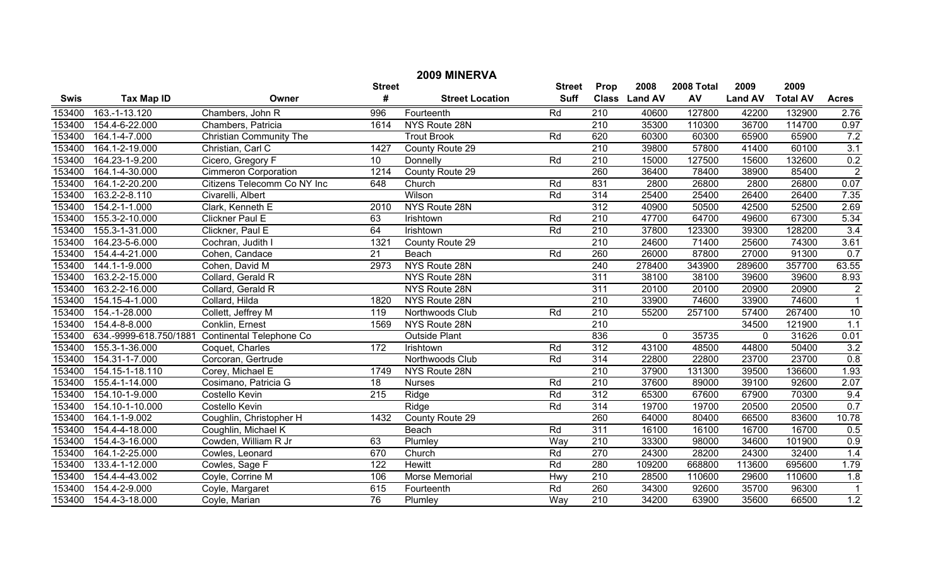|             | 2009 MINERVA           |                                 |                 |                        |               |                  |               |            |                |                 |                  |  |
|-------------|------------------------|---------------------------------|-----------------|------------------------|---------------|------------------|---------------|------------|----------------|-----------------|------------------|--|
|             |                        |                                 | <b>Street</b>   |                        | <b>Street</b> | Prop             | 2008          | 2008 Total | 2009           | 2009            |                  |  |
| <b>Swis</b> | <b>Tax Map ID</b>      | Owner                           | #               | <b>Street Location</b> | <b>Suff</b>   |                  | Class Land AV | AV         | <b>Land AV</b> | <b>Total AV</b> | <b>Acres</b>     |  |
| 153400      | 163.-1-13.120          | Chambers, John R                | 996             | Fourteenth             | Rd            | 210              | 40600         | 127800     | 42200          | 132900          | 2.76             |  |
| 153400      | 154.4-6-22.000         | Chambers, Patricia              | 1614            | NYS Route 28N          |               | 210              | 35300         | 110300     | 36700          | 114700          | 0.97             |  |
| 153400      | 164.1-4-7.000          | <b>Christian Community The</b>  |                 | <b>Trout Brook</b>     | Rd            | 620              | 60300         | 60300      | 65900          | 65900           | 7.2              |  |
| 153400      | 164.1-2-19.000         | Christian, Carl C               | 1427            | County Route 29        |               | 210              | 39800         | 57800      | 41400          | 60100           | $\overline{3.1}$ |  |
| 153400      | 164.23-1-9.200         | Cicero, Gregory F               | 10              | Donnelly               | Rd            | 210              | 15000         | 127500     | 15600          | 132600          | $\frac{0.2}{2}$  |  |
| 153400      | 164.1-4-30.000         | <b>Cimmeron Corporation</b>     | 1214            | County Route 29        |               | 260              | 36400         | 78400      | 38900          | 85400           |                  |  |
| 153400      | 164.1-2-20.200         | Citizens Telecomm Co NY Inc     | 648             | Church                 | Rd            | 831              | 2800          | 26800      | 2800           | 26800           | 0.07             |  |
| 153400      | 163.2-2-8.110          | Civarelli, Albert               |                 | Wilson                 | Rd            | 314              | 25400         | 25400      | 26400          | 26400           | 7.35             |  |
| 153400      | 154.2-1-1.000          | Clark, Kenneth E                | 2010            | NYS Route 28N          |               | 312              | 40900         | 50500      | 42500          | 52500           | 2.69             |  |
| 153400      | 155.3-2-10.000         | Clickner Paul E                 | 63              | Irishtown              | Rd            | 210              | 47700         | 64700      | 49600          | 67300           | 5.34             |  |
| 153400      | 155.3-1-31.000         | Clickner, Paul E                | 64              | Irishtown              | Rd            | $\overline{210}$ | 37800         | 123300     | 39300          | 128200          | 3.4              |  |
| 153400      | 164.23-5-6.000         | Cochran, Judith I               | 1321            | County Route 29        |               | $\overline{210}$ | 24600         | 71400      | 25600          | 74300           | 3.61             |  |
| 153400      | 154.4-4-21.000         | Cohen, Candace                  | $\overline{21}$ | Beach                  | Rd            | 260              | 26000         | 87800      | 27000          | 91300           | 0.7              |  |
| 153400      | 144.1-1-9.000          | Cohen, David M                  | 2973            | NYS Route 28N          |               | 240              | 278400        | 343900     | 289600         | 357700          | 63.55            |  |
| 153400      | 163.2-2-15.000         | Collard, Gerald R               |                 | NYS Route 28N          |               | 311              | 38100         | 38100      | 39600          | 39600           | 8.93             |  |
| 153400      | 163.2-2-16.000         | Collard, Gerald R               |                 | NYS Route 28N          |               | 311              | 20100         | 20100      | 20900          | 20900           | $\overline{2}$   |  |
| 153400      | 154.15-4-1.000         | Collard, Hilda                  | 1820            | NYS Route 28N          |               | 210              | 33900         | 74600      | 33900          | 74600           | $\overline{1}$   |  |
| 153400      | 154.-1-28.000          | Collett, Jeffrey M              | 119             | Northwoods Club        | Rd            | 210              | 55200         | 257100     | 57400          | 267400          | 10               |  |
| 153400      | 154.4-8-8.000          | Conklin, Ernest                 | 1569            | NYS Route 28N          |               | $\overline{210}$ |               |            | 34500          | 121900          | 1.1              |  |
| 153400      | 634.-9999-618.750/1881 | <b>Continental Telephone Co</b> |                 | <b>Outside Plant</b>   |               | 836              | $\mathbf 0$   | 35735      | $\mathbf 0$    | 31626           | 0.01             |  |
| 153400      | 155.3-1-36.000         | Coquet, Charles                 | $\frac{1}{172}$ | Irishtown              | Rd            | 312              | 43100         | 48500      | 44800          | 50400           | 3.2              |  |
| 153400      | 154.31-1-7.000         | Corcoran, Gertrude              |                 | Northwoods Club        | Rd            | 314              | 22800         | 22800      | 23700          | 23700           | 0.8              |  |
| 153400      | 154.15-1-18.110        | Corey, Michael E                | 1749            | NYS Route 28N          |               | $\overline{210}$ | 37900         | 131300     | 39500          | 136600          | 1.93             |  |
| 153400      | 155.4-1-14.000         | Cosimano, Patricia G            | 18              | <b>Nurses</b>          | Rd            | 210              | 37600         | 89000      | 39100          | 92600           | 2.07             |  |
| 153400      | 154.10-1-9.000         | Costello Kevin                  | 215             | Ridge                  | Rd            | 312              | 65300         | 67600      | 67900          | 70300           | 9.4              |  |
| 153400      | 154.10-1-10.000        | <b>Costello Kevin</b>           |                 | Ridge                  | Rd            | 314              | 19700         | 19700      | 20500          | 20500           | 0.7              |  |
| 153400      | 164.1-1-9.002          | Coughlin, Christopher H         | 1432            | County Route 29        |               | 260              | 64000         | 80400      | 66500          | 83600           | 10.78            |  |
| 153400      | 154.4-4-18.000         | Coughlin, Michael K             |                 | Beach                  | Rd            | 311              | 16100         | 16100      | 16700          | 16700           | 0.5              |  |
| 153400      | 154.4-3-16.000         | Cowden, William R Jr            | 63              | Plumley                | Way           | $\overline{210}$ | 33300         | 98000      | 34600          | 101900          | 0.9              |  |
| 153400      | 164.1-2-25.000         | Cowles, Leonard                 | 670             | Church                 | Rd            | 270              | 24300         | 28200      | 24300          | 32400           | 1.4              |  |
| 153400      | 133.4-1-12.000         | Cowles, Sage F                  | 122             | <b>Hewitt</b>          | Rd            | 280              | 109200        | 668800     | 113600         | 695600          | 1.79             |  |
| 153400      | 154.4-4-43.002         | Coyle, Corrine M                | 106             | Morse Memorial         | Hwy           | 210              | 28500         | 110600     | 29600          | 110600          | 1.8              |  |
| 153400      | 154.4-2-9.000          | Coyle, Margaret                 | 615             | Fourteenth             | Rd            | 260              | 34300         | 92600      | 35700          | 96300           | $\overline{1}$   |  |
| 153400      | 154.4-3-18.000         | Coyle, Marian                   | 76              | Plumley                | Way           | $\overline{210}$ | 34200         | 63900      | 35600          | 66500           | 1.2              |  |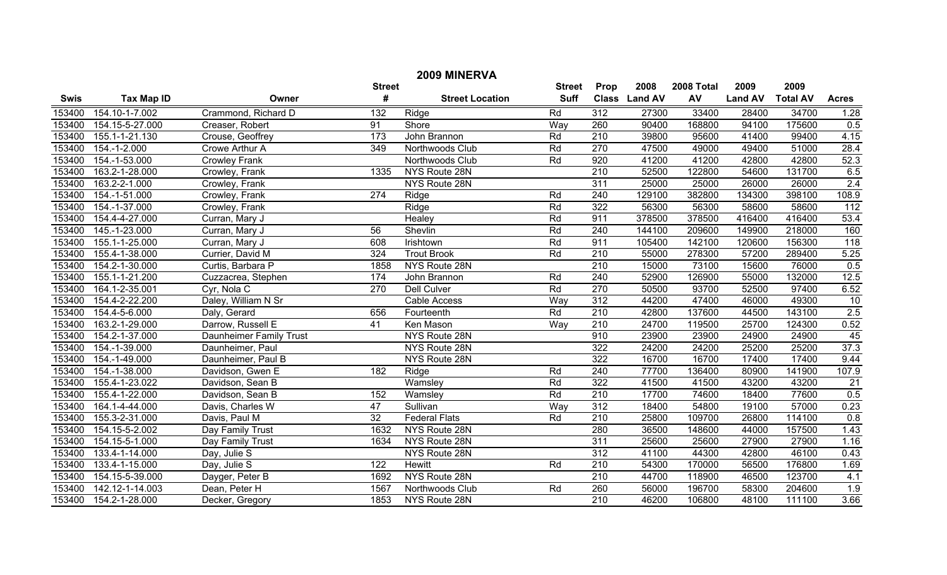| 2009 MINERVA<br><b>Street</b> |                     |                         |                  |                        |             |                  |                |        |                |                 |                  |  |
|-------------------------------|---------------------|-------------------------|------------------|------------------------|-------------|------------------|----------------|--------|----------------|-----------------|------------------|--|
|                               |                     |                         |                  | <b>Street</b>          | Prop        | 2008             | 2008 Total     | 2009   | 2009           |                 |                  |  |
| <b>Swis</b>                   | <b>Tax Map ID</b>   | Owner                   | #                | <b>Street Location</b> | <b>Suff</b> | <b>Class</b>     | <b>Land AV</b> | AV     | <b>Land AV</b> | <b>Total AV</b> | <b>Acres</b>     |  |
| 153400                        | 154.10-1-7.002      | Crammond, Richard D     | 132              | Ridge                  | Rd          | 312              | 27300          | 33400  | 28400          | 34700           | 1.28             |  |
| 153400                        | 154.15-5-27.000     | Creaser, Robert         | 91               | Shore                  | Way         | 260              | 90400          | 168800 | 94100          | 175600          | 0.5              |  |
| 153400                        | 155.1-1-21.130      | Crouse, Geoffrey        | 173              | John Brannon           | Rd          | 210              | 39800          | 95600  | 41400          | 99400           | 4.15             |  |
| 153400                        | 154.-1-2.000        | Crowe Arthur A          | $\overline{349}$ | Northwoods Club        | Rd          | 270              | 47500          | 49000  | 49400          | 51000           | 28.4             |  |
| 153400                        | 154.-1-53.000       | <b>Crowley Frank</b>    |                  | Northwoods Club        | Rd          | 920              | 41200          | 41200  | 42800          | 42800           | 52.3             |  |
| 153400                        | 163.2-1-28.000      | Crowley, Frank          | 1335             | NYS Route 28N          |             | 210              | 52500          | 122800 | 54600          | 131700          | 6.5              |  |
| 153400                        | $163.2 - 2 - 1.000$ | Crowley, Frank          |                  | NYS Route 28N          |             | 311              | 25000          | 25000  | 26000          | 26000           | 2.4              |  |
| 153400                        | 154.-1-51.000       | Crowley, Frank          | $\sqrt{274}$     | Ridge                  | Rd          | 240              | 129100         | 382800 | 134300         | 398100          | 108.9            |  |
| 153400                        | 154.-1-37.000       | Crowley, Frank          |                  | Ridge                  | Rd          | 322              | 56300          | 56300  | 58600          | 58600           | $\overline{112}$ |  |
| 153400                        | 154.4-4-27.000      | Curran, Mary J          |                  | Healey                 | Rd          | 911              | 378500         | 378500 | 416400         | 416400          | 53.4             |  |
| 153400                        | 145.-1-23.000       | Curran, Mary J          | 56               | Shevlin                | Rd          | 240              | 144100         | 209600 | 149900         | 218000          | 160              |  |
| 153400                        | 155.1-1-25.000      | Curran, Mary J          | 608              | Irishtown              | Rd          | 911              | 105400         | 142100 | 120600         | 156300          | 118              |  |
| 153400                        | 155.4-1-38.000      | Currier, David M        | 324              | <b>Trout Brook</b>     | Rd          | 210              | 55000          | 278300 | 57200          | 289400          | 5.25             |  |
| 153400                        | 154.2-1-30.000      | Curtis, Barbara P       | 1858             | NYS Route 28N          |             | $\overline{210}$ | 15000          | 73100  | 15600          | 76000           | 0.5              |  |
| 153400                        | 155.1-1-21.200      | Cuzzacrea, Stephen      | 174              | John Brannon           | Rd          | 240              | 52900          | 126900 | 55000          | 132000          | 12.5             |  |
| 153400                        | 164.1-2-35.001      | Cyr, Nola C             | 270              | Dell Culver            | Rd          | 270              | 50500          | 93700  | 52500          | 97400           | 6.52             |  |
| 153400                        | 154.4-2-22.200      | Daley, William N Sr     |                  | Cable Access           | Way         | 312              | 44200          | 47400  | 46000          | 49300           | 10               |  |
| 153400                        | 154.4-5-6.000       | Daly, Gerard            | 656              | Fourteenth             | Rd          | $\overline{210}$ | 42800          | 137600 | 44500          | 143100          | 2.5              |  |
| 153400                        | 163.2-1-29.000      | Darrow, Russell E       | 41               | Ken Mason              | Way         | 210              | 24700          | 119500 | 25700          | 124300          | 0.52             |  |
| 153400                        | 154.2-1-37.000      | Daunheimer Family Trust |                  | NYS Route 28N          |             | 910              | 23900          | 23900  | 24900          | 24900           | 45               |  |
| 153400                        | 154.-1-39.000       | Daunheimer, Paul        |                  | NYS Route 28N          |             | 322              | 24200          | 24200  | 25200          | 25200           | 37.3             |  |
| 153400                        | 154.-1-49.000       | Daunheimer, Paul B      |                  | NYS Route 28N          |             | 322              | 16700          | 16700  | 17400          | 17400           | 9.44             |  |
| 153400                        | 154.-1-38.000       | Davidson, Gwen E        | 182              | Ridge                  | Rd          | 240              | 77700          | 136400 | 80900          | 141900          | 107.9            |  |
| 153400                        | 155.4-1-23.022      | Davidson, Sean B        |                  | Wamsley                | Rd          | 322              | 41500          | 41500  | 43200          | 43200           | $\overline{21}$  |  |
| 153400                        | 155.4-1-22.000      | Davidson, Sean B        | 152              | Wamsley                | Rd          | 210              | 17700          | 74600  | 18400          | 77600           | 0.5              |  |
| 153400                        | 164.1-4-44.000      | Davis, Charles W        | $\overline{47}$  | Sullivan               | Way         | 312              | 18400          | 54800  | 19100          | 57000           | 0.23             |  |
| 153400                        | 155.3-2-31.000      | Davis, Paul M           | 32               | <b>Federal Flats</b>   | Rd          | $\overline{210}$ | 25800          | 109700 | 26800          | 114100          | 0.8              |  |
| 153400                        | 154.15-5-2.002      | Day Family Trust        | 1632             | NYS Route 28N          |             | 280              | 36500          | 148600 | 44000          | 157500          | 1.43             |  |
| 153400                        | 154.15-5-1.000      | Day Family Trust        | 1634             | NYS Route 28N          |             | 311              | 25600          | 25600  | 27900          | 27900           | 1.16             |  |
| 153400                        | 133.4-1-14.000      | Day, Julie S            |                  | NYS Route 28N          |             | $\overline{312}$ | 41100          | 44300  | 42800          | 46100           | 0.43             |  |
| 153400                        | 133.4-1-15.000      | Day, Julie S            | 122              | Hewitt                 | Rd          | $\overline{210}$ | 54300          | 170000 | 56500          | 176800          | 1.69             |  |
| 153400                        | 154.15-5-39.000     | Dayger, Peter B         | 1692             | NYS Route 28N          |             | 210              | 44700          | 118900 | 46500          | 123700          | 4.1              |  |
| 153400                        | 142.12-1-14.003     | Dean, Peter H           | 1567             | Northwoods Club        | Rd          | 260              | 56000          | 196700 | 58300          | 204600          | 1.9              |  |
| 153400                        | 154.2-1-28.000      | Decker, Gregory         | 1853             | NYS Route 28N          |             | $\overline{210}$ | 46200          | 106800 | 48100          | 111100          | 3.66             |  |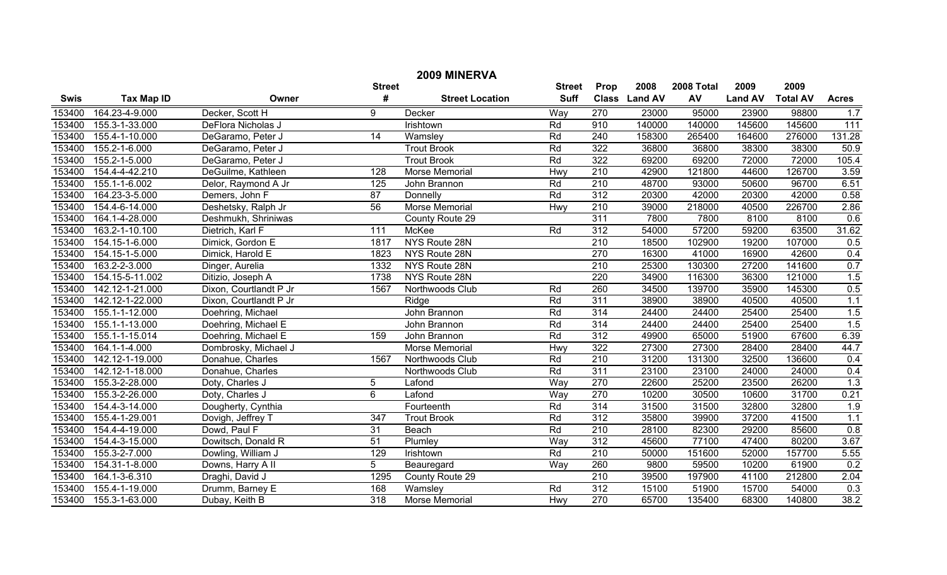| 2009 MINERVA |                       |                        |                  |                        |             |                  |               |        |                |                 |                  |
|--------------|-----------------------|------------------------|------------------|------------------------|-------------|------------------|---------------|--------|----------------|-----------------|------------------|
|              |                       | <b>Street</b>          | <b>Street</b>    | Prop                   | 2008        | 2008 Total       | 2009          | 2009   |                |                 |                  |
| <b>Swis</b>  | <b>Tax Map ID</b>     | Owner                  | #                | <b>Street Location</b> | <b>Suff</b> |                  | Class Land AV | AV     | <b>Land AV</b> | <b>Total AV</b> | <b>Acres</b>     |
| 153400       | 164.23-4-9.000        | Decker, Scott H        | 9                | Decker                 | Way         | 270              | 23000         | 95000  | 23900          | 98800           | 1.7              |
| 153400       | 155.3-1-33.000        | DeFlora Nicholas J     |                  | <b>Irishtown</b>       | Rd          | 910              | 140000        | 140000 | 145600         | 145600          | 111              |
| 153400       | 155.4-1-10.000        | DeGaramo, Peter J      | 14               | Wamsley                | Rd          | 240              | 158300        | 265400 | 164600         | 276000          | 131.28           |
| 153400       | 155.2-1-6.000         | DeGaramo, Peter J      |                  | <b>Trout Brook</b>     | Rd          | 322              | 36800         | 36800  | 38300          | 38300           | 50.9             |
| 153400       | 155.2-1-5.000         | DeGaramo, Peter J      |                  | <b>Trout Brook</b>     | Rd          | 322              | 69200         | 69200  | 72000          | 72000           | 105.4            |
| 153400       | 154.4-4-42.210        | DeGuilme, Kathleen     | 128              | Morse Memorial         | Hwy         | $\overline{210}$ | 42900         | 121800 | 44600          | 126700          | 3.59             |
| 153400       | 155.1-1-6.002         | Delor, Raymond A Jr    | 125              | John Brannon           | Rd          | 210              | 48700         | 93000  | 50600          | 96700           | 6.51             |
| 153400       | 164.23-3-5.000        | Demers, John F         | 87               | Donnelly               | Rd          | $\overline{312}$ | 20300         | 42000  | 20300          | 42000           | 0.58             |
| 153400       | 154.4-6-14.000        | Deshetsky, Ralph Jr    | 56               | <b>Morse Memorial</b>  | Hwy         | 210              | 39000         | 218000 | 40500          | 226700          | 2.86             |
| 153400       | 164.1-4-28.000        | Deshmukh, Shriniwas    |                  | County Route 29        |             | 311              | 7800          | 7800   | 8100           | 8100            | 0.6              |
| 153400       | 163.2-1-10.100        | Dietrich, Karl F       | 111              | McKee                  | Rd          | 312              | 54000         | 57200  | 59200          | 63500           | 31.62            |
| 153400       | 154.15-1-6.000        | Dimick, Gordon E       | 1817             | NYS Route 28N          |             | $\overline{210}$ | 18500         | 102900 | 19200          | 107000          | 0.5              |
| 153400       | 154.15-1-5.000        | Dimick, Harold E       | 1823             | NYS Route 28N          |             | 270              | 16300         | 41000  | 16900          | 42600           | 0.4              |
| 153400       | $163.2 - 2 - 3.000$   | Dinger, Aurelia        | 1332             | NYS Route 28N          |             | 210              | 25300         | 130300 | 27200          | 141600          | 0.7              |
| 153400       | 154.15-5-11.002       | Ditizio, Joseph A      | 1738             | NYS Route 28N          |             | 220              | 34900         | 116300 | 36300          | 121000          | 1.5              |
| 153400       | 142.12-1-21.000       | Dixon, Courtlandt P Jr | 1567             | Northwoods Club        | Rd          | 260              | 34500         | 139700 | 35900          | 145300          | 0.5              |
| 153400       | 142.12-1-22.000       | Dixon, Courtlandt P Jr |                  | Ridge                  | Rd          | 311              | 38900         | 38900  | 40500          | 40500           | 1.1              |
| 153400       | 155.1-1-12.000        | Doehring, Michael      |                  | John Brannon           | Rd          | 314              | 24400         | 24400  | 25400          | 25400           | 1.5              |
| 153400       | 155.1-1-13.000        | Doehring, Michael E    |                  | John Brannon           | Rd          | 314              | 24400         | 24400  | 25400          | 25400           | 1.5              |
| 153400       | 155.1-1-15.014        | Doehring, Michael E    | 159              | John Brannon           | Rd          | 312              | 49900         | 65000  | 51900          | 67600           | 6.39             |
| 153400       | 164.1-1-4.000         | Dombrosky, Michael J   |                  | Morse Memorial         | Hwy         | 322              | 27300         | 27300  | 28400          | 28400           | 44.7             |
| 153400       | 142.12-1-19.000       | Donahue, Charles       | 1567             | Northwoods Club        | Rd          | 210              | 31200         | 131300 | 32500          | 136600          | 0.4              |
| 153400       | 142.12-1-18.000       | Donahue, Charles       |                  | Northwoods Club        | Rd          | 311              | 23100         | 23100  | 24000          | 24000           | 0.4              |
| 153400       | 155.3-2-28.000        | Doty, Charles J        | 5                | Lafond                 | Way         | 270              | 22600         | 25200  | 23500          | 26200           | 1.3              |
| 153400       | 155.3-2-26.000        | Doty, Charles J        | 6                | Lafond                 | Way         | 270              | 10200         | 30500  | 10600          | 31700           | 0.21             |
| 153400       | 154.4-3-14.000        | Dougherty, Cynthia     |                  | Fourteenth             | Rd          | 314              | 31500         | 31500  | 32800          | 32800           | $\overline{1.9}$ |
| 153400       | 155.4-1-29.001        | Dovigh, Jeffrey T      | $\overline{347}$ | <b>Trout Brook</b>     | Rd          | $\overline{312}$ | 35800         | 39900  | 37200          | 41500           | 1.1              |
| 153400       | 154.4-4-19.000        | Dowd, Paul F           | 31               | Beach                  | Rd          | 210              | 28100         | 82300  | 29200          | 85600           | 0.8              |
| 153400       | 154.4-3-15.000        | Dowitsch, Donald R     | 51               | Plumley                | Way         | 312              | 45600         | 77100  | 47400          | 80200           | 3.67             |
| 153400       | 155.3-2-7.000         | Dowling, William J     | 129              | Irishtown              | Rd          | $\overline{210}$ | 50000         | 151600 | 52000          | 157700          | 5.55             |
| 153400       | 154.31-1-8.000        | Downs, Harry A II      | $\overline{5}$   | Beauregard             | Way         | 260              | 9800          | 59500  | 10200          | 61900           | 0.2              |
| 153400       | 164.1-3-6.310         | Draghi, David J        | 1295             | County Route 29        |             | 210              | 39500         | 197900 | 41100          | 212800          | 2.04             |
| 153400       | 155.4-1-19.000        | Drumm, Barney E        | 168              | Wamsley                | Rd          | $\overline{312}$ | 15100         | 51900  | 15700          | 54000           | 0.3              |
|              | 153400 155.3-1-63.000 | Dubay, Keith B         | $\overline{318}$ | Morse Memorial         | Hwy         | 270              | 65700         | 135400 | 68300          | 140800          | 38.2             |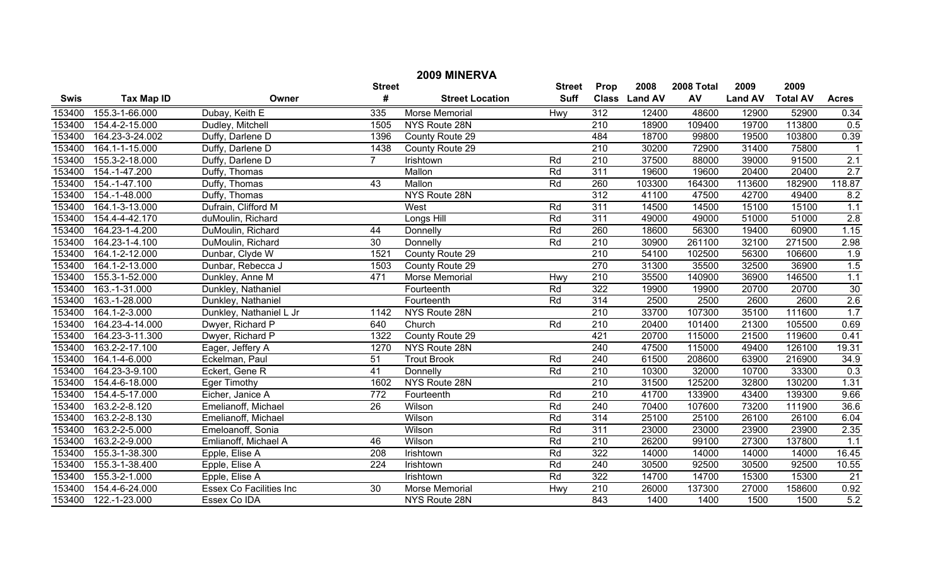| 2009 MINERVA  |                   |                                |                  |                        |               |                  |               |            |                |                 |                  |
|---------------|-------------------|--------------------------------|------------------|------------------------|---------------|------------------|---------------|------------|----------------|-----------------|------------------|
| <b>Street</b> |                   |                                |                  |                        | <b>Street</b> | Prop             | 2008          | 2008 Total | 2009           | 2009            |                  |
| <b>Swis</b>   | <b>Tax Map ID</b> | Owner                          | #                | <b>Street Location</b> | <b>Suff</b>   |                  | Class Land AV | AV         | <b>Land AV</b> | <b>Total AV</b> | <b>Acres</b>     |
| 153400        | 155.3-1-66.000    | Dubay, Keith E                 | 335              | <b>Morse Memorial</b>  | Hwy           | 312              | 12400         | 48600      | 12900          | 52900           | 0.34             |
| 153400        | 154.4-2-15.000    | Dudley, Mitchell               | 1505             | NYS Route 28N          |               | $\overline{210}$ | 18900         | 109400     | 19700          | 113800          | 0.5              |
| 153400        | 164.23-3-24.002   | Duffy, Darlene D               | 1396             | County Route 29        |               | 484              | 18700         | 99800      | 19500          | 103800          | 0.39             |
| 153400        | 164.1-1-15.000    | Duffy, Darlene D               | 1438             | County Route 29        |               | $\overline{210}$ | 30200         | 72900      | 31400          | 75800           |                  |
| 153400        | 155.3-2-18.000    | Duffy, Darlene D               | $\overline{7}$   | Irishtown              | Rd            | $\overline{210}$ | 37500         | 88000      | 39000          | 91500           | 2.1              |
| 153400        | 154.-1-47.200     | Duffy, Thomas                  |                  | Mallon                 | Rd            | 311              | 19600         | 19600      | 20400          | 20400           | 2.7              |
| 153400        | 154.-1-47.100     | Duffy, Thomas                  | $\overline{43}$  | Mallon                 | Rd            | 260              | 103300        | 164300     | 113600         | 182900          | 118.87           |
| 153400        | 154.-1-48.000     | Duffy, Thomas                  |                  | NYS Route 28N          |               | 312              | 41100         | 47500      | 42700          | 49400           | 8.2              |
| 153400        | 164.1-3-13.000    | Dufrain, Clifford M            |                  | West                   | Rd            | 311              | 14500         | 14500      | 15100          | 15100           | 1.1              |
| 153400        | 154.4-4-42.170    | duMoulin, Richard              |                  | Longs Hill             | Rd            | 311              | 49000         | 49000      | 51000          | 51000           | 2.8              |
| 153400        | 164.23-1-4.200    | DuMoulin, Richard              | 44               | Donnelly               | Rd            | 260              | 18600         | 56300      | 19400          | 60900           | 1.15             |
| 153400        | 164.23-1-4.100    | DuMoulin, Richard              | 30               | Donnelly               | Rd            | 210              | 30900         | 261100     | 32100          | 271500          | 2.98             |
| 153400        | 164.1-2-12.000    | Dunbar, Clyde W                | 1521             | County Route 29        |               | $\overline{210}$ | 54100         | 102500     | 56300          | 106600          | $\overline{1.9}$ |
| 153400        | 164.1-2-13.000    | Dunbar, Rebecca J              | 1503             | County Route 29        |               | 270              | 31300         | 35500      | 32500          | 36900           | 1.5              |
| 153400        | 155.3-1-52.000    | Dunkley, Anne M                | 471              | <b>Morse Memorial</b>  | Hwy           | $\overline{210}$ | 35500         | 140900     | 36900          | 146500          | 1.1              |
| 153400        | 163.-1-31.000     | Dunkley, Nathaniel             |                  | Fourteenth             | Rd            | 322              | 19900         | 19900      | 20700          | 20700           | 30               |
| 153400        | 163.-1-28.000     | Dunkley, Nathaniel             |                  | Fourteenth             | Rd            | 314              | 2500          | 2500       | 2600           | 2600            | 2.6              |
| 153400        | 164.1-2-3.000     | Dunkley, Nathaniel L Jr        | 1142             | NYS Route 28N          |               | $\overline{210}$ | 33700         | 107300     | 35100          | 111600          | 1.7              |
| 153400        | 164.23-4-14.000   | Dwyer, Richard P               | 640              | Church                 | Rd            | 210              | 20400         | 101400     | 21300          | 105500          | 0.69             |
| 153400        | 164.23-3-11.300   | Dwyer, Richard P               | 1322             | County Route 29        |               | 421              | 20700         | 115000     | 21500          | 119600          | 0.41             |
| 153400        | 163.2-2-17.100    | Eager, Jeffery A               | 1270             | NYS Route 28N          |               | 240              | 47500         | 115000     | 49400          | 126100          | 19.31            |
| 153400        | 164.1-4-6.000     | Eckelman, Paul                 | 51               | <b>Trout Brook</b>     | Rd            | 240              | 61500         | 208600     | 63900          | 216900          | 34.9             |
| 153400        | 164.23-3-9.100    | Eckert, Gene R                 | 41               | Donnelly               | Rd            | $\overline{210}$ | 10300         | 32000      | 10700          | 33300           | 0.3              |
| 153400        | 154.4-6-18.000    | <b>Eger Timothy</b>            | 1602             | NYS Route 28N          |               | $\overline{210}$ | 31500         | 125200     | 32800          | 130200          | 1.31             |
| 153400        | 154.4-5-17.000    | Eicher, Janice A               | 772              | Fourteenth             | Rd            | 210              | 41700         | 133900     | 43400          | 139300          | 9.66             |
| 153400        | 163.2-2-8.120     | Emelianoff, Michael            | $\overline{26}$  | Wilson                 | Rd            | 240              | 70400         | 107600     | 73200          | 111900          | 36.6             |
| 153400        | 163.2-2-8.130     | Emelianoff, Michael            |                  | Wilson                 | Rd            | $\overline{314}$ | 25100         | 25100      | 26100          | 26100           | 6.04             |
| 153400        | 163.2-2-5.000     | Emeloanoff, Sonia              |                  | Wilson                 | Rd            | 311              | 23000         | 23000      | 23900          | 23900           | 2.35             |
| 153400        | 163.2-2-9.000     | Emlianoff, Michael A           | 46               | Wilson                 | Rd            | 210              | 26200         | 99100      | 27300          | 137800          | 1.1              |
| 153400        | 155.3-1-38.300    | Epple, Elise A                 | $\overline{208}$ | Irishtown              | Rd            | 322              | 14000         | 14000      | 14000          | 14000           | 16.45            |
| 153400        | 155.3-1-38.400    | Epple, Elise A                 | 224              | Irishtown              | Rd            | $\overline{240}$ | 30500         | 92500      | 30500          | 92500           | 10.55            |
| 153400        | 155.3-2-1.000     | Epple, Elise A                 |                  | Irishtown              | Rd            | 322              | 14700         | 14700      | 15300          | 15300           | $\overline{21}$  |
| 153400        | 154.4-6-24.000    | <b>Essex Co Facilities Inc</b> | $\overline{30}$  | Morse Memorial         | Hwy           | 210              | 26000         | 137300     | 27000          | 158600          | 0.92             |
| 153400        | 122.-1-23.000     | Essex Co IDA                   |                  | NYS Route 28N          |               | 843              | 1400          | 1400       | 1500           | 1500            | 5.2              |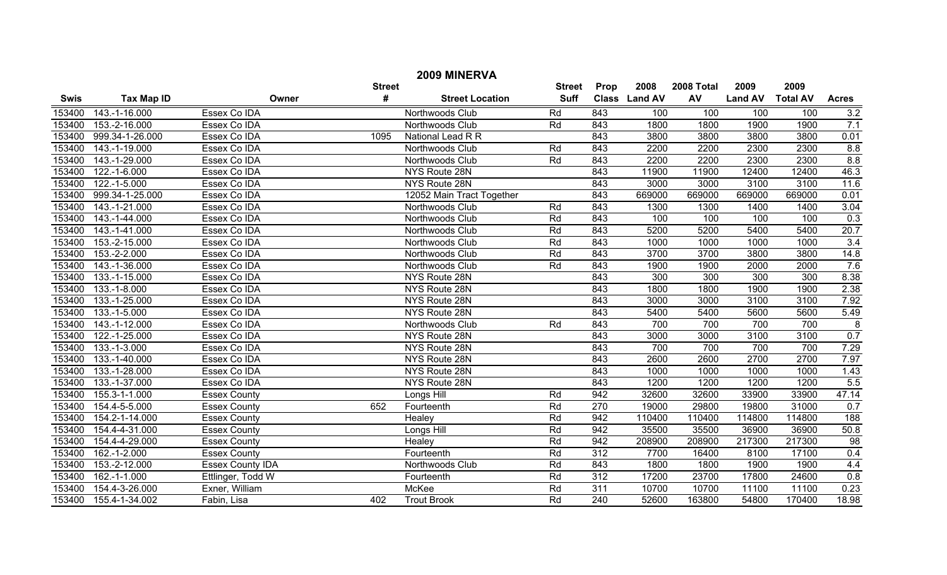|             | 2009 MINERVA      |                         |               |                           |               |                  |               |            |                |                 |                         |  |
|-------------|-------------------|-------------------------|---------------|---------------------------|---------------|------------------|---------------|------------|----------------|-----------------|-------------------------|--|
|             |                   |                         | <b>Street</b> |                           | <b>Street</b> | Prop             | 2008          | 2008 Total | 2009           | 2009            |                         |  |
| <b>Swis</b> | <b>Tax Map ID</b> |                         | #<br>Owner    | <b>Street Location</b>    | <b>Suff</b>   |                  | Class Land AV | AV         | <b>Land AV</b> | <b>Total AV</b> | <b>Acres</b>            |  |
| 153400      | 143.-1-16.000     | Essex Co IDA            |               | Northwoods Club           | Rd            | 843              | 100           | 100        | 100            | 100             | 3.2                     |  |
| 153400      | 153.-2-16.000     | Essex Co IDA            |               | Northwoods Club           | Rd            | 843              | 1800          | 1800       | 1900           | 1900            | 7.1                     |  |
| 153400      | 999.34-1-26.000   | Essex Co IDA            | 1095          | National Lead R R         |               | 843              | 3800          | 3800       | 3800           | 3800            | 0.01                    |  |
| 153400      | 143.-1-19.000     | Essex Co IDA            |               | Northwoods Club           | Rd            | 843              | 2200          | 2200       | 2300           | 2300            | 8.8                     |  |
| 153400      | 143.-1-29.000     | Essex Co IDA            |               | Northwoods Club           | Rd            | 843              | 2200          | 2200       | 2300           | 2300            | 8.8                     |  |
| 153400      | $122.-1-6.000$    | Essex Co IDA            |               | NYS Route 28N             |               | 843              | 11900         | 11900      | 12400          | 12400           | 46.3                    |  |
| 153400      | $122.-1-5.000$    | Essex Co IDA            |               | NYS Route 28N             |               | 843              | 3000          | 3000       | 3100           | 3100            | 11.6                    |  |
| 153400      | 999.34-1-25.000   | Essex Co IDA            |               | 12052 Main Tract Together |               | 843              | 669000        | 669000     | 669000         | 669000          | 0.01                    |  |
| 153400      | 143.-1-21.000     | Essex Co IDA            |               | Northwoods Club           | Rd            | 843              | 1300          | 1300       | 1400           | 1400            | 3.04                    |  |
| 153400      | 143.-1-44.000     | Essex Co IDA            |               | Northwoods Club           | Rd            | 843              | 100           | 100        | 100            | 100             | 0.3                     |  |
| 153400      | 143.-1-41.000     | Essex Co IDA            |               | Northwoods Club           | Rd            | 843              | 5200          | 5200       | 5400           | 5400            | 20.7                    |  |
| 153400      | 153.-2-15.000     | Essex Co IDA            |               | Northwoods Club           | Rd            | 843              | 1000          | 1000       | 1000           | 1000            | $\overline{3.4}$        |  |
| 153400      | 153.-2-2.000      | Essex Co IDA            |               | Northwoods Club           | Rd            | 843              | 3700          | 3700       | 3800           | 3800            | 14.8                    |  |
| 153400      | 143.-1-36.000     | Essex Co IDA            |               | Northwoods Club           | Rd            | 843              | 1900          | 1900       | 2000           | 2000            | 7.6                     |  |
| 153400      | 133.-1-15.000     | Essex Co IDA            |               | NYS Route 28N             |               | 843              | 300           | 300        | 300            | 300             | 8.38                    |  |
| 153400      | $133.-1-8.000$    | Essex Co IDA            |               | NYS Route 28N             |               | 843              | 1800          | 1800       | 1900           | 1900            | 2.38                    |  |
| 153400      | 133.-1-25.000     | Essex Co IDA            |               | NYS Route 28N             |               | 843              | 3000          | 3000       | 3100           | 3100            | 7.92                    |  |
| 153400      | 133.-1-5.000      | Essex Co IDA            |               | NYS Route 28N             |               | 843              | 5400          | 5400       | 5600           | 5600            | 5.49                    |  |
| 153400      | 143.-1-12.000     | Essex Co IDA            |               | Northwoods Club           | Rd            | 843              | 700           | 700        | 700            | 700             | $\overline{\mathbf{8}}$ |  |
| 153400      | 122.-1-25.000     | Essex Co IDA            |               | NYS Route 28N             |               | 843              | 3000          | 3000       | 3100           | 3100            | 0.7                     |  |
| 153400      | $133.-1-3.000$    | Essex Co IDA            |               | NYS Route 28N             |               | 843              | 700           | 700        | 700            | 700             | 7.29                    |  |
| 153400      | 133.-1-40.000     | Essex Co IDA            |               | NYS Route 28N             |               | 843              | 2600          | 2600       | 2700           | 2700            | 7.97                    |  |
| 153400      | 133.-1-28.000     | Essex Co IDA            |               | NYS Route 28N             |               | 843              | 1000          | 1000       | 1000           | 1000            | 1.43                    |  |
| 153400      | 133.-1-37.000     | Essex Co IDA            |               | NYS Route 28N             |               | 843              | 1200          | 1200       | 1200           | 1200            | 5.5                     |  |
| 153400      | 155.3-1-1.000     | <b>Essex County</b>     |               | Longs Hill                | Rd            | 942              | 32600         | 32600      | 33900          | 33900           | 47.14                   |  |
| 153400      | 154.4-5-5.000     | <b>Essex County</b>     | 652           | Fourteenth                | Rd            | 270              | 19000         | 29800      | 19800          | 31000           | 0.7                     |  |
| 153400      | 154.2-1-14.000    | <b>Essex County</b>     |               | Healey                    | Rd            | 942              | 110400        | 110400     | 114800         | 114800          | 188                     |  |
| 153400      | 154.4-4-31.000    | <b>Essex County</b>     |               | Longs Hill                | Rd            | 942              | 35500         | 35500      | 36900          | 36900           | 50.8                    |  |
| 153400      | 154.4-4-29.000    | <b>Essex County</b>     |               | Healey                    | Rd            | 942              | 208900        | 208900     | 217300         | 217300          | 98                      |  |
| 153400      | 162.-1-2.000      | <b>Essex County</b>     |               | Fourteenth                | Rd            | 312              | 7700          | 16400      | 8100           | 17100           | 0.4                     |  |
| 153400      | 153.-2-12.000     | <b>Essex County IDA</b> |               | Northwoods Club           | Rd            | 843              | 1800          | 1800       | 1900           | 1900            | 4.4                     |  |
| 153400      | $162.-1-1.000$    | Ettlinger, Todd W       |               | Fourteenth                | Rd            | 312              | 17200         | 23700      | 17800          | 24600           | 0.8                     |  |
| 153400      | 154.4-3-26.000    | Exner, William          |               | <b>McKee</b>              | Rd            | 311              | 10700         | 10700      | 11100          | 11100           | 0.23                    |  |
| 153400      | 155.4-1-34.002    | Fabin, Lisa             | 402           | <b>Trout Brook</b>        | Rd            | $\overline{240}$ | 52600         | 163800     | 54800          | 170400          | 18.98                   |  |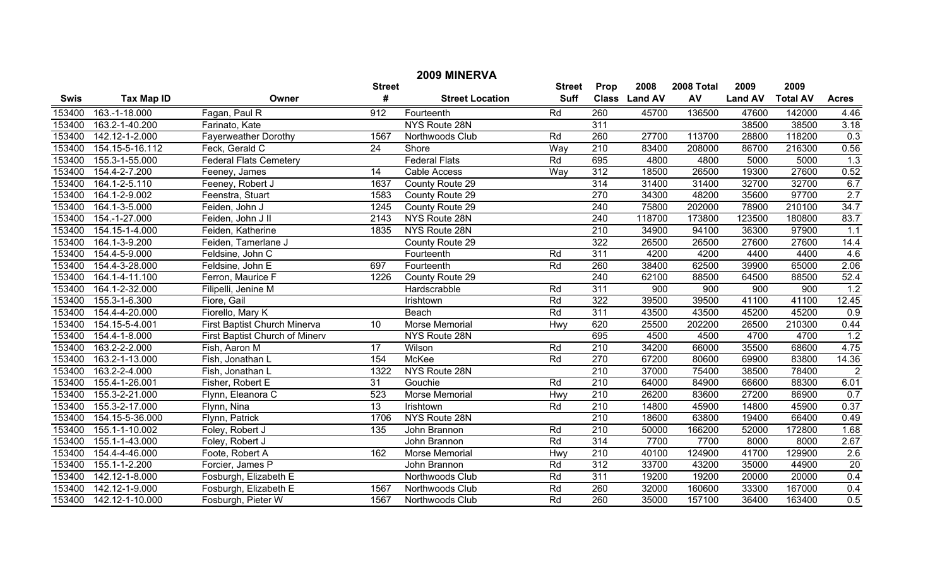| 2009 MINERVA |                     |                                |                 |                        |             |                  |               |        |                |                 |                  |  |
|--------------|---------------------|--------------------------------|-----------------|------------------------|-------------|------------------|---------------|--------|----------------|-----------------|------------------|--|
|              |                     | <b>Street</b>                  | <b>Street</b>   | Prop                   | 2008        | 2008 Total       | 2009          | 2009   |                |                 |                  |  |
| <b>Swis</b>  | <b>Tax Map ID</b>   | Owner                          | #               | <b>Street Location</b> | <b>Suff</b> |                  | Class Land AV | AV     | <b>Land AV</b> | <b>Total AV</b> | <b>Acres</b>     |  |
| 153400       | 163.-1-18.000       | Fagan, Paul R                  | 912             | Fourteenth             | Rd          | 260              | 45700         | 136500 | 47600          | 142000          | 4.46             |  |
| 153400       | 163.2-1-40.200      | Farinato, Kate                 |                 | NYS Route 28N          |             | 311              |               |        | 38500          | 38500           | 3.18             |  |
| 153400       | 142.12-1-2.000      | <b>Fayerweather Dorothy</b>    | 1567            | Northwoods Club        | Rd          | 260              | 27700         | 113700 | 28800          | 118200          | 0.3              |  |
| 153400       | 154.15-5-16.112     | Feck, Gerald C                 | $\overline{24}$ | Shore                  | Way         | $\overline{210}$ | 83400         | 208000 | 86700          | 216300          | 0.56             |  |
| 153400       | 155.3-1-55.000      | <b>Federal Flats Cemetery</b>  |                 | <b>Federal Flats</b>   | Rd          | 695              | 4800          | 4800   | 5000           | 5000            | 1.3              |  |
| 153400       | 154.4-2-7.200       | Feeney, James                  | 14              | <b>Cable Access</b>    | Way         | 312              | 18500         | 26500  | 19300          | 27600           | 0.52             |  |
| 153400       | 164.1-2-5.110       | Feeney, Robert J               | 1637            | County Route 29        |             | 314              | 31400         | 31400  | 32700          | 32700           | 6.7              |  |
| 153400       | 164.1-2-9.002       | Feenstra, Stuart               | 1583            | County Route 29        |             | 270              | 34300         | 48200  | 35600          | 97700           | 2.7              |  |
| 153400       | 164.1-3-5.000       | Feiden, John J                 | 1245            | County Route 29        |             | 240              | 75800         | 202000 | 78900          | 210100          | 34.7             |  |
| 153400       | 154.-1-27.000       | Feiden, John J II              | 2143            | NYS Route 28N          |             | 240              | 118700        | 173800 | 123500         | 180800          | 83.7             |  |
| 153400       | 154.15-1-4.000      | Feiden, Katherine              | 1835            | NYS Route 28N          |             | 210              | 34900         | 94100  | 36300          | 97900           | 1.1              |  |
| 153400       | 164.1-3-9.200       | Feiden, Tamerlane J            |                 | County Route 29        |             | 322              | 26500         | 26500  | 27600          | 27600           | 14.4             |  |
| 153400       | 154.4-5-9.000       | Feldsine, John C               |                 | Fourteenth             | Rd          | 311              | 4200          | 4200   | 4400           | 4400            | 4.6              |  |
| 153400       | 154.4-3-28.000      | Feldsine, John E               | 697             | Fourteenth             | Rd          | 260              | 38400         | 62500  | 39900          | 65000           | 2.06             |  |
| 153400       | 164.1-4-11.100      | Ferron, Maurice F              | 1226            | County Route 29        |             | 240              | 62100         | 88500  | 64500          | 88500           | 52.4             |  |
| 153400       | 164.1-2-32.000      | Filipelli, Jenine M            |                 | Hardscrabble           | Rd          | 311              | 900           | 900    | 900            | 900             | 1.2              |  |
| 153400       | 155.3-1-6.300       | Fiore, Gail                    |                 | Irishtown              | Rd          | 322              | 39500         | 39500  | 41100          | 41100           | 12.45            |  |
| 153400       | 154.4-4-20.000      | Fiorello, Mary K               |                 | Beach                  | Rd          | 311              | 43500         | 43500  | 45200          | 45200           | 0.9              |  |
| 153400       | 154.15-5-4.001      | First Baptist Church Minerva   | 10              | Morse Memorial         | Hwy         | 620              | 25500         | 202200 | 26500          | 210300          | 0.44             |  |
| 153400       | 154.4-1-8.000       | First Baptist Church of Minerv |                 | NYS Route 28N          |             | 695              | 4500          | 4500   | 4700           | 4700            | $\overline{1.2}$ |  |
| 153400       | 163.2-2-2.000       | Fish, Aaron M                  | $\overline{17}$ | Wilson                 | Rd          | $\overline{210}$ | 34200         | 66000  | 35500          | 68600           | 4.75             |  |
| 153400       | 163.2-1-13.000      | Fish, Jonathan L               | 154             | McKee                  | Rd          | 270              | 67200         | 80600  | 69900          | 83800           | 14.36            |  |
| 153400       | $163.2 - 2 - 4.000$ | Fish, Jonathan L               | 1322            | NYS Route 28N          |             | $\overline{210}$ | 37000         | 75400  | 38500          | 78400           | $\overline{2}$   |  |
| 153400       | 155.4-1-26.001      | Fisher, Robert E               | $\overline{31}$ | Gouchie                | Rd          | $\overline{210}$ | 64000         | 84900  | 66600          | 88300           | 6.01             |  |
| 153400       | 155.3-2-21.000      | Flynn, Eleanora C              | 523             | Morse Memorial         | Hwy         | 210              | 26200         | 83600  | 27200          | 86900           | 0.7              |  |
| 153400       | 155.3-2-17.000      | Flynn, Nina                    | $\overline{13}$ | Irishtown              | Rd          | $\overline{210}$ | 14800         | 45900  | 14800          | 45900           | 0.37             |  |
| 153400       | 154.15-5-36.000     | Flynn, Patrick                 | 1706            | NYS Route 28N          |             | $\overline{210}$ | 18600         | 63800  | 19400          | 66400           | 0.49             |  |
| 153400       | 155.1-1-10.002      | Foley, Robert J                | $\frac{135}{1}$ | John Brannon           | Rd          | 210              | 50000         | 166200 | 52000          | 172800          | 1.68             |  |
| 153400       | 155.1-1-43.000      | Foley, Robert J                |                 | John Brannon           | Rd          | 314              | 7700          | 7700   | 8000           | 8000            | 2.67             |  |
| 153400       | 154.4-4-46.000      | Foote, Robert A                | 162             | Morse Memorial         | Hwy         | $\overline{210}$ | 40100         | 124900 | 41700          | 129900          | 2.6              |  |
| 153400       | 155.1-1-2.200       | Forcier, James P               |                 | John Brannon           | Rd          | 312              | 33700         | 43200  | 35000          | 44900           | 20               |  |
| 153400       | 142.12-1-8.000      | Fosburgh, Elizabeth E          |                 | Northwoods Club        | Rd          | 311              | 19200         | 19200  | 20000          | 20000           | 0.4              |  |
| 153400       | 142.12-1-9.000      | Fosburgh, Elizabeth E          | 1567            | Northwoods Club        | Rd          | 260              | 32000         | 160600 | 33300          | 167000          | 0.4              |  |
| 153400       | 142.12-1-10.000     | Fosburgh, Pieter W             | 1567            | Northwoods Club        | Rd          | 260              | 35000         | 157100 | 36400          | 163400          | 0.5              |  |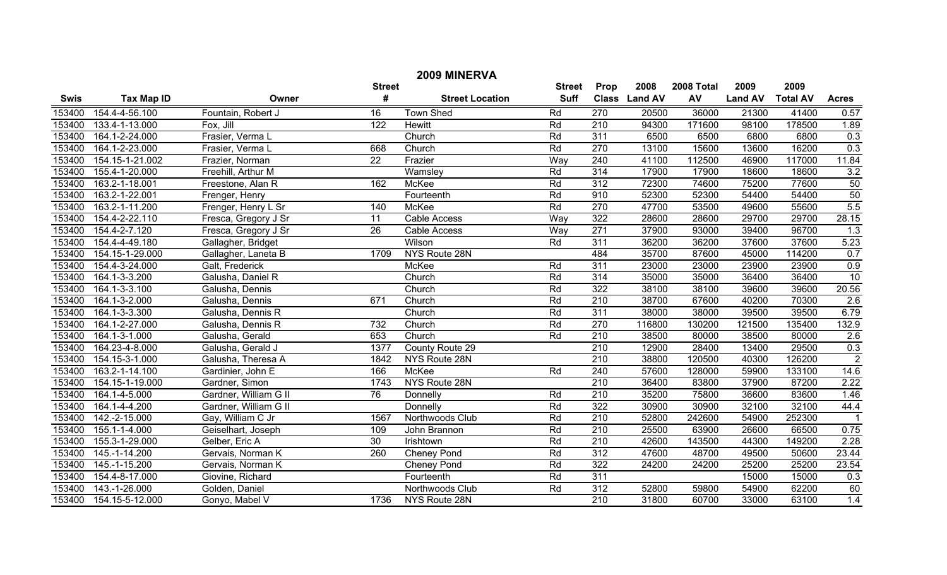| 2009 MINERVA |                   |                       |                 |                        |             |                  |               |        |                |                 |                  |
|--------------|-------------------|-----------------------|-----------------|------------------------|-------------|------------------|---------------|--------|----------------|-----------------|------------------|
|              |                   | <b>Street</b>         | <b>Street</b>   | Prop                   | 2008        | 2008 Total       | 2009          | 2009   |                |                 |                  |
| <b>Swis</b>  | <b>Tax Map ID</b> | Owner                 | #               | <b>Street Location</b> | <b>Suff</b> |                  | Class Land AV | AV     | <b>Land AV</b> | <b>Total AV</b> | <b>Acres</b>     |
| 153400       | 154.4-4-56.100    | Fountain, Robert J    | $\overline{16}$ | <b>Town Shed</b>       | Rd          | 270              | 20500         | 36000  | 21300          | 41400           | 0.57             |
| 153400       | 133.4-1-13.000    | Fox, Jill             | 122             | <b>Hewitt</b>          | Rd          | $\overline{210}$ | 94300         | 171600 | 98100          | 178500          | 1.89             |
| 153400       | 164.1-2-24.000    | Frasier, Verma L      |                 | Church                 | Rd          | 311              | 6500          | 6500   | 6800           | 6800            | 0.3              |
| 153400       | 164.1-2-23.000    | Frasier, Verma L      | 668             | Church                 | Rd          | 270              | 13100         | 15600  | 13600          | 16200           | 0.3              |
| 153400       | 154.15-1-21.002   | Frazier, Norman       | $\overline{22}$ | Frazier                | Way         | 240              | 41100         | 112500 | 46900          | 117000          | 11.84            |
| 153400       | 155.4-1-20.000    | Freehill, Arthur M    |                 | Wamsley                | Rd          | 314              | 17900         | 17900  | 18600          | 18600           | 3.2              |
| 153400       | 163.2-1-18.001    | Freestone, Alan R     | 162             | <b>McKee</b>           | Rd          | 312              | 72300         | 74600  | 75200          | 77600           | 50               |
| 153400       | 163.2-1-22.001    | Frenger, Henry        |                 | Fourteenth             | Rd          | 910              | 52300         | 52300  | 54400          | 54400           | 50               |
| 153400       | 163.2-1-11.200    | Frenger, Henry L Sr   | 140             | <b>McKee</b>           | Rd          | 270              | 47700         | 53500  | 49600          | 55600           | 5.5              |
| 153400       | 154.4-2-22.110    | Fresca, Gregory J Sr  | 11              | Cable Access           | Way         | 322              | 28600         | 28600  | 29700          | 29700           | 28.15            |
| 153400       | 154.4-2-7.120     | Fresca, Gregory J Sr  | $\overline{26}$ | Cable Access           | Way         | 271              | 37900         | 93000  | 39400          | 96700           | $\overline{1.3}$ |
| 153400       | 154.4-4-49.180    | Gallagher, Bridget    |                 | Wilson                 | Rd          | 311              | 36200         | 36200  | 37600          | 37600           | 5.23             |
| 153400       | 154.15-1-29.000   | Gallagher, Laneta B   | 1709            | NYS Route 28N          |             | 484              | 35700         | 87600  | 45000          | 114200          | 0.7              |
| 153400       | 154.4-3-24.000    | Galt, Frederick       |                 | McKee                  | Rd          | 311              | 23000         | 23000  | 23900          | 23900           | 0.9              |
| 153400       | 164.1-3-3.200     | Galusha, Daniel R     |                 | Church                 | Rd          | 314              | 35000         | 35000  | 36400          | 36400           | 10               |
| 153400       | 164.1-3-3.100     | Galusha, Dennis       |                 | Church                 | Rd          | 322              | 38100         | 38100  | 39600          | 39600           | 20.56            |
| 153400       | 164.1-3-2.000     | Galusha, Dennis       | 671             | Church                 | Rd          | 210              | 38700         | 67600  | 40200          | 70300           | 2.6              |
| 153400       | 164.1-3-3.300     | Galusha, Dennis R     |                 | Church                 | Rd          | 311              | 38000         | 38000  | 39500          | 39500           | 6.79             |
| 153400       | 164.1-2-27.000    | Galusha, Dennis R     | 732             | Church                 | Rd          | 270              | 116800        | 130200 | 121500         | 135400          | 132.9            |
| 153400       | 164.1-3-1.000     | Galusha, Gerald       | 653             | Church                 | Rd          | $\overline{210}$ | 38500         | 80000  | 38500          | 80000           | 2.6              |
| 153400       | 164.23-4-8.000    | Galusha, Gerald J     | 1377            | County Route 29        |             | 210              | 12900         | 28400  | 13400          | 29500           | 0.3              |
| 153400       | 154.15-3-1.000    | Galusha, Theresa A    | 1842            | NYS Route 28N          |             | 210              | 38800         | 120500 | 40300          | 126200          | $\overline{2}$   |
| 153400       | 163.2-1-14.100    | Gardinier, John E     | 166             | <b>McKee</b>           | Rd          | 240              | 57600         | 128000 | 59900          | 133100          | 14.6             |
| 153400       | 154.15-1-19.000   | Gardner, Simon        | 1743            | NYS Route 28N          |             | 210              | 36400         | 83800  | 37900          | 87200           | 2.22             |
| 153400       | 164.1-4-5.000     | Gardner, William G II | 76              | Donnelly               | Rd          | 210              | 35200         | 75800  | 36600          | 83600           | 1.46             |
| 153400       | 164.1-4-4.200     | Gardner, William G II |                 | Donnelly               | Rd          | 322              | 30900         | 30900  | 32100          | 32100           | 44.4             |
| 153400       | 142.-2-15.000     | Gay, William C Jr     | 1567            | Northwoods Club        | Rd          | $\overline{210}$ | 52800         | 242600 | 54900          | 252300          |                  |
| 153400       | 155.1-1-4.000     | Geiselhart, Joseph    | 109             | John Brannon           | Rd          | 210              | 25500         | 63900  | 26600          | 66500           | 0.75             |
| 153400       | 155.3-1-29.000    | Gelber, Eric A        | $\overline{30}$ | Irishtown              | Rd          | $\overline{210}$ | 42600         | 143500 | 44300          | 149200          | 2.28             |
| 153400       | 145.-1-14.200     | Gervais, Norman K     | 260             | Cheney Pond            | Rd          | 312              | 47600         | 48700  | 49500          | 50600           | 23.44            |
| 153400       | 145.-1-15.200     | Gervais, Norman K     |                 | <b>Cheney Pond</b>     | Rd          | 322              | 24200         | 24200  | 25200          | 25200           | 23.54            |
| 153400       | 154.4-8-17.000    | Giovine, Richard      |                 | Fourteenth             | Rd          | 311              |               |        | 15000          | 15000           | 0.3              |
| 153400       | 143.-1-26.000     | Golden, Daniel        |                 | Northwoods Club        | Rd          | 312              | 52800         | 59800  | 54900          | 62200           | 60               |
| 153400       | 154.15-5-12.000   | Gonyo, Mabel V        | 1736            | NYS Route 28N          |             | $\overline{210}$ | 31800         | 60700  | 33000          | 63100           | 1.4              |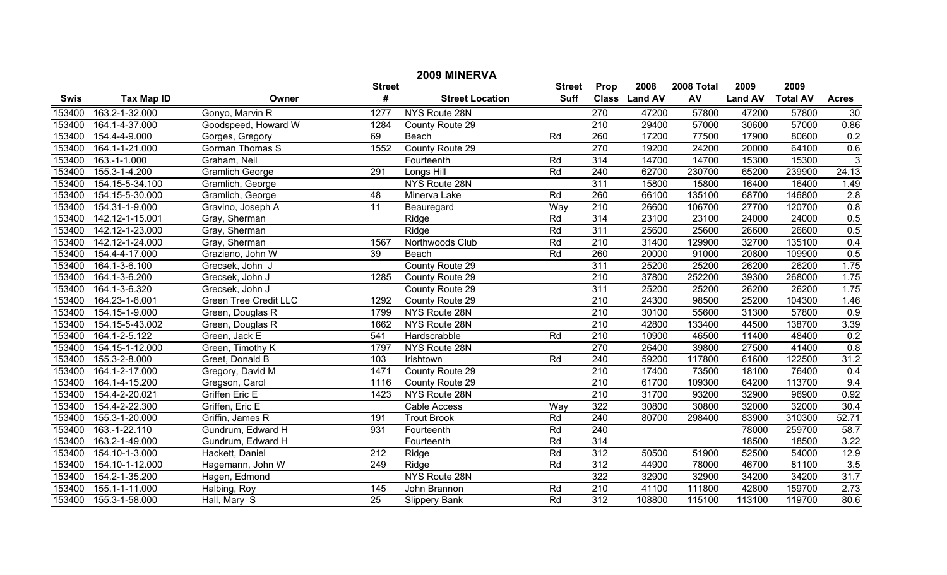|             | 2009 MINERVA      |                              |                  |                        |               |                  |               |            |                |                 |                |  |  |
|-------------|-------------------|------------------------------|------------------|------------------------|---------------|------------------|---------------|------------|----------------|-----------------|----------------|--|--|
|             |                   |                              | <b>Street</b>    |                        | <b>Street</b> | Prop             | 2008          | 2008 Total | 2009           | 2009            |                |  |  |
| <b>Swis</b> | <b>Tax Map ID</b> | Owner                        | #                | <b>Street Location</b> | <b>Suff</b>   |                  | Class Land AV | AV         | <b>Land AV</b> | <b>Total AV</b> | <b>Acres</b>   |  |  |
| 153400      | 163.2-1-32.000    | Gonyo, Marvin R              | 1277             | NYS Route 28N          |               | 270              | 47200         | 57800      | 47200          | 57800           | 30             |  |  |
| 153400      | 164.1-4-37.000    | Goodspeed, Howard W          | 1284             | County Route 29        |               | $\overline{210}$ | 29400         | 57000      | 30600          | 57000           | 0.86           |  |  |
| 153400      | 154.4-4-9.000     | Gorges, Gregory              | 69               | Beach                  | Rd            | 260              | 17200         | 77500      | 17900          | 80600           | 0.2            |  |  |
| 153400      | 164.1-1-21.000    | <b>Gorman Thomas S</b>       | 1552             | County Route 29        |               | 270              | 19200         | 24200      | 20000          | 64100           | 0.6            |  |  |
| 153400      | $163.-1-1.000$    | Graham, Neil                 |                  | Fourteenth             | Rd            | 314              | 14700         | 14700      | 15300          | 15300           | $\overline{3}$ |  |  |
| 153400      | 155.3-1-4.200     | <b>Gramlich George</b>       | 291              | Longs Hill             | Rd            | 240              | 62700         | 230700     | 65200          | 239900          | 24.13          |  |  |
| 153400      | 154.15-5-34.100   | Gramlich, George             |                  | NYS Route 28N          |               | 311              | 15800         | 15800      | 16400          | 16400           | 1.49           |  |  |
| 153400      | 154.15-5-30.000   | Gramlich, George             | $\overline{48}$  | Minerva Lake           | Rd            | 260              | 66100         | 135100     | 68700          | 146800          | 2.8            |  |  |
| 153400      | 154.31-1-9.000    | Gravino, Joseph A            | $\overline{11}$  | Beauregard             | Way           | 210              | 26600         | 106700     | 27700          | 120700          | 0.8            |  |  |
| 153400      | 142.12-1-15.001   | Gray, Sherman                |                  | Ridge                  | Rd            | 314              | 23100         | 23100      | 24000          | 24000           | 0.5            |  |  |
| 153400      | 142.12-1-23.000   | Gray, Sherman                |                  | Ridge                  | Rd            | 311              | 25600         | 25600      | 26600          | 26600           | 0.5            |  |  |
| 153400      | 142.12-1-24.000   | Gray, Sherman                | 1567             | Northwoods Club        | Rd            | 210              | 31400         | 129900     | 32700          | 135100          | 0.4            |  |  |
| 153400      | 154.4-4-17.000    | Graziano, John W             | $\overline{39}$  | Beach                  | Rd            | 260              | 20000         | 91000      | 20800          | 109900          | 0.5            |  |  |
| 153400      | 164.1-3-6.100     | Grecsek, John J              |                  | County Route 29        |               | 311              | 25200         | 25200      | 26200          | 26200           | 1.75           |  |  |
| 153400      | 164.1-3-6.200     | Grecsek, John J              | 1285             | County Route 29        |               | $\overline{210}$ | 37800         | 252200     | 39300          | 268000          | 1.75           |  |  |
| 153400      | 164.1-3-6.320     | Grecsek, John J              |                  | County Route 29        |               | 311              | 25200         | 25200      | 26200          | 26200           | 1.75           |  |  |
| 153400      | 164.23-1-6.001    | <b>Green Tree Credit LLC</b> | 1292             | County Route 29        |               | 210              | 24300         | 98500      | 25200          | 104300          | 1.46           |  |  |
| 153400      | 154.15-1-9.000    | Green, Douglas R             | 1799             | NYS Route 28N          |               | $\overline{210}$ | 30100         | 55600      | 31300          | 57800           | 0.9            |  |  |
| 153400      | 154.15-5-43.002   | Green, Douglas R             | 1662             | NYS Route 28N          |               | 210              | 42800         | 133400     | 44500          | 138700          | 3.39           |  |  |
| 153400      | 164.1-2-5.122     | Green, Jack E                | 541              | Hardscrabble           | Rd            | $\overline{210}$ | 10900         | 46500      | 11400          | 48400           | 0.2            |  |  |
| 153400      | 154.15-1-12.000   | Green, Timothy K             | 1797             | NYS Route 28N          |               | 270              | 26400         | 39800      | 27500          | 41400           | 0.8            |  |  |
| 153400      | 155.3-2-8.000     | Greet, Donald B              | 103              | Irishtown              | Rd            | 240              | 59200         | 117800     | 61600          | 122500          | 31.2           |  |  |
| 153400      | 164.1-2-17.000    | Gregory, David M             | 1471             | County Route 29        |               | $\overline{210}$ | 17400         | 73500      | 18100          | 76400           | 0.4            |  |  |
| 153400      | 164.1-4-15.200    | Gregson, Carol               | 1116             | County Route 29        |               | $\overline{210}$ | 61700         | 109300     | 64200          | 113700          | 9.4            |  |  |
| 153400      | 154.4-2-20.021    | Griffen Eric E               | 1423             | NYS Route 28N          |               | 210              | 31700         | 93200      | 32900          | 96900           | 0.92           |  |  |
| 153400      | 154.4-2-22.300    | Griffen, Eric E              |                  | Cable Access           | Way           | 322              | 30800         | 30800      | 32000          | 32000           | 30.4           |  |  |
| 153400      | 155.3-1-20.000    | Griffin, James R             | 191              | <b>Trout Brook</b>     | Rd            | 240              | 80700         | 298400     | 83900          | 310300          | 52.71          |  |  |
| 153400      | 163.-1-22.110     | Gundrum, Edward H            | 931              | Fourteenth             | Rd            | 240              |               |            | 78000          | 259700          | 58.7           |  |  |
| 153400      | 163.2-1-49.000    | Gundrum, Edward H            |                  | Fourteenth             | Rd            | 314              |               |            | 18500          | 18500           | 3.22           |  |  |
| 153400      | 154.10-1-3.000    | Hackett, Daniel              | $\overline{212}$ | Ridge                  | Rd            | 312              | 50500         | 51900      | 52500          | 54000           | 12.9           |  |  |
| 153400      | 154.10-1-12.000   | Hagemann, John W             | 249              | Ridge                  | Rd            | 312              | 44900         | 78000      | 46700          | 81100           | 3.5            |  |  |
| 153400      | 154.2-1-35.200    | Hagen, Edmond                |                  | NYS Route 28N          |               | 322              | 32900         | 32900      | 34200          | 34200           | 31.7           |  |  |
| 153400      | 155.1-1-11.000    | Halbing, Roy                 | 145              | John Brannon           | Rd            | 210              | 41100         | 111800     | 42800          | 159700          | 2.73           |  |  |
| 153400      | 155.3-1-58.000    | Hall, Mary S                 | $\overline{25}$  | <b>Slippery Bank</b>   | Rd            | 312              | 108800        | 115100     | 113100         | 119700          | 80.6           |  |  |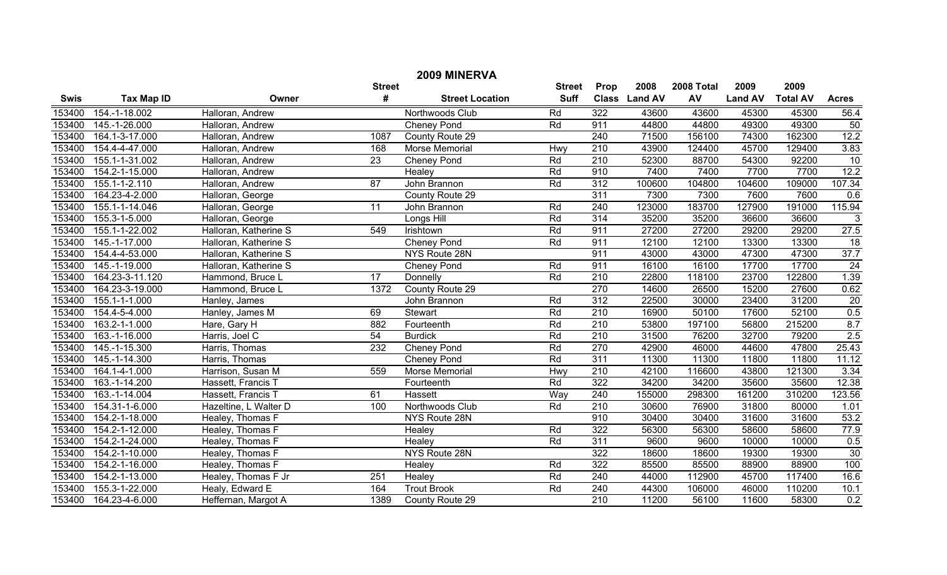|             | 2009 MINERVA      |                       |                 |                        |               |                  |               |            |                |                 |                 |  |
|-------------|-------------------|-----------------------|-----------------|------------------------|---------------|------------------|---------------|------------|----------------|-----------------|-----------------|--|
|             |                   |                       | <b>Street</b>   |                        | <b>Street</b> | Prop             | 2008          | 2008 Total | 2009           | 2009            |                 |  |
| <b>Swis</b> | <b>Tax Map ID</b> | Owner                 | #               | <b>Street Location</b> | <b>Suff</b>   |                  | Class Land AV | AV         | <b>Land AV</b> | <b>Total AV</b> | <b>Acres</b>    |  |
| 153400      | 154.-1-18.002     | Halloran, Andrew      |                 | Northwoods Club        | Rd            | 322              | 43600         | 43600      | 45300          | 45300           | 56.4            |  |
| 153400      | 145.-1-26.000     | Halloran, Andrew      |                 | <b>Cheney Pond</b>     | Rd            | 911              | 44800         | 44800      | 49300          | 49300           | 50              |  |
| 153400      | 164.1-3-17.000    | Halloran, Andrew      | 1087            | County Route 29        |               | 240              | 71500         | 156100     | 74300          | 162300          | 12.2            |  |
| 153400      | 154.4-4-47.000    | Halloran, Andrew      | 168             | Morse Memorial         | Hwy           | $\overline{210}$ | 43900         | 124400     | 45700          | 129400          | 3.83            |  |
| 153400      | 155.1-1-31.002    | Halloran, Andrew      | $\overline{23}$ | Cheney Pond            | Rd            | 210              | 52300         | 88700      | 54300          | 92200           | 10              |  |
| 153400      | 154.2-1-15.000    | Halloran, Andrew      |                 | Healey                 | Rd            | 910              | 7400          | 7400       | 7700           | 7700            | 12.2            |  |
| 153400      | 155.1-1-2.110     | Halloran, Andrew      | $\overline{87}$ | John Brannon           | Rd            | 312              | 100600        | 104800     | 104600         | 109000          | 107.34          |  |
| 153400      | 164.23-4-2.000    | Halloran, George      |                 | County Route 29        |               | 311              | 7300          | 7300       | 7600           | 7600            | 0.6             |  |
| 153400      | 155.1-1-14.046    | Halloran, George      | 11              | John Brannon           | Rd            | 240              | 123000        | 183700     | 127900         | 191000          | 115.94          |  |
| 153400      | 155.3-1-5.000     | Halloran, George      |                 | Longs Hill             | Rd            | 314              | 35200         | 35200      | 36600          | 36600           | 3               |  |
| 153400      | 155.1-1-22.002    | Halloran, Katherine S | 549             | Irishtown              | Rd            | 911              | 27200         | 27200      | 29200          | 29200           | 27.5            |  |
| 153400      | 145.-1-17.000     | Halloran, Katherine S |                 | Cheney Pond            | Rd            | 911              | 12100         | 12100      | 13300          | 13300           | 18              |  |
| 153400      | 154.4-4-53.000    | Halloran, Katherine S |                 | NYS Route 28N          |               | 911              | 43000         | 43000      | 47300          | 47300           | 37.7            |  |
| 153400      | 145.-1-19.000     | Halloran, Katherine S |                 | Cheney Pond            | Rd            | 911              | 16100         | 16100      | 17700          | 17700           | $\overline{24}$ |  |
| 153400      | 164.23-3-11.120   | Hammond, Bruce L      | $\overline{17}$ | Donnelly               | Rd            | $\overline{210}$ | 22800         | 118100     | 23700          | 122800          | 1.39            |  |
| 153400      | 164.23-3-19.000   | Hammond, Bruce L      | 1372            | County Route 29        |               | 270              | 14600         | 26500      | 15200          | 27600           | 0.62            |  |
| 153400      | 155.1-1-1.000     | Hanley, James         |                 | John Brannon           | Rd            | 312              | 22500         | 30000      | 23400          | 31200           | $\overline{20}$ |  |
| 153400      | 154.4-5-4.000     | Hanley, James M       | 69              | Stewart                | Rd            | 210              | 16900         | 50100      | 17600          | 52100           | 0.5             |  |
| 153400      | 163.2-1-1.000     | Hare, Gary H          | 882             | Fourteenth             | Rd            | $\overline{210}$ | 53800         | 197100     | 56800          | 215200          | 8.7             |  |
| 153400      | 163.-1-16.000     | Harris, Joel C        | 54              | <b>Burdick</b>         | Rd            | $\overline{210}$ | 31500         | 76200      | 32700          | 79200           | 2.5             |  |
| 153400      | 145.-1-15.300     | Harris, Thomas        | 232             | <b>Cheney Pond</b>     | Rd            | 270              | 42900         | 46000      | 44600          | 47800           | 25.43           |  |
| 153400      | 145.-1-14.300     | Harris, Thomas        |                 | Cheney Pond            | Rd            | 311              | 11300         | 11300      | 11800          | 11800           | 11.12           |  |
| 153400      | 164.1-4-1.000     | Harrison, Susan M     | 559             | Morse Memorial         | Hwy           | $\overline{210}$ | 42100         | 116600     | 43800          | 121300          | 3.34            |  |
| 153400      | 163.-1-14.200     | Hassett, Francis T    |                 | Fourteenth             | Rd            | 322              | 34200         | 34200      | 35600          | 35600           | 12.38           |  |
| 153400      | 163.-1-14.004     | Hassett, Francis T    | 61              | Hassett                | Way           | 240              | 155000        | 298300     | 161200         | 310200          | 123.56          |  |
| 153400      | 154.31-1-6.000    | Hazeltine, L Walter D | 100             | Northwoods Club        | Rd            | $\overline{210}$ | 30600         | 76900      | 31800          | 80000           | 1.01            |  |
| 153400      | 154.2-1-18.000    | Healey, Thomas F      |                 | NYS Route 28N          |               | 910              | 30400         | 30400      | 31600          | 31600           | 53.2            |  |
| 153400      | 154.2-1-12.000    | Healey, Thomas F      |                 | Healey                 | Rd            | 322              | 56300         | 56300      | 58600          | 58600           | 77.9            |  |
| 153400      | 154.2-1-24.000    | Healey, Thomas F      |                 | Healey                 | Rd            | 311              | 9600          | 9600       | 10000          | 10000           | 0.5             |  |
| 153400      | 154.2-1-10.000    | Healey, Thomas F      |                 | <b>NYS Route 28N</b>   |               | 322              | 18600         | 18600      | 19300          | 19300           | 30              |  |
| 153400      | 154.2-1-16.000    | Healey, Thomas F      |                 | Healey                 | Rd            | 322              | 85500         | 85500      | 88900          | 88900           | 100             |  |
| 153400      | 154.2-1-13.000    | Healey, Thomas F Jr   | 251             | Healey                 | Rd            | 240              | 44000         | 112900     | 45700          | 117400          | 16.6            |  |
| 153400      | 155.3-1-22.000    | Healy, Edward E       | 164             | <b>Trout Brook</b>     | Rd            | 240              | 44300         | 106000     | 46000          | 110200          | 10.1            |  |
| 153400      | 164.23-4-6.000    | Heffernan, Margot A   | 1389            | County Route 29        |               | $\overline{210}$ | 11200         | 56100      | 11600          | 58300           | 0.2             |  |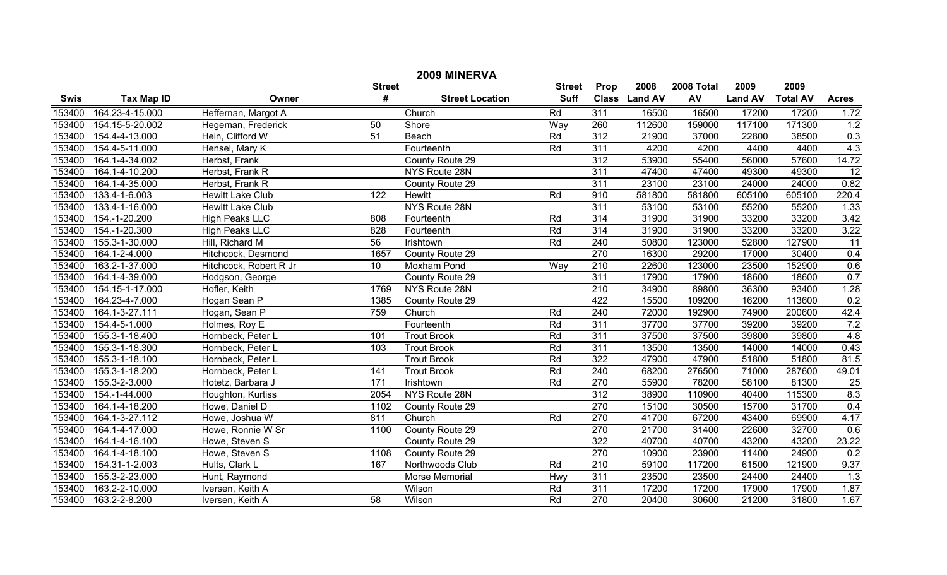|             | 2009 MINERVA      |                         |                  |                        |               |                  |               |            |                |                 |                 |  |
|-------------|-------------------|-------------------------|------------------|------------------------|---------------|------------------|---------------|------------|----------------|-----------------|-----------------|--|
|             |                   |                         | <b>Street</b>    |                        | <b>Street</b> | <b>Prop</b>      | 2008          | 2008 Total | 2009           | 2009            |                 |  |
| <b>Swis</b> | <b>Tax Map ID</b> | Owner                   | #                | <b>Street Location</b> | <b>Suff</b>   |                  | Class Land AV | AV         | <b>Land AV</b> | <b>Total AV</b> | <b>Acres</b>    |  |
| 153400      | 164.23-4-15.000   | Heffernan, Margot A     |                  | Church                 | Rd            | $\overline{311}$ | 16500         | 16500      | 17200          | 17200           | 1.72            |  |
| 153400      | 154.15-5-20.002   | Hegeman, Frederick      | 50               | Shore                  | Way           | 260              | 112600        | 159000     | 117100         | 171300          | 1.2             |  |
| 153400      | 154.4-4-13.000    | Hein, Clifford W        | $\overline{51}$  | Beach                  | Rd            | 312              | 21900         | 37000      | 22800          | 38500           | 0.3             |  |
| 153400      | 154.4-5-11.000    | Hensel, Mary K          |                  | Fourteenth             | Rd            | 311              | 4200          | 4200       | 4400           | 4400            | 4.3             |  |
| 153400      | 164.1-4-34.002    | Herbst, Frank           |                  | County Route 29        |               | 312              | 53900         | 55400      | 56000          | 57600           | 14.72           |  |
| 153400      | 164.1-4-10.200    | Herbst, Frank R         |                  | NYS Route 28N          |               | 311              | 47400         | 47400      | 49300          | 49300           | $\overline{12}$ |  |
| 153400      | 164.1-4-35.000    | Herbst, Frank R         |                  | County Route 29        |               | 311              | 23100         | 23100      | 24000          | 24000           | 0.82            |  |
| 153400      | 133.4-1-6.003     | <b>Hewitt Lake Club</b> | 122              | Hewitt                 | Rd            | 910              | 581800        | 581800     | 605100         | 605100          | 220.4           |  |
| 153400      | 133.4-1-16.000    | <b>Hewitt Lake Club</b> |                  | NYS Route 28N          |               | 311              | 53100         | 53100      | 55200          | 55200           | 1.33            |  |
| 153400      | 154.-1-20.200     | <b>High Peaks LLC</b>   | 808              | Fourteenth             | Rd            | 314              | 31900         | 31900      | 33200          | 33200           | 3.42            |  |
| 153400      | 154.-1-20.300     | <b>High Peaks LLC</b>   | 828              | Fourteenth             | Rd            | 314              | 31900         | 31900      | 33200          | 33200           | 3.22            |  |
| 153400      | 155.3-1-30.000    | Hill, Richard M         | $\overline{56}$  | Irishtown              | Rd            | 240              | 50800         | 123000     | 52800          | 127900          | $\overline{11}$ |  |
| 153400      | 164.1-2-4.000     | Hitchcock, Desmond      | 1657             | County Route 29        |               | 270              | 16300         | 29200      | 17000          | 30400           | 0.4             |  |
| 153400      | 163.2-1-37.000    | Hitchcock, Robert R Jr  | $\overline{10}$  | Moxham Pond            | Way           | $\overline{210}$ | 22600         | 123000     | 23500          | 152900          | 0.6             |  |
| 153400      | 164.1-4-39.000    | Hodgson, George         |                  | County Route 29        |               | 311              | 17900         | 17900      | 18600          | 18600           | 0.7             |  |
| 153400      | 154.15-1-17.000   | Hofler, Keith           | 1769             | NYS Route 28N          |               | 210              | 34900         | 89800      | 36300          | 93400           | 1.28            |  |
| 153400      | 164.23-4-7.000    | Hogan Sean P            | 1385             | County Route 29        |               | 422              | 15500         | 109200     | 16200          | 113600          | 0.2             |  |
| 153400      | 164.1-3-27.111    | Hogan, Sean P           | 759              | Church                 | Rd            | 240              | 72000         | 192900     | 74900          | 200600          | 42.4            |  |
| 153400      | 154.4-5-1.000     | Holmes, Roy E           |                  | Fourteenth             | Rd            | 311              | 37700         | 37700      | 39200          | 39200           | 7.2             |  |
| 153400      | 155.3-1-18.400    | Hornbeck, Peter L       | 101              | <b>Trout Brook</b>     | Rd            | 311              | 37500         | 37500      | 39800          | 39800           | 4.8             |  |
| 153400      | 155.3-1-18.300    | Hornbeck, Peter L       | 103              | <b>Trout Brook</b>     | Rd            | 311              | 13500         | 13500      | 14000          | 14000           | 0.43            |  |
| 153400      | 155.3-1-18.100    | Hornbeck, Peter L       |                  | <b>Trout Brook</b>     | Rd            | 322              | 47900         | 47900      | 51800          | 51800           | 81.5            |  |
| 153400      | 155.3-1-18.200    | Hornbeck, Peter L       | 141              | <b>Trout Brook</b>     | Rd            | 240              | 68200         | 276500     | 71000          | 287600          | 49.01           |  |
| 153400      | 155.3-2-3.000     | Hotetz, Barbara J       | $\overline{171}$ | Irishtown              | Rd            | 270              | 55900         | 78200      | 58100          | 81300           | $\overline{25}$ |  |
| 153400      | 154.-1-44.000     | Houghton, Kurtiss       | 2054             | NYS Route 28N          |               | 312              | 38900         | 110900     | 40400          | 115300          | 8.3             |  |
| 153400      | 164.1-4-18.200    | Howe, Daniel D          | 1102             | County Route 29        |               | 270              | 15100         | 30500      | 15700          | 31700           | 0.4             |  |
| 153400      | 164.1-3-27.112    | Howe, Joshua W          | 811              | Church                 | Rd            | 270              | 41700         | 67200      | 43400          | 69900           | 4.17            |  |
| 153400      | 164.1-4-17.000    | Howe, Ronnie W Sr       | 1100             | County Route 29        |               | 270              | 21700         | 31400      | 22600          | 32700           | 0.6             |  |
| 153400      | 164.1-4-16.100    | Howe, Steven S          |                  | County Route 29        |               | 322              | 40700         | 40700      | 43200          | 43200           | 23.22           |  |
| 153400      | 164.1-4-18.100    | Howe, Steven S          | 1108             | County Route 29        |               | 270              | 10900         | 23900      | 11400          | 24900           | 0.2             |  |
| 153400      | 154.31-1-2.003    | Hults, Clark L          | 167              | Northwoods Club        | Rd            | 210              | 59100         | 117200     | 61500          | 121900          | 9.37            |  |
| 153400      | 155.3-2-23.000    | Hunt, Raymond           |                  | Morse Memorial         | Hwy           | 311              | 23500         | 23500      | 24400          | 24400           | 1.3             |  |
| 153400      | 163.2-2-10.000    | Iversen, Keith A        |                  | Wilson                 | Rd            | 311              | 17200         | 17200      | 17900          | 17900           | 1.87            |  |
| 153400      | 163.2-2-8.200     | Iversen, Keith A        | $\overline{58}$  | Wilson                 | Rd            | 270              | 20400         | 30600      | 21200          | 31800           | 1.67            |  |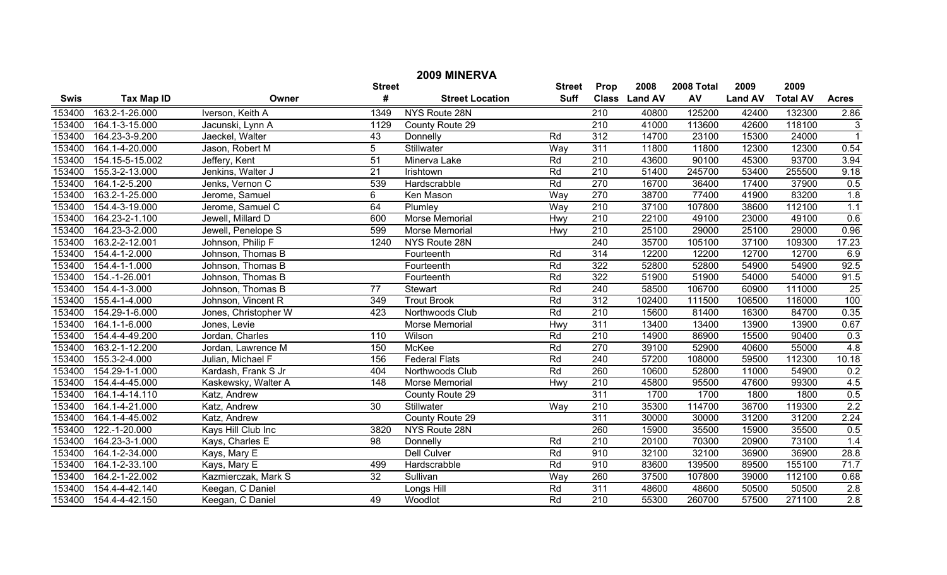| 2009 MINERVA |                   |                      |                 |                        |                 |                  |               |            |                |                 |                           |
|--------------|-------------------|----------------------|-----------------|------------------------|-----------------|------------------|---------------|------------|----------------|-----------------|---------------------------|
|              |                   |                      | <b>Street</b>   |                        | <b>Street</b>   | Prop             | 2008          | 2008 Total | 2009           | 2009            |                           |
| <b>Swis</b>  | <b>Tax Map ID</b> | Owner                | #               | <b>Street Location</b> | <b>Suff</b>     |                  | Class Land AV | AV         | <b>Land AV</b> | <b>Total AV</b> | <b>Acres</b>              |
| 153400       | 163.2-1-26.000    | Iverson, Keith A     | 1349            | NYS Route 28N          |                 | $\overline{210}$ | 40800         | 125200     | 42400          | 132300          | 2.86                      |
| 153400       | 164.1-3-15.000    | Jacunski, Lynn A     | 1129            | County Route 29        |                 | $\overline{210}$ | 41000         | 113600     | 42600          | 118100          | $\ensuremath{\mathsf{3}}$ |
| 153400       | 164.23-3-9.200    | Jaeckel, Walter      | 43              | Donnelly               | Rd              | 312              | 14700         | 23100      | 15300          | 24000           | $\overline{1}$            |
| 153400       | 164.1-4-20.000    | Jason, Robert M      | 5               | Stillwater             | Way             | 311              | 11800         | 11800      | 12300          | 12300           | 0.54                      |
| 153400       | 154.15-5-15.002   | Jeffery, Kent        | $\overline{51}$ | Minerva Lake           | Rd              | 210              | 43600         | 90100      | 45300          | 93700           | 3.94                      |
| 153400       | 155.3-2-13.000    | Jenkins, Walter J    | $\overline{21}$ | Irishtown              | Rd              | $\overline{210}$ | 51400         | 245700     | 53400          | 255500          | 9.18                      |
| 153400       | 164.1-2-5.200     | Jenks, Vernon C      | 539             | Hardscrabble           | Rd              | 270              | 16700         | 36400      | 17400          | 37900           | 0.5                       |
| 153400       | 163.2-1-25.000    | Jerome, Samuel       | 6               | Ken Mason              | Way             | 270              | 38700         | 77400      | 41900          | 83200           | 1.8                       |
| 153400       | 154.4-3-19.000    | Jerome, Samuel C     | 64              | Plumley                | Way             | 210              | 37100         | 107800     | 38600          | 112100          | 1.1                       |
| 153400       | 164.23-2-1.100    | Jewell, Millard D    | 600             | Morse Memorial         | Hwy             | 210              | 22100         | 49100      | 23000          | 49100           | 0.6                       |
| 153400       | 164.23-3-2.000    | Jewell, Penelope S   | 599             | Morse Memorial         | Hwy             | 210              | 25100         | 29000      | 25100          | 29000           | 0.96                      |
| 153400       | 163.2-2-12.001    | Johnson, Philip F    | 1240            | NYS Route 28N          |                 | 240              | 35700         | 105100     | 37100          | 109300          | 17.23                     |
| 153400       | 154.4-1-2.000     | Johnson, Thomas B    |                 | Fourteenth             | Rd              | 314              | 12200         | 12200      | 12700          | 12700           | 6.9                       |
| 153400       | 154.4-1-1.000     | Johnson, Thomas B    |                 | Fourteenth             | Rd              | 322              | 52800         | 52800      | 54900          | 54900           | 92.5                      |
| 153400       | 154.-1-26.001     | Johnson, Thomas B    |                 | Fourteenth             | $\overline{Rd}$ | 322              | 51900         | 51900      | 54000          | 54000           | 91.5                      |
| 153400       | 154.4-1-3.000     | Johnson, Thomas B    | $\overline{77}$ | <b>Stewart</b>         | $\overline{Rd}$ | 240              | 58500         | 106700     | 60900          | 111000          | 25                        |
| 153400       | 155.4-1-4.000     | Johnson, Vincent R   | 349             | <b>Trout Brook</b>     | Rd              | 312              | 102400        | 111500     | 106500         | 116000          | 100                       |
| 153400       | 154.29-1-6.000    | Jones, Christopher W | 423             | Northwoods Club        | Rd              | $\overline{210}$ | 15600         | 81400      | 16300          | 84700           | 0.35                      |
| 153400       | 164.1-1-6.000     | Jones, Levie         |                 | Morse Memorial         | Hwy             | 311              | 13400         | 13400      | 13900          | 13900           | 0.67                      |
| 153400       | 154.4-4-49.200    | Jordan, Charles      | 110             | Wilson                 | Rd              | $\overline{210}$ | 14900         | 86900      | 15500          | 90400           | 0.3                       |
| 153400       | 163.2-1-12.200    | Jordan, Lawrence M   | 150             | McKee                  | Rd              | 270              | 39100         | 52900      | 40600          | 55000           | 4.8                       |
| 153400       | 155.3-2-4.000     | Julian, Michael F    | 156             | <b>Federal Flats</b>   | Rd              | 240              | 57200         | 108000     | 59500          | 112300          | 10.18                     |
| 153400       | 154.29-1-1.000    | Kardash, Frank S Jr  | 404             | Northwoods Club        | Rd              | 260              | 10600         | 52800      | 11000          | 54900           | 0.2                       |
| 153400       | 154.4-4-45.000    | Kaskewsky, Walter A  | 148             | Morse Memorial         | Hwy             | 210              | 45800         | 95500      | 47600          | 99300           | 4.5                       |
| 153400       | 164.1-4-14.110    | Katz, Andrew         |                 | County Route 29        |                 | 311              | 1700          | 1700       | 1800           | 1800            | 0.5                       |
| 153400       | 164.1-4-21.000    | Katz, Andrew         | $\overline{30}$ | Stillwater             | Way             | 210              | 35300         | 114700     | 36700          | 119300          | 2.2                       |
| 153400       | 164.1-4-45.002    | Katz, Andrew         |                 | County Route 29        |                 | 311              | 30000         | 30000      | 31200          | 31200           | 2.24                      |
| 153400       | 122.-1-20.000     | Kays Hill Club Inc   | 3820            | NYS Route 28N          |                 | 260              | 15900         | 35500      | 15900          | 35500           | 0.5                       |
| 153400       | 164.23-3-1.000    | Kays, Charles E      | $\overline{98}$ | Donnelly               | Rd              | 210              | 20100         | 70300      | 20900          | 73100           | 1.4                       |
| 153400       | 164.1-2-34.000    | Kays, Mary E         |                 | <b>Dell Culver</b>     | $\overline{Rd}$ | 910              | 32100         | 32100      | 36900          | 36900           | 28.8                      |
| 153400       | 164.1-2-33.100    | Kays, Mary E         | 499             | Hardscrabble           | Rd              | 910              | 83600         | 139500     | 89500          | 155100          | 71.7                      |
| 153400       | 164.2-1-22.002    | Kazmierczak, Mark S  | $\overline{32}$ | Sullivan               | Way             | 260              | 37500         | 107800     | 39000          | 112100          | 0.68                      |
| 153400       | 154.4-4-42.140    | Keegan, C Daniel     |                 | Longs Hill             | Rd              | 311              | 48600         | 48600      | 50500          | 50500           | 2.8                       |
| 153400       | 154.4-4-42.150    | Keegan, C Daniel     | 49              | Woodlot                | Rd              | $\overline{210}$ | 55300         | 260700     | 57500          | 271100          | 2.8                       |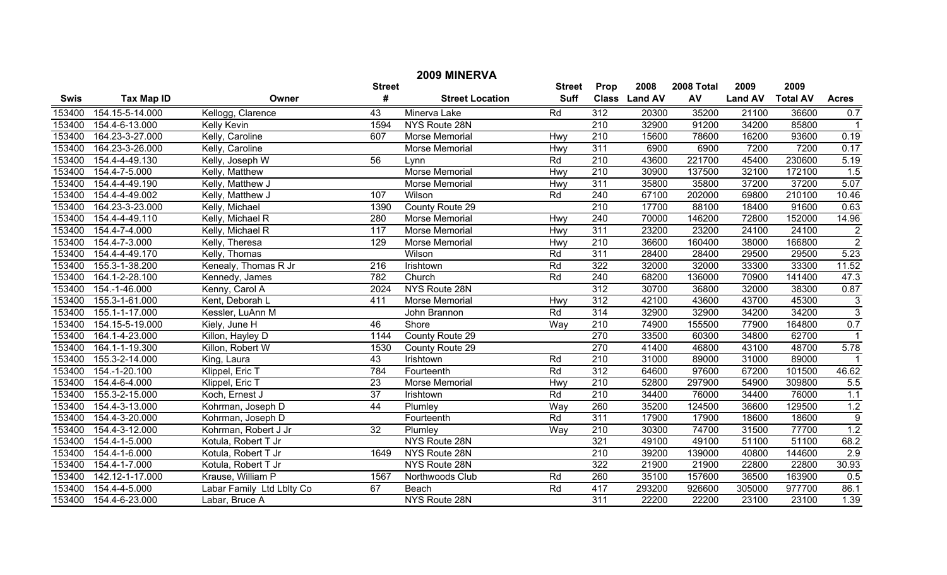| 2009 MINERVA |                   |                           |                  |                        |               |                  |                |            |                |                 |                |
|--------------|-------------------|---------------------------|------------------|------------------------|---------------|------------------|----------------|------------|----------------|-----------------|----------------|
|              |                   |                           | <b>Street</b>    |                        | <b>Street</b> | Prop             | 2008           | 2008 Total | 2009           | 2009            |                |
| <b>Swis</b>  | <b>Tax Map ID</b> | Owner                     | #                | <b>Street Location</b> | <b>Suff</b>   | <b>Class</b>     | <b>Land AV</b> | AV         | <b>Land AV</b> | <b>Total AV</b> | <b>Acres</b>   |
| 153400       | 154.15-5-14.000   | Kellogg, Clarence         | $\overline{43}$  | Minerva Lake           | Rd            | 312              | 20300          | 35200      | 21100          | 36600           | 0.7            |
| 153400       | 154.4-6-13.000    | <b>Kelly Kevin</b>        | 1594             | NYS Route 28N          |               | 210              | 32900          | 91200      | 34200          | 85800           |                |
| 153400       | 164.23-3-27.000   | Kelly, Caroline           | 607              | Morse Memorial         | Hwy           | 210              | 15600          | 78600      | 16200          | 93600           | 0.19           |
| 153400       | 164.23-3-26.000   | Kelly, Caroline           |                  | Morse Memorial         | Hwy           | 311              | 6900           | 6900       | 7200           | 7200            | 0.17           |
| 153400       | 154.4-4-49.130    | Kelly, Joseph W           | 56               | Lynn                   | Rd            | 210              | 43600          | 221700     | 45400          | 230600          | 5.19           |
| 153400       | 154.4-7-5.000     | Kelly, Matthew            |                  | <b>Morse Memorial</b>  | Hwy           | $\overline{210}$ | 30900          | 137500     | 32100          | 172100          | 1.5            |
| 153400       | 154.4-4-49.190    | Kelly, Matthew J          |                  | Morse Memorial         | Hwy           | 311              | 35800          | 35800      | 37200          | 37200           | 5.07           |
| 153400       | 154.4-4-49.002    | Kelly, Matthew J          | 107              | Wilson                 | Rd            | 240              | 67100          | 202000     | 69800          | 210100          | 10.46          |
| 153400       | 164.23-3-23.000   | Kelly, Michael            | 1390             | County Route 29        |               | $\overline{210}$ | 17700          | 88100      | 18400          | 91600           | 0.63           |
| 153400       | 154.4-4-49.110    | Kelly, Michael R          | 280              | Morse Memorial         | Hwy           | 240              | 70000          | 146200     | 72800          | 152000          | 14.96          |
| 153400       | 154.4-7-4.000     | Kelly, Michael R          | 117              | Morse Memorial         | Hwy           | 311              | 23200          | 23200      | 24100          | 24100           | $\frac{2}{2}$  |
| 153400       | 154.4-7-3.000     | Kelly, Theresa            | 129              | Morse Memorial         | Hwy           | 210              | 36600          | 160400     | 38000          | 166800          |                |
| 153400       | 154.4-4-49.170    | Kelly, Thomas             |                  | Wilson                 | Rd            | 311              | 28400          | 28400      | 29500          | 29500           | 5.23           |
| 153400       | 155.3-1-38.200    | Kenealy, Thomas R Jr      | $\overline{216}$ | Irishtown              | Rd            | 322              | 32000          | 32000      | 33300          | 33300           | 11.52          |
| 153400       | 164.1-2-28.100    | Kennedy, James            | 782              | Church                 | Rd            | 240              | 68200          | 136000     | 70900          | 141400          | 47.3           |
| 153400       | 154.-1-46.000     | Kenny, Carol A            | 2024             | NYS Route 28N          |               | 312              | 30700          | 36800      | 32000          | 38300           | 0.87           |
| 153400       | 155.3-1-61.000    | Kent, Deborah L           | 411              | Morse Memorial         | Hwy           | 312              | 42100          | 43600      | 43700          | 45300           | $\frac{3}{3}$  |
| 153400       | 155.1-1-17.000    | Kessler, LuAnn M          |                  | John Brannon           | Rd            | 314              | 32900          | 32900      | 34200          | 34200           |                |
| 153400       | 154.15-5-19.000   | Kiely, June H             | 46               | Shore                  | Way           | 210              | 74900          | 155500     | 77900          | 164800          | 0.7            |
| 153400       | 164.1-4-23.000    | Killon, Hayley D          | 1144             | County Route 29        |               | 270              | 33500          | 60300      | 34800          | 62700           |                |
| 153400       | 164.1-1-19.300    | Killon, Robert W          | 1530             | County Route 29        |               | 270              | 41400          | 46800      | 43100          | 48700           | 5.78           |
| 153400       | 155.3-2-14.000    | King, Laura               | $\overline{43}$  | Irishtown              | Rd            | 210              | 31000          | 89000      | 31000          | 89000           | $\overline{1}$ |
| 153400       | 154.-1-20.100     | Klippel, Eric T           | 784              | Fourteenth             | Rd            | $\overline{312}$ | 64600          | 97600      | 67200          | 101500          | 46.62          |
| 153400       | 154.4-6-4.000     | Klippel, Eric T           | 23               | <b>Morse Memorial</b>  | Hwy           | 210              | 52800          | 297900     | 54900          | 309800          | 5.5            |
| 153400       | 155.3-2-15.000    | Koch, Ernest J            | $\overline{37}$  | Irishtown              | Rd            | 210              | 34400          | 76000      | 34400          | 76000           | 1.1            |
| 153400       | 154.4-3-13.000    | Kohrman, Joseph D         | 44               | Plumley                | Way           | 260              | 35200          | 124500     | 36600          | 129500          | 1.2            |
| 153400       | 154.4-3-20.000    | Kohrman, Joseph D         |                  | Fourteenth             | Rd            | 311              | 17900          | 17900      | 18600          | 18600           | $\overline{9}$ |
| 153400       | 154.4-3-12.000    | Kohrman, Robert J Jr      | $\overline{32}$  | Plumley                | Way           | 210              | 30300          | 74700      | 31500          | 77700           | 1.2            |
| 153400       | 154.4-1-5.000     | Kotula, Robert T Jr       |                  | NYS Route 28N          |               | 321              | 49100          | 49100      | 51100          | 51100           | 68.2           |
| 153400       | 154.4-1-6.000     | Kotula, Robert T Jr       | 1649             | NYS Route 28N          |               | $\overline{210}$ | 39200          | 139000     | 40800          | 144600          | 2.9            |
| 153400       | 154.4-1-7.000     | Kotula, Robert T Jr       |                  | NYS Route 28N          |               | 322              | 21900          | 21900      | 22800          | 22800           | 30.93          |
| 153400       | 142.12-1-17.000   | Krause, William P         | 1567             | Northwoods Club        | Rd            | 260              | 35100          | 157600     | 36500          | 163900          | 0.5            |
| 153400       | 154.4-4-5.000     | Labar Family Ltd Lblty Co | 67               | Beach                  | Rd            | 417              | 293200         | 926600     | 305000         | 977700          | 86.1           |
| 153400       | 154.4-6-23.000    | Labar, Bruce A            |                  | NYS Route 28N          |               | 311              | 22200          | 22200      | 23100          | 23100           | 1.39           |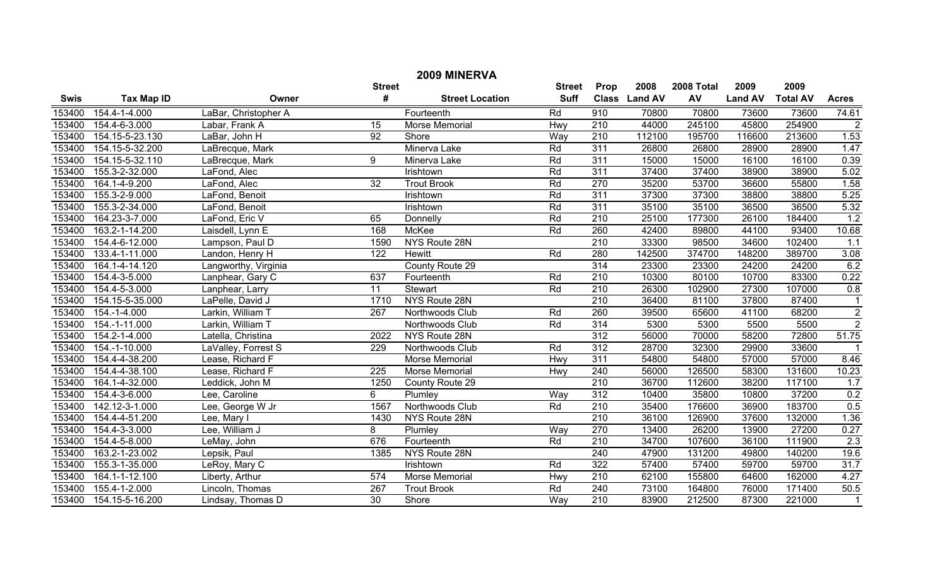|             | 2009 MINERVA      |                      |                  |                        |               |                  |               |            |                |                 |                |  |
|-------------|-------------------|----------------------|------------------|------------------------|---------------|------------------|---------------|------------|----------------|-----------------|----------------|--|
|             |                   |                      | <b>Street</b>    |                        | <b>Street</b> | Prop             | 2008          | 2008 Total | 2009           | 2009            |                |  |
| <b>Swis</b> | <b>Tax Map ID</b> | Owner                | #                | <b>Street Location</b> | <b>Suff</b>   |                  | Class Land AV | AV         | <b>Land AV</b> | <b>Total AV</b> | <b>Acres</b>   |  |
| 153400      | 154.4-1-4.000     | LaBar, Christopher A |                  | Fourteenth             | Rd            | 910              | 70800         | 70800      | 73600          | 73600           | 74.61          |  |
| 153400      | 154.4-6-3.000     | Labar, Frank A       | $\overline{15}$  | Morse Memorial         | Hwy           | $\overline{210}$ | 44000         | 245100     | 45800          | 254900          | $\overline{2}$ |  |
| 153400      | 154.15-5-23.130   | LaBar, John H        | $\overline{92}$  | Shore                  | Way           | 210              | 112100        | 195700     | 116600         | 213600          | 1.53           |  |
| 153400      | 154.15-5-32.200   | LaBrecque, Mark      |                  | Minerva Lake           | Rd            | 311              | 26800         | 26800      | 28900          | 28900           | 1.47           |  |
| 153400      | 154.15-5-32.110   | LaBrecque, Mark      | 9                | Minerva Lake           | Rd            | 311              | 15000         | 15000      | 16100          | 16100           | 0.39           |  |
| 153400      | 155.3-2-32.000    | LaFond, Alec         |                  | Irishtown              | Rd            | 311              | 37400         | 37400      | 38900          | 38900           | 5.02           |  |
| 153400      | 164.1-4-9.200     | LaFond, Alec         | $\overline{32}$  | <b>Trout Brook</b>     | Rd            | 270              | 35200         | 53700      | 36600          | 55800           | 1.58           |  |
| 153400      | 155.3-2-9.000     | LaFond, Benoit       |                  | Irishtown              | Rd            | 311              | 37300         | 37300      | 38800          | 38800           | 5.25           |  |
| 153400      | 155.3-2-34.000    | LaFond, Benoit       |                  | Irishtown              | Rd            | 311              | 35100         | 35100      | 36500          | 36500           | 5.32           |  |
| 153400      | 164.23-3-7.000    | LaFond, Eric V       | 65               | Donnelly               | Rd            | 210              | 25100         | 177300     | 26100          | 184400          | 1.2            |  |
| 153400      | 163.2-1-14.200    | Laisdell, Lynn E     | 168              | <b>McKee</b>           | Rd            | 260              | 42400         | 89800      | 44100          | 93400           | 10.68          |  |
| 153400      | 154.4-6-12.000    | Lampson, Paul D      | 1590             | NYS Route 28N          |               | 210              | 33300         | 98500      | 34600          | 102400          | 1.1            |  |
| 153400      | 133.4-1-11.000    | Landon, Henry H      | 122              | <b>Hewitt</b>          | Rd            | 280              | 142500        | 374700     | 148200         | 389700          | 3.08           |  |
| 153400      | 164.1-4-14.120    | Langworthy, Virginia |                  | County Route 29        |               | 314              | 23300         | 23300      | 24200          | 24200           | 6.2            |  |
| 153400      | 154.4-3-5.000     | Lanphear, Gary C     | 637              | Fourteenth             | Rd            | $\overline{210}$ | 10300         | 80100      | 10700          | 83300           | 0.22           |  |
| 153400      | 154.4-5-3.000     | Lanphear, Larry      | $\overline{11}$  | Stewart                | Rd            | 210              | 26300         | 102900     | 27300          | 107000          | 0.8            |  |
| 153400      | 154.15-5-35.000   | LaPelle, David J     | 1710             | NYS Route 28N          |               | 210              | 36400         | 81100      | 37800          | 87400           | $\mathbf{1}$   |  |
| 153400      | 154.-1-4.000      | Larkin, William T    | 267              | Northwoods Club        | Rd            | 260              | 39500         | 65600      | 41100          | 68200           | $\frac{2}{2}$  |  |
| 153400      | 154.-1-11.000     | Larkin, William T    |                  | Northwoods Club        | Rd            | 314              | 5300          | 5300       | 5500           | 5500            |                |  |
| 153400      | 154.2-1-4.000     | Latella, Christina   | 2022             | NYS Route 28N          |               | 312              | 56000         | 70000      | 58200          | 72800           | 51.75          |  |
| 153400      | 154.-1-10.000     | LaValley, Forrest S  | 229              | Northwoods Club        | Rd            | 312              | 28700         | 32300      | 29900          | 33600           | $\overline{1}$ |  |
| 153400      | 154.4-4-38.200    | Lease, Richard F     |                  | Morse Memorial         | Hwy           | 311              | 54800         | 54800      | 57000          | 57000           | 8.46           |  |
| 153400      | 154.4-4-38.100    | Lease, Richard F     | $\overline{225}$ | Morse Memorial         | Hwy           | 240              | 56000         | 126500     | 58300          | 131600          | 10.23          |  |
| 153400      | 164.1-4-32.000    | Leddick, John M      | 1250             | County Route 29        |               | 210              | 36700         | 112600     | 38200          | 117100          | 1.7            |  |
| 153400      | 154.4-3-6.000     | Lee, Caroline        | 6                | Plumley                | Way           | 312              | 10400         | 35800      | 10800          | 37200           | 0.2            |  |
| 153400      | 142.12-3-1.000    | Lee, George W Jr     | 1567             | Northwoods Club        | Rd            | $\overline{210}$ | 35400         | 176600     | 36900          | 183700          | 0.5            |  |
| 153400      | 154.4-4-51.200    | Lee, Mary I          | 1430             | NYS Route 28N          |               | $\overline{210}$ | 36100         | 126900     | 37600          | 132000          | 1.36           |  |
| 153400      | 154.4-3-3.000     | Lee, William J       | 8                | Plumley                | Way           | 270              | 13400         | 26200      | 13900          | 27200           | 0.27           |  |
| 153400      | 154.4-5-8.000     | LeMay, John          | 676              | Fourteenth             | Rd            | $\overline{210}$ | 34700         | 107600     | 36100          | 111900          | 2.3            |  |
| 153400      | 163.2-1-23.002    | Lepsik, Paul         | 1385             | NYS Route 28N          |               | $\overline{240}$ | 47900         | 131200     | 49800          | 140200          | 19.6           |  |
| 153400      | 155.3-1-35.000    | LeRoy, Mary C        |                  | Irishtown              | Rd            | 322              | 57400         | 57400      | 59700          | 59700           | 31.7           |  |
| 153400      | 164.1-1-12.100    | Liberty, Arthur      | 574              | Morse Memorial         | Hwy           | 210              | 62100         | 155800     | 64600          | 162000          | 4.27           |  |
| 153400      | 155.4-1-2.000     | Lincoln, Thomas      | 267              | <b>Trout Brook</b>     | Rd            | 240              | 73100         | 164800     | 76000          | 171400          | 50.5           |  |
| 153400      | 154.15-5-16.200   | Lindsay, Thomas D    | 30               | Shore                  | Way           | $\overline{210}$ | 83900         | 212500     | 87300          | 221000          | $\mathbf{1}$   |  |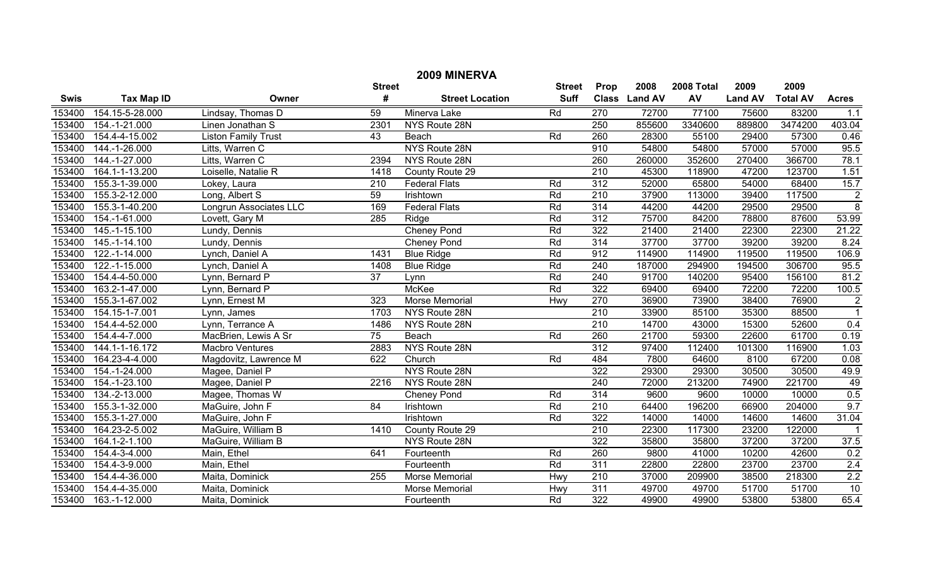|             | 2009 MINERVA      |                            |                 |                        |                 |                  |                |            |                |                 |                   |  |
|-------------|-------------------|----------------------------|-----------------|------------------------|-----------------|------------------|----------------|------------|----------------|-----------------|-------------------|--|
|             |                   |                            | <b>Street</b>   |                        | <b>Street</b>   | Prop             | 2008           | 2008 Total | 2009           | 2009            |                   |  |
| <b>Swis</b> | <b>Tax Map ID</b> | Owner                      | #               | <b>Street Location</b> | <b>Suff</b>     | <b>Class</b>     | <b>Land AV</b> | AV         | <b>Land AV</b> | <b>Total AV</b> | <b>Acres</b>      |  |
| 153400      | 154.15-5-28.000   | Lindsay, Thomas D          | 59              | Minerva Lake           | Rd              | 270              | 72700          | 77100      | 75600          | 83200           | 1.1               |  |
| 153400      | 154.-1-21.000     | Linen Jonathan S           | 2301            | NYS Route 28N          |                 | 250              | 855600         | 3340600    | 889800         | 3474200         | 403.04            |  |
| 153400      | 154.4-4-15.002    | <b>Liston Family Trust</b> | 43              | Beach                  | Rd              | 260              | 28300          | 55100      | 29400          | 57300           | 0.46              |  |
| 153400      | 144.-1-26.000     | Litts, Warren C            |                 | NYS Route 28N          |                 | 910              | 54800          | 54800      | 57000          | 57000           | 95.5              |  |
| 153400      | 144.-1-27.000     | Litts, Warren C            | 2394            | NYS Route 28N          |                 | 260              | 260000         | 352600     | 270400         | 366700          | 78.1              |  |
| 153400      | 164.1-1-13.200    | Loiselle, Natalie R        | 1418            | County Route 29        |                 | $\overline{210}$ | 45300          | 118900     | 47200          | 123700          | 1.51              |  |
| 153400      | 155.3-1-39.000    | Lokey, Laura               | 210             | <b>Federal Flats</b>   | Rd              | 312              | 52000          | 65800      | 54000          | 68400           | 15.7              |  |
| 153400      | 155.3-2-12.000    | Long, Albert S             | 59              | Irishtown              | $\overline{Rd}$ | $\overline{210}$ | 37900          | 113000     | 39400          | 117500          | $\frac{2}{8}$     |  |
| 153400      | 155.3-1-40.200    | Longrun Associates LLC     | 169             | <b>Federal Flats</b>   | Rd              | 314              | 44200          | 44200      | 29500          | 29500           |                   |  |
| 153400      | 154.-1-61.000     | Lovett, Gary M             | 285             | Ridge                  | Rd              | 312              | 75700          | 84200      | 78800          | 87600           | 53.99             |  |
| 153400      | $145.-1-15.100$   | Lundy, Dennis              |                 | <b>Cheney Pond</b>     | $\overline{Rd}$ | 322              | 21400          | 21400      | 22300          | 22300           | 21.22             |  |
| 153400      | 145.-1-14.100     | Lundy, Dennis              |                 | Cheney Pond            | $\overline{Rd}$ | 314              | 37700          | 37700      | 39200          | 39200           | 8.24              |  |
| 153400      | 122.-1-14.000     | Lynch, Daniel A            | 1431            | <b>Blue Ridge</b>      | Rd              | 912              | 114900         | 114900     | 119500         | 119500          | 106.9             |  |
| 153400      | 122.-1-15.000     | Lynch, Daniel A            | 1408            | <b>Blue Ridge</b>      | Rd              | 240              | 187000         | 294900     | 194500         | 306700          | 95.5              |  |
| 153400      | 154.4-4-50.000    | Lynn, Bernard P            | $\overline{37}$ | Lynn                   | Rd              | 240              | 91700          | 140200     | 95400          | 156100          | 81.2              |  |
| 153400      | 163.2-1-47.000    | Lynn, Bernard P            |                 | <b>McKee</b>           | Rd              | 322              | 69400          | 69400      | 72200          | 72200           | 100.5             |  |
| 153400      | 155.3-1-67.002    | Lynn, Ernest M             | 323             | Morse Memorial         | Hwy             | 270              | 36900          | 73900      | 38400          | 76900           | $\overline{2}$    |  |
| 153400      | 154.15-1-7.001    | Lynn, James                | 1703            | NYS Route 28N          |                 | 210              | 33900          | 85100      | 35300          | 88500           | $\overline{1}$    |  |
| 153400      | 154.4-4-52.000    | Lynn, Terrance A           | 1486            | NYS Route 28N          |                 | 210              | 14700          | 43000      | 15300          | 52600           | 0.4               |  |
| 153400      | 154.4-4-7.000     | MacBrien, Lewis A Sr       | $\overline{75}$ | Beach                  | Rd              | 260              | 21700          | 59300      | 22600          | 61700           | 0.19              |  |
| 153400      | 144.1-1-16.172    | Macbro Ventures            | 2883            | NYS Route 28N          |                 | $\overline{312}$ | 97400          | 112400     | 101300         | 116900          | 1.03              |  |
| 153400      | 164.23-4-4.000    | Magdovitz, Lawrence M      | 622             | Church                 | Rd              | 484              | 7800           | 64600      | 8100           | 67200           | $\overline{0.08}$ |  |
| 153400      | 154.-1-24.000     | Magee, Daniel P            |                 | NYS Route 28N          |                 | 322              | 29300          | 29300      | 30500          | 30500           | 49.9              |  |
| 153400      | 154.-1-23.100     | Magee, Daniel P            | 2216            | NYS Route 28N          |                 | 240              | 72000          | 213200     | 74900          | 221700          | 49                |  |
| 153400      | 134.-2-13.000     | Magee, Thomas W            |                 | Cheney Pond            | Rd              | 314              | 9600           | 9600       | 10000          | 10000           | 0.5               |  |
| 153400      | 155.3-1-32.000    | MaGuire, John F            | 84              | Irishtown              | $\overline{Rd}$ | $\overline{210}$ | 64400          | 196200     | 66900          | 204000          | 9.7               |  |
| 153400      | 155.3-1-27.000    | MaGuire, John F            |                 | Irishtown              | $\overline{Rd}$ | 322              | 14000          | 14000      | 14600          | 14600           | 31.04             |  |
| 153400      | 164.23-2-5.002    | MaGuire, William B         | 1410            | County Route 29        |                 | 210              | 22300          | 117300     | 23200          | 122000          | $\mathbf{1}$      |  |
| 153400      | 164.1-2-1.100     | MaGuire, William B         |                 | NYS Route 28N          |                 | 322              | 35800          | 35800      | 37200          | 37200           | 37.5              |  |
| 153400      | 154.4-3-4.000     | Main, Ethel                | 641             | Fourteenth             | Rd              | 260              | 9800           | 41000      | 10200          | 42600           | 0.2               |  |
| 153400      | 154.4-3-9.000     | Main, Ethel                |                 | Fourteenth             | Rd              | 311              | 22800          | 22800      | 23700          | 23700           | 2.4               |  |
| 153400      | 154.4-4-36.000    | Maita, Dominick            | 255             | Morse Memorial         | Hwy             | 210              | 37000          | 209900     | 38500          | 218300          | 2.2               |  |
| 153400      | 154.4-4-35.000    | Maita, Dominick            |                 | Morse Memorial         | Hwy             | 311              | 49700          | 49700      | 51700          | 51700           | $\overline{10}$   |  |
| 153400      | 163.-1-12.000     | Maita, Dominick            |                 | Fourteenth             | Rd              | $\overline{322}$ | 49900          | 49900      | 53800          | 53800           | 65.4              |  |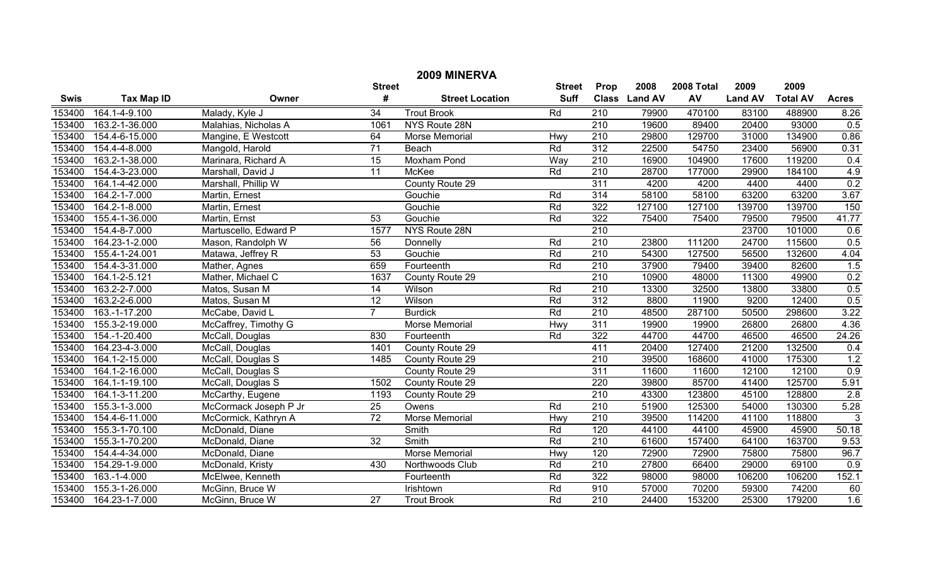| 2009 MINERVA |                   |                       |                 |                        |                 |                  |                |            |                |                 |                |
|--------------|-------------------|-----------------------|-----------------|------------------------|-----------------|------------------|----------------|------------|----------------|-----------------|----------------|
|              |                   |                       | <b>Street</b>   |                        | <b>Street</b>   | Prop             | 2008           | 2008 Total | 2009           | 2009            |                |
| <b>Swis</b>  | <b>Tax Map ID</b> | Owner                 | #               | <b>Street Location</b> | <b>Suff</b>     | <b>Class</b>     | <b>Land AV</b> | AV         | <b>Land AV</b> | <b>Total AV</b> | <b>Acres</b>   |
| 153400       | 164.1-4-9.100     | Malady, Kyle J        | $\overline{34}$ | <b>Trout Brook</b>     | Rd              | $\overline{210}$ | 79900          | 470100     | 83100          | 488900          | 8.26           |
| 153400       | 163.2-1-36.000    | Malahias, Nicholas A  | 1061            | NYS Route 28N          |                 | $\overline{210}$ | 19600          | 89400      | 20400          | 93000           | 0.5            |
| 153400       | 154.4-6-15.000    | Mangine, E Westcott   | 64              | Morse Memorial         | Hwy             | 210              | 29800          | 129700     | 31000          | 134900          | 0.86           |
| 153400       | 154.4-4-8.000     | Mangold, Harold       | $\overline{71}$ | Beach                  | Rd              | 312              | 22500          | 54750      | 23400          | 56900           | 0.31           |
| 153400       | 163.2-1-38.000    | Marinara, Richard A   | $\overline{15}$ | <b>Moxham Pond</b>     | Way             | 210              | 16900          | 104900     | 17600          | 119200          | 0.4            |
| 153400       | 154.4-3-23.000    | Marshall, David J     | $\overline{11}$ | McKee                  | Rd              | 210              | 28700          | 177000     | 29900          | 184100          | 4.9            |
| 153400       | 164.1-4-42.000    | Marshall, Phillip W   |                 | County Route 29        |                 | 311              | 4200           | 4200       | 4400           | 4400            | 0.2            |
| 153400       | 164.2-1-7.000     | Martin, Ernest        |                 | Gouchie                | Rd              | 314              | 58100          | 58100      | 63200          | 63200           | 3.67           |
| 153400       | 164.2-1-8.000     | Martin, Ernest        |                 | Gouchie                | Rd              | 322              | 127100         | 127100     | 139700         | 139700          | 150            |
| 153400       | 155.4-1-36.000    | Martin, Ernst         | 53              | Gouchie                | Rd              | 322              | 75400          | 75400      | 79500          | 79500           | 41.77          |
| 153400       | 154.4-8-7.000     | Martuscello, Edward P | 1577            | NYS Route 28N          |                 | $\overline{210}$ |                |            | 23700          | 101000          | 0.6            |
| 153400       | 164.23-1-2.000    | Mason, Randolph W     | 56              | Donnelly               | Rd              | $\overline{210}$ | 23800          | 111200     | 24700          | 115600          | 0.5            |
| 153400       | 155.4-1-24.001    | Matawa, Jeffrey R     | 53              | Gouchie                | Rd              | 210              | 54300          | 127500     | 56500          | 132600          | 4.04           |
| 153400       | 154.4-3-31.000    | Mather, Agnes         | 659             | Fourteenth             | Rd              | 210              | 37900          | 79400      | 39400          | 82600           | 1.5            |
| 153400       | 164.1-2-5.121     | Mather, Michael C     | 1637            | County Route 29        |                 | $\overline{210}$ | 10900          | 48000      | 11300          | 49900           | 0.2            |
| 153400       | 163.2-2-7.000     | Matos, Susan M        | $\overline{14}$ | Wilson                 | Rd              | $\overline{210}$ | 13300          | 32500      | 13800          | 33800           | 0.5            |
| 153400       | 163.2-2-6.000     | Matos, Susan M        | 12              | Wilson                 | Rd              | 312              | 8800           | 11900      | 9200           | 12400           | 0.5            |
| 153400       | 163.-1-17.200     | McCabe, David L       | $\overline{7}$  | <b>Burdick</b>         | Rd              | $\overline{210}$ | 48500          | 287100     | 50500          | 298600          | 3.22           |
| 153400       | 155.3-2-19.000    | McCaffrey, Timothy G  |                 | <b>Morse Memorial</b>  | Hwy             | 311              | 19900          | 19900      | 26800          | 26800           | 4.36           |
| 153400       | 154.-1-20.400     | McCall, Douglas       | 830             | Fourteenth             | Rd              | 322              | 44700          | 44700      | 46500          | 46500           | 24.26          |
| 153400       | 164.23-4-3.000    | McCall, Douglas       | 1401            | County Route 29        |                 | 411              | 20400          | 127400     | 21200          | 132500          | 0.4            |
| 153400       | 164.1-2-15.000    | McCall, Douglas S     | 1485            | County Route 29        |                 | 210              | 39500          | 168600     | 41000          | 175300          | 1.2            |
| 153400       | 164.1-2-16.000    | McCall, Douglas S     |                 | County Route 29        |                 | 311              | 11600          | 11600      | 12100          | 12100           | 0.9            |
| 153400       | 164.1-1-19.100    | McCall, Douglas S     | 1502            | County Route 29        |                 | 220              | 39800          | 85700      | 41400          | 125700          | 5.91           |
| 153400       | 164.1-3-11.200    | McCarthy, Eugene      | 1193            | County Route 29        |                 | 210              | 43300          | 123800     | 45100          | 128800          | 2.8            |
| 153400       | 155.3-1-3.000     | McCormack Joseph P Jr | $\overline{25}$ | Owens                  | Rd              | $\overline{210}$ | 51900          | 125300     | 54000          | 130300          | 5.28           |
| 153400       | 154.4-6-11.000    | McCormick, Kathryn A  | $\overline{72}$ | <b>Morse Memorial</b>  | Hwy             | 210              | 39500          | 114200     | 41100          | 118800          | $\overline{3}$ |
| 153400       | 155.3-1-70.100    | McDonald, Diane       |                 | Smith                  | Rd              | 120              | 44100          | 44100      | 45900          | 45900           | 50.18          |
| 153400       | 155.3-1-70.200    | McDonald, Diane       | $\overline{32}$ | Smith                  | Rd              | $\overline{210}$ | 61600          | 157400     | 64100          | 163700          | 9.53           |
| 153400       | 154.4-4-34.000    | McDonald, Diane       |                 | <b>Morse Memorial</b>  | Hwy             | 120              | 72900          | 72900      | 75800          | 75800           | 96.7           |
| 153400       | 154.29-1-9.000    | McDonald, Kristy      | 430             | Northwoods Club        | Rd              | $\overline{210}$ | 27800          | 66400      | 29000          | 69100           | 0.9            |
| 153400       | 163.-1-4.000      | McElwee, Kenneth      |                 | Fourteenth             | Rd              | 322              | 98000          | 98000      | 106200         | 106200          | 152.1          |
| 153400       | 155.3-1-26.000    | McGinn, Bruce W       |                 | Irishtown              | $\overline{Rd}$ | 910              | 57000          | 70200      | 59300          | 74200           | 60             |
| 153400       | 164.23-1-7.000    | McGinn, Bruce W       | $\overline{27}$ | <b>Trout Brook</b>     | $\overline{Rd}$ | $\overline{210}$ | 24400          | 153200     | 25300          | 179200          | 1.6            |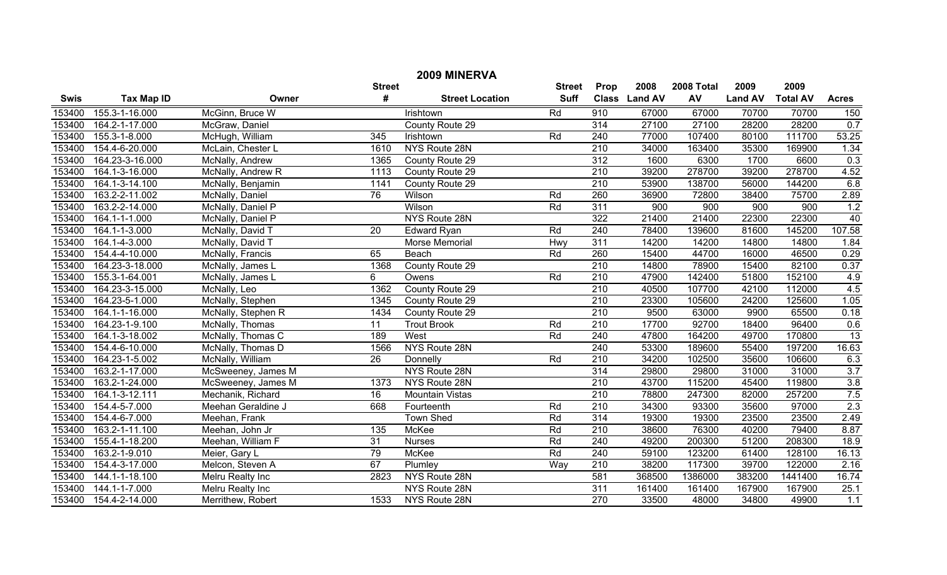|             | 2009 MINERVA      |                    |                 |                        |               |                  |               |            |                |                 |                  |  |
|-------------|-------------------|--------------------|-----------------|------------------------|---------------|------------------|---------------|------------|----------------|-----------------|------------------|--|
|             |                   |                    | <b>Street</b>   |                        | <b>Street</b> | Prop             | 2008          | 2008 Total | 2009           | 2009            |                  |  |
| <b>Swis</b> | <b>Tax Map ID</b> | Owner              | #               | <b>Street Location</b> | <b>Suff</b>   |                  | Class Land AV | AV         | <b>Land AV</b> | <b>Total AV</b> | <b>Acres</b>     |  |
| 153400      | 155.3-1-16.000    | McGinn, Bruce W    |                 | Irishtown              | Rd            | 910              | 67000         | 67000      | 70700          | 70700           | 150              |  |
| 153400      | 164.2-1-17.000    | McGraw, Daniel     |                 | County Route 29        |               | $\overline{314}$ | 27100         | 27100      | 28200          | 28200           | 0.7              |  |
| 153400      | 155.3-1-8.000     | McHugh, William    | 345             | Irishtown              | Rd            | 240              | 77000         | 107400     | 80100          | 111700          | 53.25            |  |
| 153400      | 154.4-6-20.000    | McLain, Chester L  | 1610            | NYS Route 28N          |               | $\overline{210}$ | 34000         | 163400     | 35300          | 169900          | 1.34             |  |
| 153400      | 164.23-3-16.000   | McNally, Andrew    | 1365            | County Route 29        |               | $\overline{312}$ | 1600          | 6300       | 1700           | 6600            | 0.3              |  |
| 153400      | 164.1-3-16.000    | McNally, Andrew R  | 1113            | County Route 29        |               | $\overline{210}$ | 39200         | 278700     | 39200          | 278700          | 4.52             |  |
| 153400      | 164.1-3-14.100    | McNally, Benjamin  | 1141            | County Route 29        |               | 210              | 53900         | 138700     | 56000          | 144200          | 6.8              |  |
| 153400      | 163.2-2-11.002    | McNally, Daniel    | 76              | Wilson                 | Rd            | 260              | 36900         | 72800      | 38400          | 75700           | 2.89             |  |
| 153400      | 163.2-2-14.000    | McNally, Daniel P  |                 | Wilson                 | Rd            | 311              | 900           | 900        | 900            | 900             | 1.2              |  |
| 153400      | 164.1-1-1.000     | McNally, Daniel P  |                 | NYS Route 28N          |               | 322              | 21400         | 21400      | 22300          | 22300           | 40               |  |
| 153400      | 164.1-1-3.000     | McNally, David T   | $\overline{20}$ | <b>Edward Ryan</b>     | Rd            | 240              | 78400         | 139600     | 81600          | 145200          | 107.58           |  |
| 153400      | 164.1-4-3.000     | McNally, David T   |                 | Morse Memorial         | Hwy           | 311              | 14200         | 14200      | 14800          | 14800           | 1.84             |  |
| 153400      | 154.4-4-10.000    | McNally, Francis   | 65              | Beach                  | Rd            | 260              | 15400         | 44700      | 16000          | 46500           | 0.29             |  |
| 153400      | 164.23-3-18.000   | McNally, James L   | 1368            | County Route 29        |               | 210              | 14800         | 78900      | 15400          | 82100           | 0.37             |  |
| 153400      | 155.3-1-64.001    | McNally, James L   | 6               | Owens                  | Rd            | 210              | 47900         | 142400     | 51800          | 152100          | 4.9              |  |
| 153400      | 164.23-3-15.000   | McNally, Leo       | 1362            | County Route 29        |               | $\overline{210}$ | 40500         | 107700     | 42100          | 112000          | 4.5              |  |
| 153400      | 164.23-5-1.000    | McNally, Stephen   | 1345            | County Route 29        |               | 210              | 23300         | 105600     | 24200          | 125600          | 1.05             |  |
| 153400      | 164.1-1-16.000    | McNally, Stephen R | 1434            | County Route 29        |               | 210              | 9500          | 63000      | 9900           | 65500           | 0.18             |  |
| 153400      | 164.23-1-9.100    | McNally, Thomas    | $\overline{11}$ | <b>Trout Brook</b>     | Rd            | 210              | 17700         | 92700      | 18400          | 96400           | 0.6              |  |
| 153400      | 164.1-3-18.002    | McNally, Thomas C  | 189             | West                   | Rd            | 240              | 47800         | 164200     | 49700          | 170800          | 13               |  |
| 153400      | 154.4-6-10.000    | McNally, Thomas D  | 1566            | NYS Route 28N          |               | 240              | 53300         | 189600     | 55400          | 197200          | 16.63            |  |
| 153400      | 164.23-1-5.002    | McNally, William   | $\overline{26}$ | Donnelly               | Rd            | 210              | 34200         | 102500     | 35600          | 106600          | 6.3              |  |
| 153400      | 163.2-1-17.000    | McSweeney, James M |                 | NYS Route 28N          |               | 314              | 29800         | 29800      | 31000          | 31000           | $\overline{3.7}$ |  |
| 153400      | 163.2-1-24.000    | McSweeney, James M | 1373            | NYS Route 28N          |               | 210              | 43700         | 115200     | 45400          | 119800          | 3.8              |  |
| 153400      | 164.1-3-12.111    | Mechanik, Richard  | $\overline{16}$ | <b>Mountain Vistas</b> |               | 210              | 78800         | 247300     | 82000          | 257200          | 7.5              |  |
| 153400      | 154.4-5-7.000     | Meehan Geraldine J | 668             | Fourteenth             | Rd            | 210              | 34300         | 93300      | 35600          | 97000           | 2.3              |  |
| 153400      | 154.4-6-7.000     | Meehan, Frank      |                 | <b>Town Shed</b>       | Rd            | 314              | 19300         | 19300      | 23500          | 23500           | 2.49             |  |
| 153400      | 163.2-1-11.100    | Meehan, John Jr    | 135             | McKee                  | Rd            | 210              | 38600         | 76300      | 40200          | 79400           | 8.87             |  |
| 153400      | 155.4-1-18.200    | Meehan, William F  | 31              | <b>Nurses</b>          | Rd            | 240              | 49200         | 200300     | 51200          | 208300          | 18.9             |  |
| 153400      | 163.2-1-9.010     | Meier, Gary L      | 79              | McKee                  | Rd            | 240              | 59100         | 123200     | 61400          | 128100          | 16.13            |  |
| 153400      | 154.4-3-17.000    | Melcon, Steven A   | 67              | Plumley                | Way           | $\overline{210}$ | 38200         | 117300     | 39700          | 122000          | 2.16             |  |
| 153400      | 144.1-1-18.100    | Melru Realty Inc   | 2823            | NYS Route 28N          |               | 581              | 368500        | 1386000    | 383200         | 1441400         | 16.74            |  |
| 153400      | 144.1-1-7.000     | Melru Realty Inc   |                 | NYS Route 28N          |               | 311              | 161400        | 161400     | 167900         | 167900          | 25.1             |  |
| 153400      | 154.4-2-14.000    | Merrithew, Robert  | 1533            | NYS Route 28N          |               | 270              | 33500         | 48000      | 34800          | 49900           | 1.1              |  |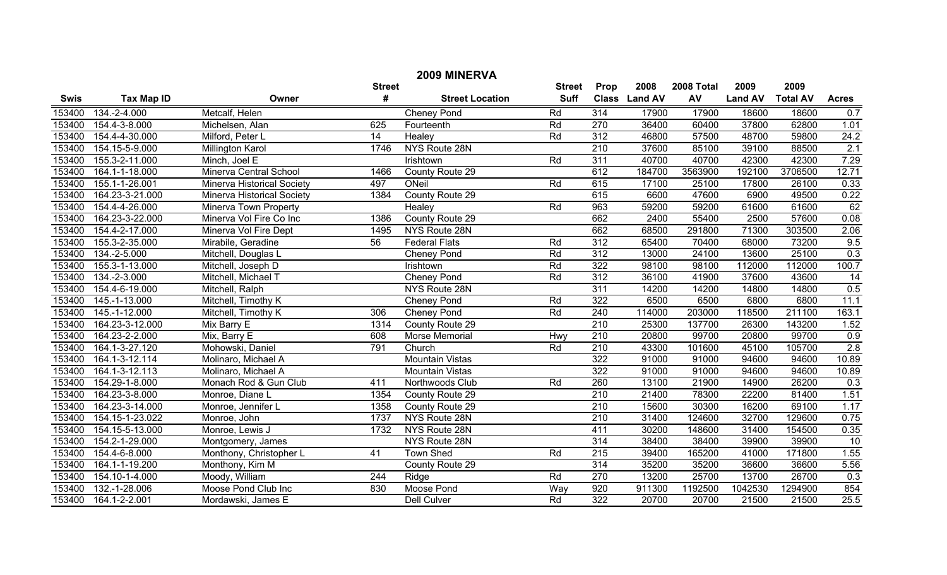| 2009 MINERVA |                   |                                   |               |                        |               |                  |                |            |                |                 |                 |
|--------------|-------------------|-----------------------------------|---------------|------------------------|---------------|------------------|----------------|------------|----------------|-----------------|-----------------|
|              |                   |                                   | <b>Street</b> |                        | <b>Street</b> | Prop             | 2008           | 2008 Total | 2009           | 2009            |                 |
| <b>Swis</b>  | <b>Tax Map ID</b> | Owner                             | #             | <b>Street Location</b> | <b>Suff</b>   | <b>Class</b>     | <b>Land AV</b> | AV         | <b>Land AV</b> | <b>Total AV</b> | <b>Acres</b>    |
| 153400       | 134.-2-4.000      | Metcalf, Helen                    |               | <b>Cheney Pond</b>     | Rd            | $\overline{314}$ | 17900          | 17900      | 18600          | 18600           | 0.7             |
| 153400       | 154.4-3-8.000     | Michelsen, Alan                   | 625           | Fourteenth             | Rd            | 270              | 36400          | 60400      | 37800          | 62800           | 1.01            |
| 153400       | 154.4-4-30.000    | Milford, Peter L                  | 14            | Healey                 | Rd            | 312              | 46800          | 57500      | 48700          | 59800           | 24.2            |
| 153400       | 154.15-5-9.000    | <b>Millington Karol</b>           | 1746          | NYS Route 28N          |               | $\overline{210}$ | 37600          | 85100      | 39100          | 88500           | 2.1             |
| 153400       | 155.3-2-11.000    | Minch, Joel E                     |               | Irishtown              | Rd            | 311              | 40700          | 40700      | 42300          | 42300           | 7.29            |
| 153400       | 164.1-1-18.000    | Minerva Central School            | 1466          | County Route 29        |               | 612              | 184700         | 3563900    | 192100         | 3706500         | 12.71           |
| 153400       | 155.1-1-26.001    | Minerva Historical Society        | 497           | ONeil                  | Rd            | 615              | 17100          | 25100      | 17800          | 26100           | 0.33            |
| 153400       | 164.23-3-21.000   | <b>Minerva Historical Society</b> | 1384          | County Route 29        |               | 615              | 6600           | 47600      | 6900           | 49500           | 0.22            |
| 153400       | 154.4-4-26.000    | Minerva Town Property             |               | Healey                 | Rd            | 963              | 59200          | 59200      | 61600          | 61600           | 62              |
| 153400       | 164.23-3-22.000   | Minerva Vol Fire Co Inc           | 1386          | County Route 29        |               | 662              | 2400           | 55400      | 2500           | 57600           | 0.08            |
| 153400       | 154.4-2-17.000    | Minerva Vol Fire Dept             | 1495          | NYS Route 28N          |               | 662              | 68500          | 291800     | 71300          | 303500          | 2.06            |
| 153400       | 155.3-2-35.000    | Mirabile, Geradine                | 56            | <b>Federal Flats</b>   | Rd            | 312              | 65400          | 70400      | 68000          | 73200           | 9.5             |
| 153400       | 134.-2-5.000      | Mitchell, Douglas L               |               | Cheney Pond            | Rd            | 312              | 13000          | 24100      | 13600          | 25100           | 0.3             |
| 153400       | 155.3-1-13.000    | Mitchell, Joseph D                |               | Irishtown              | Rd            | 322              | 98100          | 98100      | 112000         | 112000          | 100.7           |
| 153400       | 134.-2-3.000      | Mitchell, Michael T               |               | <b>Cheney Pond</b>     | Rd            | 312              | 36100          | 41900      | 37600          | 43600           | $\overline{14}$ |
| 153400       | 154.4-6-19.000    | Mitchell, Ralph                   |               | NYS Route 28N          |               | 311              | 14200          | 14200      | 14800          | 14800           | 0.5             |
| 153400       | 145.-1-13.000     | Mitchell, Timothy K               |               | <b>Cheney Pond</b>     | Rd            | 322              | 6500           | 6500       | 6800           | 6800            | 11.1            |
| 153400       | 145.-1-12.000     | Mitchell, Timothy K               | 306           | <b>Cheney Pond</b>     | Rd            | 240              | 114000         | 203000     | 118500         | 211100          | 163.1           |
| 153400       | 164.23-3-12.000   | Mix Barry E                       | 1314          | County Route 29        |               | $\overline{210}$ | 25300          | 137700     | 26300          | 143200          | 1.52            |
| 153400       | 164.23-2-2.000    | Mix, Barry E                      | 608           | Morse Memorial         | Hwy           | $\overline{210}$ | 20800          | 99700      | 20800          | 99700           | 0.9             |
| 153400       | 164.1-3-27.120    | Mohowski, Daniel                  | 791           | Church                 | Rd            | $\overline{210}$ | 43300          | 101600     | 45100          | 105700          | 2.8             |
| 153400       | 164.1-3-12.114    | Molinaro, Michael A               |               | <b>Mountain Vistas</b> |               | 322              | 91000          | 91000      | 94600          | 94600           | 10.89           |
| 153400       | 164.1-3-12.113    | Molinaro, Michael A               |               | <b>Mountain Vistas</b> |               | 322              | 91000          | 91000      | 94600          | 94600           | 10.89           |
| 153400       | 154.29-1-8.000    | Monach Rod & Gun Club             | 411           | Northwoods Club        | Rd            | 260              | 13100          | 21900      | 14900          | 26200           | 0.3             |
| 153400       | 164.23-3-8.000    | Monroe, Diane L                   | 1354          | County Route 29        |               | 210              | 21400          | 78300      | 22200          | 81400           | 1.51            |
| 153400       | 164.23-3-14.000   | Monroe, Jennifer L                | 1358          | County Route 29        |               | 210              | 15600          | 30300      | 16200          | 69100           | 1.17            |
| 153400       | 154.15-1-23.022   | Monroe, John                      | 1737          | NYS Route 28N          |               | $\overline{210}$ | 31400          | 124600     | 32700          | 129600          | 0.75            |
| 153400       | 154.15-5-13.000   | Monroe, Lewis J                   | 1732          | NYS Route 28N          |               | 411              | 30200          | 148600     | 31400          | 154500          | 0.35            |
| 153400       | 154.2-1-29.000    | Montgomery, James                 |               | NYS Route 28N          |               | 314              | 38400          | 38400      | 39900          | 39900           | 10              |
| 153400       | 154.4-6-8.000     | Monthony, Christopher L           | 41            | <b>Town Shed</b>       | Rd            | $\overline{215}$ | 39400          | 165200     | 41000          | 171800          | 1.55            |
| 153400       | 164.1-1-19.200    | Monthony, Kim M                   |               | County Route 29        |               | 314              | 35200          | 35200      | 36600          | 36600           | 5.56            |
| 153400       | 154.10-1-4.000    | Moody, William                    | 244           | Ridge                  | Rd            | 270              | 13200          | 25700      | 13700          | 26700           | 0.3             |
| 153400       | 132.-1-28.006     | Moose Pond Club Inc               | 830           | Moose Pond             | Way           | 920              | 911300         | 1192500    | 1042530        | 1294900         | 854             |
| 153400       | 164.1-2-2.001     | Mordawski, James E                |               | <b>Dell Culver</b>     | Rd            | 322              | 20700          | 20700      | 21500          | 21500           | 25.5            |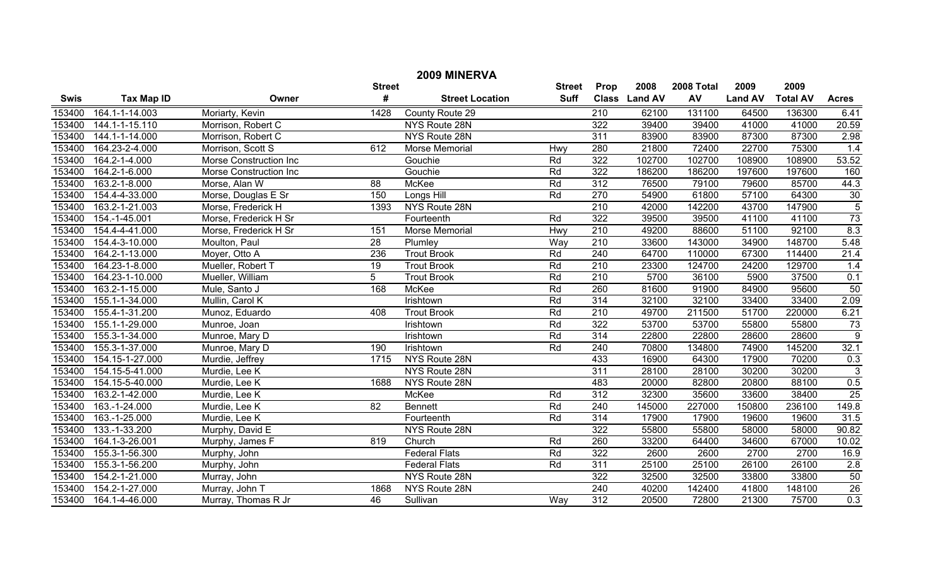|             | 2009 MINERVA      |                        |                 |                        |               |                  |               |            |                |                 |                 |  |
|-------------|-------------------|------------------------|-----------------|------------------------|---------------|------------------|---------------|------------|----------------|-----------------|-----------------|--|
|             |                   |                        | <b>Street</b>   |                        | <b>Street</b> | Prop             | 2008          | 2008 Total | 2009           | 2009            |                 |  |
| <b>Swis</b> | <b>Tax Map ID</b> | Owner                  | #               | <b>Street Location</b> | <b>Suff</b>   |                  | Class Land AV | AV         | <b>Land AV</b> | <b>Total AV</b> | <b>Acres</b>    |  |
| 153400      | 164.1-1-14.003    | Moriarty, Kevin        | 1428            | County Route 29        |               | $\overline{210}$ | 62100         | 131100     | 64500          | 136300          | 6.41            |  |
| 153400      | 144.1-1-15.110    | Morrison, Robert C     |                 | NYS Route 28N          |               | 322              | 39400         | 39400      | 41000          | 41000           | 20.59           |  |
| 153400      | 144.1-1-14.000    | Morrison, Robert C     |                 | NYS Route 28N          |               | 311              | 83900         | 83900      | 87300          | 87300           | 2.98            |  |
| 153400      | 164.23-2-4.000    | Morrison, Scott S      | 612             | Morse Memorial         | Hwy           | 280              | 21800         | 72400      | 22700          | 75300           | 1.4             |  |
| 153400      | 164.2-1-4.000     | Morse Construction Inc |                 | Gouchie                | Rd            | 322              | 102700        | 102700     | 108900         | 108900          | 53.52           |  |
| 153400      | 164.2-1-6.000     | Morse Construction Inc |                 | Gouchie                | Rd            | 322              | 186200        | 186200     | 197600         | 197600          | 160             |  |
| 153400      | 163.2-1-8.000     | Morse, Alan W          | 88              | McKee                  | Rd            | 312              | 76500         | 79100      | 79600          | 85700           | 44.3            |  |
| 153400      | 154.4-4-33.000    | Morse, Douglas E Sr    | 150             | Longs Hill             | Rd            | 270              | 54900         | 61800      | 57100          | 64300           | $\frac{30}{5}$  |  |
| 153400      | 163.2-1-21.003    | Morse, Frederick H     | 1393            | NYS Route 28N          |               | 210              | 42000         | 142200     | 43700          | 147900          |                 |  |
| 153400      | 154.-1-45.001     | Morse, Frederick H Sr  |                 | Fourteenth             | Rd            | 322              | 39500         | 39500      | 41100          | 41100           | 73              |  |
| 153400      | 154.4-4-41.000    | Morse, Frederick H Sr  | 151             | Morse Memorial         | Hwy           | $\overline{210}$ | 49200         | 88600      | 51100          | 92100           | 8.3             |  |
| 153400      | 154.4-3-10.000    | Moulton, Paul          | $\overline{28}$ | Plumley                | Way           | $\overline{210}$ | 33600         | 143000     | 34900          | 148700          | 5.48            |  |
| 153400      | 164.2-1-13.000    | Moyer, Otto A          | 236             | <b>Trout Brook</b>     | Rd            | 240              | 64700         | 110000     | 67300          | 114400          | 21.4            |  |
| 153400      | 164.23-1-8.000    | Mueller, Robert T      | 19              | <b>Trout Brook</b>     | Rd            | 210              | 23300         | 124700     | 24200          | 129700          | 1.4             |  |
| 153400      | 164.23-1-10.000   | Mueller, William       | 5               | <b>Trout Brook</b>     | Rd            | $\overline{210}$ | 5700          | 36100      | 5900           | 37500           | 0.1             |  |
| 153400      | 163.2-1-15.000    | Mule, Santo J          | 168             | <b>McKee</b>           | Rd            | 260              | 81600         | 91900      | 84900          | 95600           | 50              |  |
| 153400      | 155.1-1-34.000    | Mullin, Carol K        |                 | Irishtown              | Rd            | 314              | 32100         | 32100      | 33400          | 33400           | 2.09            |  |
| 153400      | 155.4-1-31.200    | Munoz, Eduardo         | 408             | <b>Trout Brook</b>     | Rd            | $\overline{210}$ | 49700         | 211500     | 51700          | 220000          | 6.21            |  |
| 153400      | 155.1-1-29.000    | Munroe, Joan           |                 | Irishtown              | Rd            | 322              | 53700         | 53700      | 55800          | 55800           | 73              |  |
| 153400      | 155.3-1-34.000    | Munroe, Mary D         |                 | Irishtown              | Rd            | 314              | 22800         | 22800      | 28600          | 28600           | $\overline{9}$  |  |
| 153400      | 155.3-1-37.000    | Munroe, Mary D         | 190             | Irishtown              | Rd            | 240              | 70800         | 134800     | 74900          | 145200          | 32.1            |  |
| 153400      | 154.15-1-27.000   | Murdie, Jeffrey        | 1715            | NYS Route 28N          |               | 433              | 16900         | 64300      | 17900          | 70200           | 0.3             |  |
| 153400      | 154.15-5-41.000   | Murdie, Lee K          |                 | NYS Route 28N          |               | 311              | 28100         | 28100      | 30200          | 30200           | $\overline{3}$  |  |
| 153400      | 154.15-5-40.000   | Murdie, Lee K          | 1688            | NYS Route 28N          |               | 483              | 20000         | 82800      | 20800          | 88100           | 0.5             |  |
| 153400      | 163.2-1-42.000    | Murdie, Lee K          |                 | McKee                  | Rd            | 312              | 32300         | 35600      | 33600          | 38400           | 25              |  |
| 153400      | 163.-1-24.000     | Murdie, Lee K          | $\overline{82}$ | <b>Bennett</b>         | Rd            | 240              | 145000        | 227000     | 150800         | 236100          | 149.8           |  |
| 153400      | 163.-1-25.000     | Murdie, Lee K          |                 | Fourteenth             | Rd            | 314              | 17900         | 17900      | 19600          | 19600           | 31.5            |  |
| 153400      | 133.-1-33.200     | Murphy, David E        |                 | NYS Route 28N          |               | 322              | 55800         | 55800      | 58000          | 58000           | 90.82           |  |
| 153400      | 164.1-3-26.001    | Murphy, James F        | 819             | Church                 | Rd            | 260              | 33200         | 64400      | 34600          | 67000           | 10.02           |  |
| 153400      | 155.3-1-56.300    | Murphy, John           |                 | <b>Federal Flats</b>   | Rd            | 322              | 2600          | 2600       | 2700           | 2700            | 16.9            |  |
| 153400      | 155.3-1-56.200    | Murphy, John           |                 | <b>Federal Flats</b>   | Rd            | 311              | 25100         | 25100      | 26100          | 26100           | 2.8             |  |
| 153400      | 154.2-1-21.000    | Murray, John           |                 | NYS Route 28N          |               | 322              | 32500         | 32500      | 33800          | 33800           | 50              |  |
| 153400      | 154.2-1-27.000    | Murray, John T         | 1868            | NYS Route 28N          |               | 240              | 40200         | 142400     | 41800          | 148100          | $\overline{26}$ |  |
| 153400      | 164.1-4-46.000    | Murray, Thomas R Jr    | $\overline{46}$ | Sullivan               | Way           | 312              | 20500         | 72800      | 21300          | 75700           | 0.3             |  |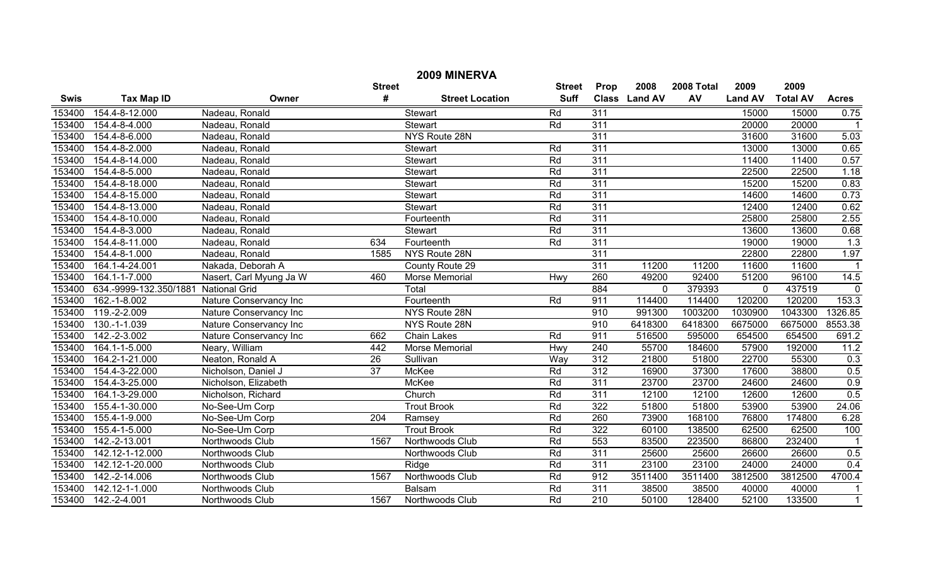| 2009 MINERVA |                        |                         |                 |                        |             |                  |               |         |                |                 |                |  |
|--------------|------------------------|-------------------------|-----------------|------------------------|-------------|------------------|---------------|---------|----------------|-----------------|----------------|--|
|              |                        |                         | <b>Street</b>   | <b>Street</b>          | Prop        | 2008             | 2008 Total    | 2009    | 2009           |                 |                |  |
| <b>Swis</b>  | <b>Tax Map ID</b>      | Owner                   | $\#$            | <b>Street Location</b> | <b>Suff</b> |                  | Class Land AV | AV      | <b>Land AV</b> | <b>Total AV</b> | <b>Acres</b>   |  |
| 153400       | 154.4-8-12.000         | Nadeau, Ronald          |                 | Stewart                | Rd          | 311              |               |         | 15000          | 15000           | 0.75           |  |
| 153400       | 154.4-8-4.000          | Nadeau, Ronald          |                 | <b>Stewart</b>         | Rd          | 311              |               |         | 20000          | 20000           | $\overline{1}$ |  |
| 153400       | 154.4-8-6.000          | Nadeau, Ronald          |                 | <b>NYS Route 28N</b>   |             | 311              |               |         | 31600          | 31600           | 5.03           |  |
| 153400       | 154.4-8-2.000          | Nadeau, Ronald          |                 | <b>Stewart</b>         | Rd          | 311              |               |         | 13000          | 13000           | 0.65           |  |
| 153400       | 154.4-8-14.000         | Nadeau, Ronald          |                 | Stewart                | Rd          | 311              |               |         | 11400          | 11400           | 0.57           |  |
| 153400       | 154.4-8-5.000          | Nadeau, Ronald          |                 | <b>Stewart</b>         | Rd          | 311              |               |         | 22500          | 22500           | 1.18           |  |
| 153400       | 154.4-8-18.000         | Nadeau, Ronald          |                 | Stewart                | Rd          | 311              |               |         | 15200          | 15200           | 0.83           |  |
| 153400       | 154.4-8-15.000         | Nadeau, Ronald          |                 | Stewart                | Rd          | 311              |               |         | 14600          | 14600           | 0.73           |  |
| 153400       | 154.4-8-13.000         | Nadeau, Ronald          |                 | <b>Stewart</b>         | Rd          | 311              |               |         | 12400          | 12400           | 0.62           |  |
| 153400       | 154.4-8-10.000         | Nadeau, Ronald          |                 | Fourteenth             | Rd          | 311              |               |         | 25800          | 25800           | 2.55           |  |
| 153400       | 154.4-8-3.000          | Nadeau, Ronald          |                 | Stewart                | Rd          | 311              |               |         | 13600          | 13600           | 0.68           |  |
| 153400       | 154.4-8-11.000         | Nadeau, Ronald          | 634             | Fourteenth             | Rd          | 311              |               |         | 19000          | 19000           | 1.3            |  |
| 153400       | 154.4-8-1.000          | Nadeau, Ronald          | 1585            | NYS Route 28N          |             | 311              |               |         | 22800          | 22800           | 1.97           |  |
| 153400       | 164.1-4-24.001         | Nakada, Deborah A       |                 | County Route 29        |             | 311              | 11200         | 11200   | 11600          | 11600           |                |  |
| 153400       | 164.1-1-7.000          | Nasert, Carl Myung Ja W | 460             | Morse Memorial         | <b>Hwy</b>  | 260              | 49200         | 92400   | 51200          | 96100           | 14.5           |  |
| 153400       | 634.-9999-132.350/1881 | <b>National Grid</b>    |                 | Total                  |             | 884              | $\mathbf 0$   | 379393  | $\mathbf 0$    | 437519          | $\mathbf 0$    |  |
| 153400       | 162.-1-8.002           | Nature Conservancy Inc  |                 | Fourteenth             | Rd          | 911              | 114400        | 114400  | 120200         | 120200          | 153.3          |  |
| 153400       | 119.-2-2.009           | Nature Conservancy Inc  |                 | NYS Route 28N          |             | 910              | 991300        | 1003200 | 1030900        | 1043300         | 1326.85        |  |
| 153400       | 130.-1-1.039           | Nature Conservancy Inc  |                 | NYS Route 28N          |             | 910              | 6418300       | 6418300 | 6675000        | 6675000         | 8553.38        |  |
| 153400       | 142.-2-3.002           | Nature Conservancy Inc  | 662             | <b>Chain Lakes</b>     | Rd          | 911              | 516500        | 595000  | 654500         | 654500          | 691.2          |  |
| 153400       | 164.1-1-5.000          | Neary, William          | 442             | Morse Memorial         | Hwy         | 240              | 55700         | 184600  | 57900          | 192000          | 11.2           |  |
| 153400       | 164.2-1-21.000         | Neaton, Ronald A        | $\overline{26}$ | Sullivan               | Way         | 312              | 21800         | 51800   | 22700          | 55300           | 0.3            |  |
| 153400       | 154.4-3-22.000         | Nicholson, Daniel J     | $\overline{37}$ | <b>McKee</b>           | Rd          | 312              | 16900         | 37300   | 17600          | 38800           | 0.5            |  |
| 153400       | 154.4-3-25.000         | Nicholson, Elizabeth    |                 | <b>McKee</b>           | Rd          | 311              | 23700         | 23700   | 24600          | 24600           | 0.9            |  |
| 153400       | 164.1-3-29.000         | Nicholson, Richard      |                 | Church                 | Rd          | 311              | 12100         | 12100   | 12600          | 12600           | 0.5            |  |
| 153400       | 155.4-1-30.000         | No-See-Um Corp          |                 | <b>Trout Brook</b>     | Rd          | 322              | 51800         | 51800   | 53900          | 53900           | 24.06          |  |
| 153400       | 155.4-1-9.000          | No-See-Um Corp          | 204             | Ramsey                 | Rd          | 260              | 73900         | 168100  | 76800          | 174800          | 6.28           |  |
| 153400       | 155.4-1-5.000          | No-See-Um Corp          |                 | <b>Trout Brook</b>     | Rd          | 322              | 60100         | 138500  | 62500          | 62500           | 100            |  |
| 153400       | 142.-2-13.001          | Northwoods Club         | 1567            | Northwoods Club        | Rd          | 553              | 83500         | 223500  | 86800          | 232400          |                |  |
| 153400       | 142.12-1-12.000        | Northwoods Club         |                 | Northwoods Club        | Rd          | 311              | 25600         | 25600   | 26600          | 26600           | 0.5            |  |
| 153400       | 142.12-1-20.000        | Northwoods Club         |                 | Ridge                  | Rd          | 311              | 23100         | 23100   | 24000          | 24000           | 0.4            |  |
| 153400       | 142.-2-14.006          | Northwoods Club         | 1567            | Northwoods Club        | Rd          | 912              | 3511400       | 3511400 | 3812500        | 3812500         | 4700.4         |  |
| 153400       | 142.12-1-1.000         | Northwoods Club         |                 | Balsam                 | Rd          | 311              | 38500         | 38500   | 40000          | 40000           |                |  |
| 153400       | 142.-2-4.001           | Northwoods Club         | 1567            | Northwoods Club        | Rd          | $\overline{210}$ | 50100         | 128400  | 52100          | 133500          | $\mathbf{1}$   |  |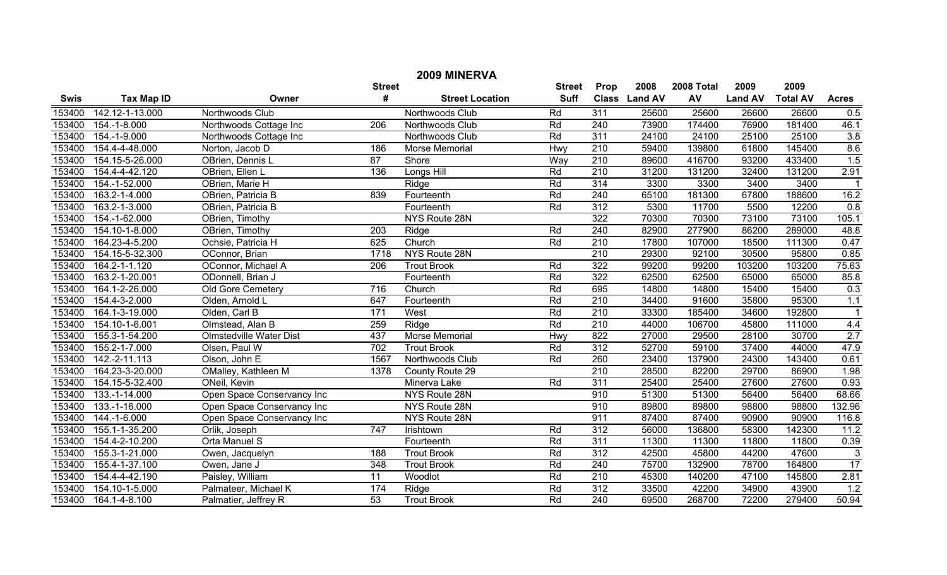| 2009 MINERVA |                   |                                |                  |                        |             |                  |               |        |                |                 |                  |
|--------------|-------------------|--------------------------------|------------------|------------------------|-------------|------------------|---------------|--------|----------------|-----------------|------------------|
|              |                   | <b>Street</b>                  | <b>Street</b>    | Prop                   | 2008        | 2008 Total       | 2009          | 2009   |                |                 |                  |
| <b>Swis</b>  | <b>Tax Map ID</b> | Owner                          | #                | <b>Street Location</b> | <b>Suff</b> |                  | Class Land AV | AV     | <b>Land AV</b> | <b>Total AV</b> | <b>Acres</b>     |
| 153400       | 142.12-1-13.000   | Northwoods Club                |                  | Northwoods Club        | Rd          | $\overline{311}$ | 25600         | 25600  | 26600          | 26600           | 0.5              |
| 153400       | 154.-1-8.000      | Northwoods Cottage Inc         | $\overline{206}$ | Northwoods Club        | Rd          | 240              | 73900         | 174400 | 76900          | 181400          | 46.1             |
| 153400       | 154.-1-9.000      | Northwoods Cottage Inc         |                  | Northwoods Club        | Rd          | 311              | 24100         | 24100  | 25100          | 25100           | 3.8              |
| 153400       | 154.4-4-48.000    | Norton, Jacob D                | 186              | Morse Memorial         | Hwy         | 210              | 59400         | 139800 | 61800          | 145400          | 8.6              |
| 153400       | 154.15-5-26.000   | OBrien, Dennis L               | 87               | Shore                  | Way         | 210              | 89600         | 416700 | 93200          | 433400          | 1.5              |
| 153400       | 154.4-4-42.120    | OBrien, Ellen L                | 136              | Longs Hill             | Rd          | 210              | 31200         | 131200 | 32400          | 131200          | 2.91             |
| 153400       | 154.-1-52.000     | OBrien, Marie H                |                  | Ridge                  | Rd          | 314              | 3300          | 3300   | 3400           | 3400            |                  |
| 153400       | 163.2-1-4.000     | OBrien, Patricia B             | 839              | Fourteenth             | Rd          | 240              | 65100         | 181300 | 67800          | 188600          | 16.2             |
| 153400       | 163.2-1-3.000     | OBrien, Patricia B             |                  | Fourteenth             | Rd          | 312              | 5300          | 11700  | 5500           | 12200           | 0.8              |
| 153400       | 154.-1-62.000     | OBrien, Timothy                |                  | NYS Route 28N          |             | 322              | 70300         | 70300  | 73100          | 73100           | 105.1            |
| 153400       | 154.10-1-8.000    | OBrien, Timothy                | 203              | Ridge                  | Rd          | 240              | 82900         | 277900 | 86200          | 289000          | 48.8             |
| 153400       | 164.23-4-5.200    | Ochsie, Patricia H             | 625              | Church                 | Rd          | $\overline{210}$ | 17800         | 107000 | 18500          | 111300          | 0.47             |
| 153400       | 154.15-5-32.300   | OConnor, Brian                 | 1718             | NYS Route 28N          |             | 210              | 29300         | 92100  | 30500          | 95800           | 0.85             |
| 153400       | 164.2-1-1.120     | OConnor, Michael A             | 206              | <b>Trout Brook</b>     | Rd          | 322              | 99200         | 99200  | 103200         | 103200          | 75.63            |
| 153400       | 163.2-1-20.001    | ODonnell, Brian J              |                  | Fourteenth             | Rd          | 322              | 62500         | 62500  | 65000          | 65000           | 85.8             |
| 153400       | 164.1-2-26.000    | <b>Old Gore Cemetery</b>       | $\overline{716}$ | Church                 | Rd          | 695              | 14800         | 14800  | 15400          | 15400           | 0.3              |
| 153400       | 154.4-3-2.000     | Olden, Arnold L                | 647              | Fourteenth             | Rd          | 210              | 34400         | 91600  | 35800          | 95300           | 1.1              |
| 153400       | 164.1-3-19.000    | Olden, Carl B                  | 171              | West                   | Rd          | 210              | 33300         | 185400 | 34600          | 192800          |                  |
| 153400       | 154.10-1-6.001    | Olmstead, Alan B               | 259              | Ridge                  | Rd          | $\overline{210}$ | 44000         | 106700 | 45800          | 111000          | 4.4              |
| 153400       | 155.3-1-54.200    | <b>Olmstedville Water Dist</b> | 437              | <b>Morse Memorial</b>  | Hwy         | 822              | 27000         | 29500  | 28100          | 30700           | 2.7              |
| 153400       | 155.2-1-7.000     | Olsen, Paul W                  | 702              | <b>Trout Brook</b>     | Rd          | 312              | 52700         | 59100  | 37400          | 44000           | 47.9             |
| 153400       | 142.-2-11.113     | Olson, John E                  | 1567             | Northwoods Club        | Rd          | 260              | 23400         | 137900 | 24300          | 143400          | 0.61             |
| 153400       | 164.23-3-20.000   | OMalley, Kathleen M            | 1378             | County Route 29        |             | $\overline{210}$ | 28500         | 82200  | 29700          | 86900           | 1.98             |
| 153400       | 154.15-5-32.400   | ONeil, Kevin                   |                  | Minerva Lake           | Rd          | 311              | 25400         | 25400  | 27600          | 27600           | 0.93             |
| 153400       | 133.-1-14.000     | Open Space Conservancy Inc     |                  | NYS Route 28N          |             | 910              | 51300         | 51300  | 56400          | 56400           | 68.66            |
| 153400       | 133.-1-16.000     | Open Space Conservancy Inc     |                  | NYS Route 28N          |             | 910              | 89800         | 89800  | 98800          | 98800           | 132.96           |
| 153400       | 144.-1-6.000      | Open Space Conservancy Inc     |                  | NYS Route 28N          |             | 911              | 87400         | 87400  | 90900          | 90900           | 116.8            |
| 153400       | 155.1-1-35.200    | Orlik, Joseph                  | 747              | Irishtown              | Rd          | 312              | 56000         | 136800 | 58300          | 142300          | 11.2             |
| 153400       | 154.4-2-10.200    | Orta Manuel S                  |                  | Fourteenth             | Rd          | 311              | 11300         | 11300  | 11800          | 11800           | 0.39             |
| 153400       | 155.3-1-21.000    | Owen, Jacquelyn                | 188              | <b>Trout Brook</b>     | Rd          | $\overline{312}$ | 42500         | 45800  | 44200          | 47600           | 3                |
| 153400       | 155.4-1-37.100    | Owen, Jane J                   | $\overline{348}$ | <b>Trout Brook</b>     | Rd          | 240              | 75700         | 132900 | 78700          | 164800          | 17               |
| 153400       | 154.4-4-42.190    | Paisley, William               | $\overline{11}$  | Woodlot                | Rd          | 210              | 45300         | 140200 | 47100          | 145800          | 2.81             |
| 153400       | 154.10-1-5.000    | Palmateer, Michael K           | 174              | Ridge                  | Rd          | $\overline{312}$ | 33500         | 42200  | 34900          | 43900           | $\overline{1.2}$ |
| 153400       | 164.1-4-8.100     | Palmatier, Jeffrey R           | 53               | <b>Trout Brook</b>     | Rd          | $\overline{240}$ | 69500         | 268700 | 72200          | 279400          | 50.94            |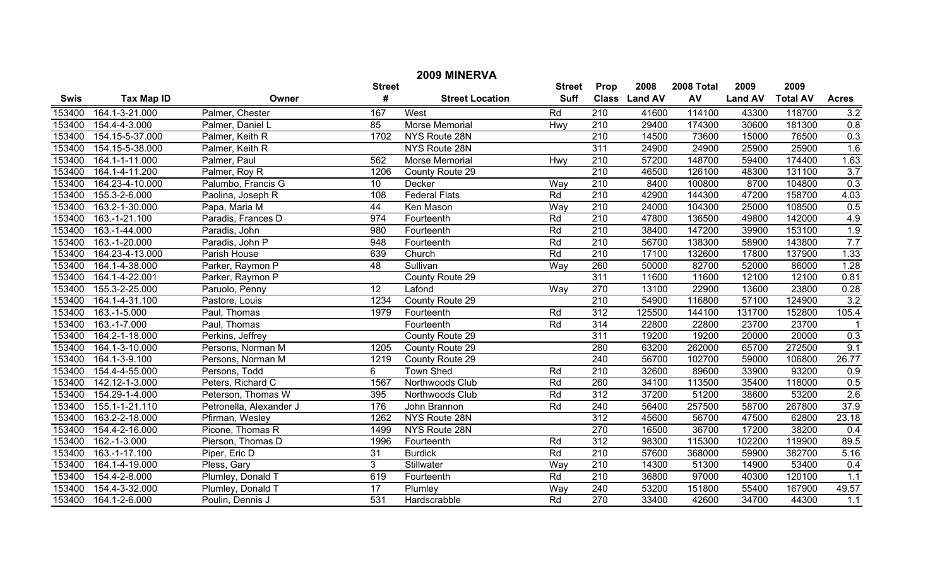| 2009 MINERVA |                   |                         |                  |                        |               |                  |               |            |                |                 |                  |
|--------------|-------------------|-------------------------|------------------|------------------------|---------------|------------------|---------------|------------|----------------|-----------------|------------------|
|              |                   |                         | <b>Street</b>    |                        | <b>Street</b> | Prop             | 2008          | 2008 Total | 2009           | 2009            |                  |
| <b>Swis</b>  | <b>Tax Map ID</b> | Owner                   | #                | <b>Street Location</b> | <b>Suff</b>   |                  | Class Land AV | AV         | <b>Land AV</b> | <b>Total AV</b> | <b>Acres</b>     |
| 153400       | 164.1-3-21.000    | Palmer, Chester         | 167              | West                   | Rd            | 210              | 41600         | 114100     | 43300          | 118700          | 3.2              |
| 153400       | 154.4-4-3.000     | Palmer, Daniel L        | 85               | <b>Morse Memorial</b>  | Hwy           | $\overline{210}$ | 29400         | 174300     | 30600          | 181300          | 0.8              |
| 153400       | 154.15-5-37.000   | Palmer, Keith R         | 1702             | NYS Route 28N          |               | 210              | 14500         | 73600      | 15000          | 76500           | 0.3              |
| 153400       | 154.15-5-38.000   | Palmer, Keith R         |                  | NYS Route 28N          |               | 311              | 24900         | 24900      | 25900          | 25900           | 1.6              |
| 153400       | 164.1-1-11.000    | Palmer, Paul            | 562              | Morse Memorial         | Hwy           | $\overline{210}$ | 57200         | 148700     | 59400          | 174400          | 1.63             |
| 153400       | 164.1-4-11.200    | Palmer, Roy R           | 1206             | County Route 29        |               | $\overline{210}$ | 46500         | 126100     | 48300          | 131100          | $\overline{3.7}$ |
| 153400       | 164.23-4-10.000   | Palumbo, Francis G      | $\overline{10}$  | Decker                 | Way           | 210              | 8400          | 100800     | 8700           | 104800          | 0.3              |
| 153400       | 155.3-2-6.000     | Paolina, Joseph R       | 108              | <b>Federal Flats</b>   | Rd            | 210              | 42900         | 144300     | 47200          | 158700          | 4.03             |
| 153400       | 163.2-1-30.000    | Papa, Maria M           | 44               | Ken Mason              | Way           | 210              | 24000         | 104300     | 25000          | 108500          | 0.5              |
| 153400       | 163.-1-21.100     | Paradis, Frances D      | 974              | Fourteenth             | Rd            | 210              | 47800         | 136500     | 49800          | 142000          | 4.9              |
| 153400       | 163.-1-44.000     | Paradis, John           | 980              | Fourteenth             | Rd            | $\overline{210}$ | 38400         | 147200     | 39900          | 153100          | 1.9              |
| 153400       | 163.-1-20.000     | Paradis, John P         | 948              | Fourteenth             | Rd            | 210              | 56700         | 138300     | 58900          | 143800          | 7.7              |
| 153400       | 164.23-4-13.000   | Parish House            | 639              | Church                 | Rd            | $\overline{210}$ | 17100         | 132600     | 17800          | 137900          | 1.33             |
| 153400       | 164.1-4-38.000    | Parker, Raymon P        | $\overline{48}$  | Sullivan               | Way           | 260              | 50000         | 82700      | 52000          | 86000           | 1.28             |
| 153400       | 164.1-4-22.001    | Parker, Raymon P        |                  | County Route 29        |               | 311              | 11600         | 11600      | 12100          | 12100           | 0.81             |
| 153400       | 155.3-2-25.000    | Paruolo, Penny          | $\overline{12}$  | Lafond                 | Way           | 270              | 13100         | 22900      | 13600          | 23800           | 0.28             |
| 153400       | 164.1-4-31.100    | Pastore, Louis          | 1234             | County Route 29        |               | 210              | 54900         | 116800     | 57100          | 124900          | 3.2              |
| 153400       | 163.-1-5.000      | Paul, Thomas            | 1979             | Fourteenth             | Rd            | $\overline{312}$ | 125500        | 144100     | 131700         | 152800          | 105.4            |
| 153400       | 163.-1-7.000      | Paul, Thomas            |                  | Fourteenth             | Rd            | 314              | 22800         | 22800      | 23700          | 23700           | $\overline{1}$   |
| 153400       | 164.2-1-18.000    | Perkins, Jeffrey        |                  | County Route 29        |               | 311              | 19200         | 19200      | 20000          | 20000           | 0.3              |
| 153400       | 164.1-3-10.000    | Persons, Norman M       | 1205             | County Route 29        |               | 280              | 63200         | 262000     | 65700          | 272500          | 9.1              |
| 153400       | 164.1-3-9.100     | Persons, Norman M       | 1219             | County Route 29        |               | 240              | 56700         | 102700     | 59000          | 106800          | 26.77            |
| 153400       | 154.4-4-55.000    | Persons, Todd           | 6                | <b>Town Shed</b>       | Rd            | 210              | 32600         | 89600      | 33900          | 93200           | 0.9              |
| 153400       | 142.12-1-3.000    | Peters, Richard C       | 1567             | Northwoods Club        | Rd            | 260              | 34100         | 113500     | 35400          | 118000          | 0.5              |
| 153400       | 154.29-1-4.000    | Peterson, Thomas W      | 395              | Northwoods Club        | Rd            | 312              | 37200         | 51200      | 38600          | 53200           | 2.6              |
| 153400       | 155.1-1-21.110    | Petronella, Alexander J | 176              | John Brannon           | Rd            | 240              | 56400         | 257500     | 58700          | 267800          | 37.9             |
| 153400       | 163.2-2-18.000    | Pfirman, Wesley         | 1262             | NYS Route 28N          |               | $\overline{312}$ | 45600         | 56700      | 47500          | 62800           | 23.18            |
| 153400       | 154.4-2-16.000    | Picone, Thomas R        | 1499             | NYS Route 28N          |               | 270              | 16500         | 36700      | 17200          | 38200           | 0.4              |
| 153400       | 162.-1-3.000      | Pierson, Thomas D       | 1996             | Fourteenth             | Rd            | 312              | 98300         | 115300     | 102200         | 119900          | 89.5             |
| 153400       | 163.-1-17.100     | Piper, Eric D           | 31               | <b>Burdick</b>         | Rd            | $\overline{210}$ | 57600         | 368000     | 59900          | 382700          | 5.16             |
| 153400       | 164.1-4-19.000    | Pless, Gary             | $\overline{3}$   | Stillwater             | Way           | $\overline{210}$ | 14300         | 51300      | 14900          | 53400           | 0.4              |
| 153400       | 154.4-2-8.000     | Plumley, Donald T       | 619              | Fourteenth             | Rd            | 210              | 36800         | 97000      | 40300          | 120100          | 1.1              |
| 153400       | 154.4-3-32.000    | Plumley, Donald T       | 17               | Plumley                | Way           | 240              | 53200         | 151800     | 55400          | 167900          | 49.57            |
| 153400       | 164.1-2-6.000     | Poulin, Dennis J        | $\overline{531}$ | Hardscrabble           | Rd            | 270              | 33400         | 42600      | 34700          | 44300           | 1.1              |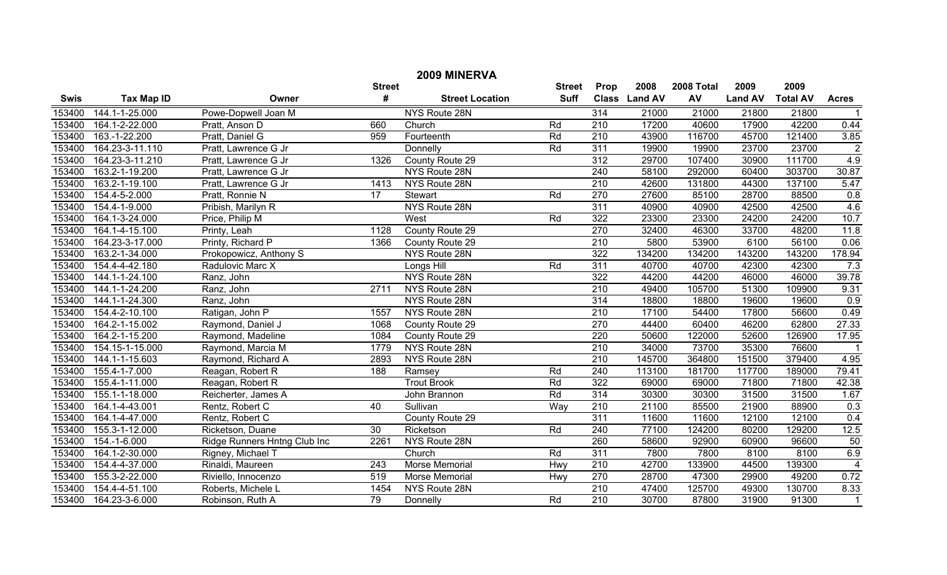| 2009 MINERVA |                   |                              |                  |                        |               |                  |               |            |                |                 |                         |
|--------------|-------------------|------------------------------|------------------|------------------------|---------------|------------------|---------------|------------|----------------|-----------------|-------------------------|
|              |                   |                              | <b>Street</b>    |                        | <b>Street</b> | Prop             | 2008          | 2008 Total | 2009           | 2009            |                         |
| <b>Swis</b>  | <b>Tax Map ID</b> | Owner                        | #                | <b>Street Location</b> | <b>Suff</b>   |                  | Class Land AV | AV         | <b>Land AV</b> | <b>Total AV</b> | <b>Acres</b>            |
| 153400       | 144.1-1-25.000    | Powe-Dopwell Joan M          |                  | NYS Route 28N          |               | 314              | 21000         | 21000      | 21800          | 21800           |                         |
| 153400       | 164.1-2-22.000    | Pratt, Anson D               | 660              | Church                 | Rd            | $\overline{210}$ | 17200         | 40600      | 17900          | 42200           | 0.44                    |
| 153400       | 163.-1-22.200     | Pratt, Daniel G              | 959              | Fourteenth             | Rd            | $\overline{210}$ | 43900         | 116700     | 45700          | 121400          | 3.85                    |
| 153400       | 164.23-3-11.110   | Pratt, Lawrence G Jr         |                  | Donnelly               | Rd            | 311              | 19900         | 19900      | 23700          | 23700           | $\overline{2}$          |
| 153400       | 164.23-3-11.210   | Pratt, Lawrence G Jr         | 1326             | County Route 29        |               | 312              | 29700         | 107400     | 30900          | 111700          | 4.9                     |
| 153400       | 163.2-1-19.200    | Pratt, Lawrence G Jr         |                  | NYS Route 28N          |               | 240              | 58100         | 292000     | 60400          | 303700          | 30.87                   |
| 153400       | 163.2-1-19.100    | Pratt, Lawrence G Jr         | 1413             | NYS Route 28N          |               | 210              | 42600         | 131800     | 44300          | 137100          | 5.47                    |
| 153400       | 154.4-5-2.000     | Pratt, Ronnie N              | $\overline{17}$  | Stewart                | Rd            | 270              | 27600         | 85100      | 28700          | 88500           | 0.8                     |
| 153400       | 154.4-1-9.000     | Pribish, Marilyn R           |                  | NYS Route 28N          |               | 311              | 40900         | 40900      | 42500          | 42500           | 4.6                     |
| 153400       | 164.1-3-24.000    | Price, Philip M              |                  | West                   | Rd            | 322              | 23300         | 23300      | 24200          | 24200           | 10.7                    |
| 153400       | 164.1-4-15.100    | Printy, Leah                 | 1128             | County Route 29        |               | 270              | 32400         | 46300      | 33700          | 48200           | 11.8                    |
| 153400       | 164.23-3-17.000   | Printy, Richard P            | 1366             | County Route 29        |               | 210              | 5800          | 53900      | 6100           | 56100           | 0.06                    |
| 153400       | 163.2-1-34.000    | Prokopowicz, Anthony S       |                  | NYS Route 28N          |               | 322              | 134200        | 134200     | 143200         | 143200          | 178.94                  |
| 153400       | 154.4-4-42.180    | Radulovic Marc X             |                  | Longs Hill             | Rd            | 311              | 40700         | 40700      | 42300          | 42300           | 7.3                     |
| 153400       | 144.1-1-24.100    | Ranz, John                   |                  | NYS Route 28N          |               | 322              | 44200         | 44200      | 46000          | 46000           | 39.78                   |
| 153400       | 144.1-1-24.200    | Ranz, John                   | 2711             | NYS Route 28N          |               | 210              | 49400         | 105700     | 51300          | 109900          | 9.31                    |
| 153400       | 144.1-1-24.300    | Ranz, John                   |                  | NYS Route 28N          |               | 314              | 18800         | 18800      | 19600          | 19600           | 0.9                     |
| 153400       | 154.4-2-10.100    | Ratigan, John P              | 1557             | NYS Route 28N          |               | $\overline{210}$ | 17100         | 54400      | 17800          | 56600           | 0.49                    |
| 153400       | 164.2-1-15.002    | Raymond, Daniel J            | 1068             | County Route 29        |               | 270              | 44400         | 60400      | 46200          | 62800           | 27.33                   |
| 153400       | 164.2-1-15.200    | Raymond, Madeline            | 1084             | County Route 29        |               | 220              | 50600         | 122000     | 52600          | 126900          | 17.95                   |
| 153400       | 154.15-1-15.000   | Raymond, Marcia M            | 1779             | NYS Route 28N          |               | $\overline{210}$ | 34000         | 73700      | 35300          | 76600           | $\overline{1}$          |
| 153400       | 144.1-1-15.603    | Raymond, Richard A           | 2893             | NYS Route 28N          |               | 210              | 145700        | 364800     | 151500         | 379400          | 4.95                    |
| 153400       | 155.4-1-7.000     | Reagan, Robert R             | 188              | Ramsey                 | Rd            | $\overline{240}$ | 113100        | 181700     | 117700         | 189000          | 79.41                   |
| 153400       | 155.4-1-11.000    | Reagan, Robert R             |                  | <b>Trout Brook</b>     | Rd            | 322              | 69000         | 69000      | 71800          | 71800           | 42.38                   |
| 153400       | 155.1-1-18.000    | Reicherter, James A          |                  | John Brannon           | Rd            | 314              | 30300         | 30300      | 31500          | 31500           | 1.67                    |
| 153400       | 164.1-4-43.001    | Rentz, Robert C              | 40               | Sullivan               | Way           | $\overline{210}$ | 21100         | 85500      | 21900          | 88900           | 0.3                     |
| 153400       | 164.1-4-47.000    | Rentz, Robert C              |                  | County Route 29        |               | 311              | 11600         | 11600      | 12100          | 12100           | 0.4                     |
| 153400       | 155.3-1-12.000    | Ricketson, Duane             | 30               | Ricketson              | Rd            | 240              | 77100         | 124200     | 80200          | 129200          | 12.5                    |
| 153400       | 154.-1-6.000      | Ridge Runners Hntng Club Inc | 2261             | NYS Route 28N          |               | 260              | 58600         | 92900      | 60900          | 96600           | 50                      |
| 153400       | 164.1-2-30.000    | Rigney, Michael T            |                  | Church                 | Rd            | 311              | 7800          | 7800       | 8100           | 8100            | 6.9                     |
| 153400       | 154.4-4-37.000    | Rinaldi, Maureen             | $\overline{243}$ | <b>Morse Memorial</b>  | Hwy           | 210              | 42700         | 133900     | 44500          | 139300          | $\overline{\mathbf{4}}$ |
| 153400       | 155.3-2-22.000    | Riviello, Innocenzo          | 519              | Morse Memorial         | Hwy           | 270              | 28700         | 47300      | 29900          | 49200           | 0.72                    |
| 153400       | 154.4-4-51.100    | Roberts, Michele L           | 1454             | NYS Route 28N          |               | $\overline{210}$ | 47400         | 125700     | 49300          | 130700          | 8.33                    |
| 153400       | 164.23-3-6.000    | Robinson, Ruth A             | 79               | Donnelly               | Rd            | $\overline{210}$ | 30700         | 87800      | 31900          | 91300           | $\mathbf{1}$            |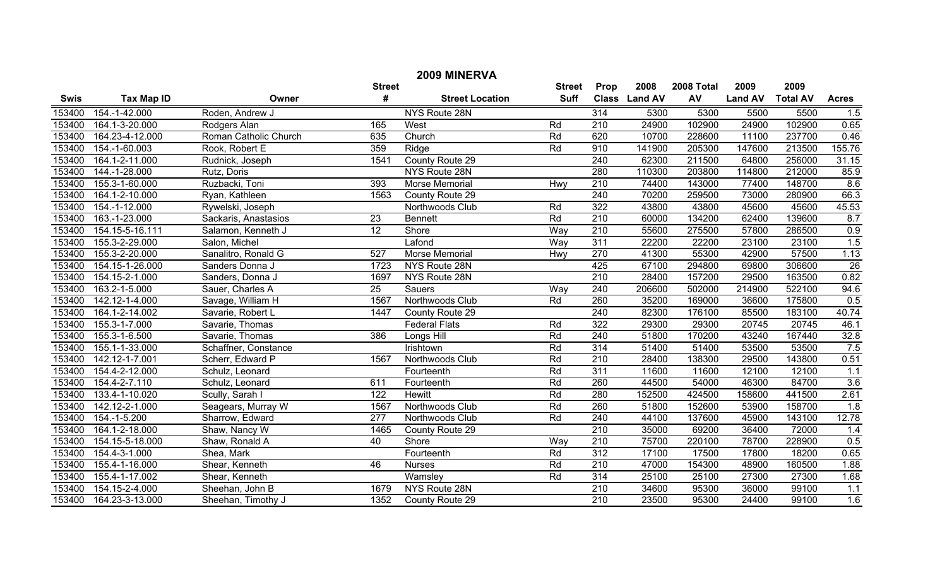| 2009 MINERVA |                   |                       |                  |                        |               |                  |               |            |                |                 |                 |
|--------------|-------------------|-----------------------|------------------|------------------------|---------------|------------------|---------------|------------|----------------|-----------------|-----------------|
|              |                   |                       | <b>Street</b>    |                        | <b>Street</b> | Prop             | 2008          | 2008 Total | 2009           | 2009            |                 |
| <b>Swis</b>  | <b>Tax Map ID</b> | Owner                 | #                | <b>Street Location</b> | <b>Suff</b>   |                  | Class Land AV | AV         | <b>Land AV</b> | <b>Total AV</b> | <b>Acres</b>    |
| 153400       | 154.-1-42.000     | Roden, Andrew J       |                  | NYS Route 28N          |               | 314              | 5300          | 5300       | 5500           | 5500            | 1.5             |
| 153400       | 164.1-3-20.000    | Rodgers Alan          | 165              | West                   | Rd            | $\overline{210}$ | 24900         | 102900     | 24900          | 102900          | 0.65            |
| 153400       | 164.23-4-12.000   | Roman Catholic Church | 635              | Church                 | Rd            | 620              | 10700         | 228600     | 11100          | 237700          | 0.46            |
| 153400       | 154.-1-60.003     | Rook, Robert E        | 359              | Ridge                  | Rd            | 910              | 141900        | 205300     | 147600         | 213500          | 155.76          |
| 153400       | 164.1-2-11.000    | Rudnick, Joseph       | 1541             | County Route 29        |               | 240              | 62300         | 211500     | 64800          | 256000          | 31.15           |
| 153400       | 144.-1-28.000     | Rutz, Doris           |                  | NYS Route 28N          |               | 280              | 110300        | 203800     | 114800         | 212000          | 85.9            |
| 153400       | 155.3-1-60.000    | Ruzbacki, Toni        | 393              | Morse Memorial         | Hwy           | 210              | 74400         | 143000     | 77400          | 148700          | 8.6             |
| 153400       | 164.1-2-10.000    | Ryan, Kathleen        | 1563             | County Route 29        |               | 240              | 70200         | 259500     | 73000          | 280900          | 66.3            |
| 153400       | 154.-1-12.000     | Rywelski, Joseph      |                  | Northwoods Club        | Rd            | 322              | 43800         | 43800      | 45600          | 45600           | 45.53           |
| 153400       | 163.-1-23.000     | Sackaris, Anastasios  | 23               | <b>Bennett</b>         | Rd            | 210              | 60000         | 134200     | 62400          | 139600          | 8.7             |
| 153400       | 154.15-5-16.111   | Salamon, Kenneth J    | 12               | Shore                  | Way           | $\overline{210}$ | 55600         | 275500     | 57800          | 286500          | 0.9             |
| 153400       | 155.3-2-29.000    | Salon, Michel         |                  | Lafond                 | Way           | 311              | 22200         | 22200      | 23100          | 23100           | 1.5             |
| 153400       | 155.3-2-20.000    | Sanalitro, Ronald G   | 527              | <b>Morse Memorial</b>  | Hwy           | 270              | 41300         | 55300      | 42900          | 57500           | 1.13            |
| 153400       | 154.15-1-26.000   | Sanders Donna J       | 1723             | NYS Route 28N          |               | 425              | 67100         | 294800     | 69800          | 306600          | $\overline{26}$ |
| 153400       | 154.15-2-1.000    | Sanders, Donna J      | 1697             | NYS Route 28N          |               | $\overline{210}$ | 28400         | 157200     | 29500          | 163500          | 0.82            |
| 153400       | 163.2-1-5.000     | Sauer, Charles A      | $\overline{25}$  | Sauers                 | Way           | 240              | 206600        | 502000     | 214900         | 522100          | 94.6            |
| 153400       | 142.12-1-4.000    | Savage, William H     | 1567             | Northwoods Club        | Rd            | 260              | 35200         | 169000     | 36600          | 175800          | 0.5             |
| 153400       | 164.1-2-14.002    | Savarie, Robert L     | 1447             | County Route 29        |               | 240              | 82300         | 176100     | 85500          | 183100          | 40.74           |
| 153400       | 155.3-1-7.000     | Savarie, Thomas       |                  | <b>Federal Flats</b>   | Rd            | 322              | 29300         | 29300      | 20745          | 20745           | 46.1            |
| 153400       | 155.3-1-6.500     | Savarie, Thomas       | 386              | Longs Hill             | Rd            | 240              | 51800         | 170200     | 43240          | 167440          | 32.8            |
| 153400       | 155.1-1-33.000    | Schaffner, Constance  |                  | Irishtown              | Rd            | 314              | 51400         | 51400      | 53500          | 53500           | 7.5             |
| 153400       | 142.12-1-7.001    | Scherr, Edward P      | 1567             | Northwoods Club        | Rd            | $\overline{210}$ | 28400         | 138300     | 29500          | 143800          | 0.51            |
| 153400       | 154.4-2-12.000    | Schulz, Leonard       |                  | Fourteenth             | Rd            | 311              | 11600         | 11600      | 12100          | 12100           | 1.1             |
| 153400       | 154.4-2-7.110     | Schulz, Leonard       | 611              | Fourteenth             | Rd            | 260              | 44500         | 54000      | 46300          | 84700           | 3.6             |
| 153400       | 133.4-1-10.020    | Scully, Sarah I       | 122              | <b>Hewitt</b>          | Rd            | 280              | 152500        | 424500     | 158600         | 441500          | 2.61            |
| 153400       | 142.12-2-1.000    | Seagears, Murray W    | 1567             | Northwoods Club        | Rd            | 260              | 51800         | 152600     | 53900          | 158700          | 1.8             |
| 153400       | 154.-1-5.200      | Sharrow, Edward       | $\overline{277}$ | Northwoods Club        | Rd            | 240              | 44100         | 137600     | 45900          | 143100          | 12.78           |
| 153400       | 164.1-2-18.000    | Shaw, Nancy W         | 1465             | County Route 29        |               | $\overline{210}$ | 35000         | 69200      | 36400          | 72000           | 1.4             |
| 153400       | 154.15-5-18.000   | Shaw, Ronald A        | 40               | Shore                  | <b>Way</b>    | 210              | 75700         | 220100     | 78700          | 228900          | 0.5             |
| 153400       | 154.4-3-1.000     | Shea, Mark            |                  | Fourteenth             | Rd            | 312              | 17100         | 17500      | 17800          | 18200           | 0.65            |
| 153400       | 155.4-1-16.000    | Shear, Kenneth        | 46               | <b>Nurses</b>          | Rd            | 210              | 47000         | 154300     | 48900          | 160500          | 1.88            |
| 153400       | 155.4-1-17.002    | Shear, Kenneth        |                  | Wamsley                | Rd            | 314              | 25100         | 25100      | 27300          | 27300           | 1.68            |
| 153400       | 154.15-2-4.000    | Sheehan, John B       | 1679             | NYS Route 28N          |               | 210              | 34600         | 95300      | 36000          | 99100           | 1.1             |
| 153400       | 164.23-3-13.000   | Sheehan, Timothy J    | 1352             | County Route 29        |               | $\overline{210}$ | 23500         | 95300      | 24400          | 99100           | 1.6             |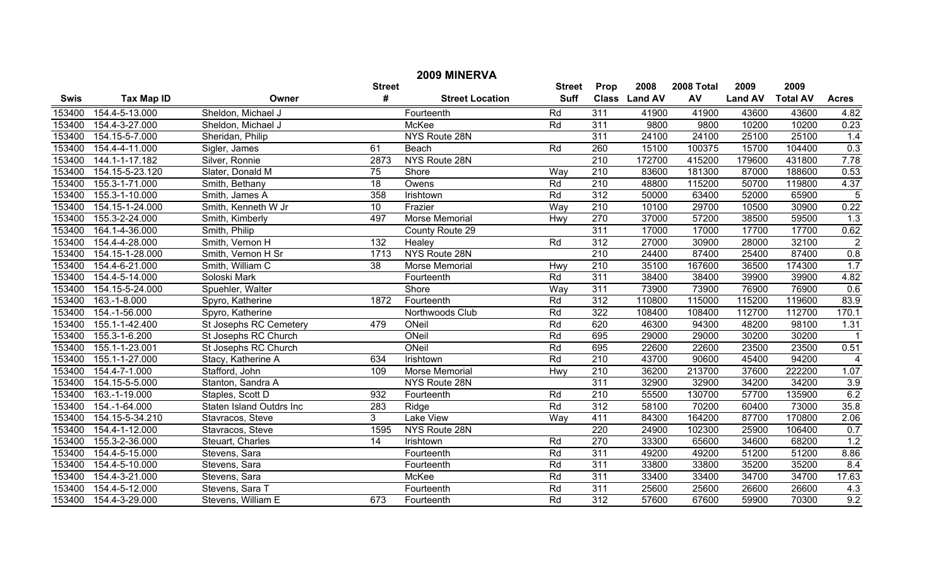| 2009 MINERVA |                   |                          |                  |                        |             |                  |               |        |                |                 |                |
|--------------|-------------------|--------------------------|------------------|------------------------|-------------|------------------|---------------|--------|----------------|-----------------|----------------|
|              |                   |                          | <b>Street</b>    | <b>Street</b>          | Prop        | 2008             | 2008 Total    | 2009   | 2009           |                 |                |
| <b>Swis</b>  | <b>Tax Map ID</b> | Owner                    | #                | <b>Street Location</b> | <b>Suff</b> |                  | Class Land AV | AV     | <b>Land AV</b> | <b>Total AV</b> | <b>Acres</b>   |
| 153400       | 154.4-5-13.000    | Sheldon, Michael J       |                  | Fourteenth             | Rd          | $\overline{311}$ | 41900         | 41900  | 43600          | 43600           | 4.82           |
| 153400       | 154.4-3-27.000    | Sheldon, Michael J       |                  | <b>McKee</b>           | Rd          | 311              | 9800          | 9800   | 10200          | 10200           | 0.23           |
| 153400       | 154.15-5-7.000    | Sheridan, Philip         |                  | NYS Route 28N          |             | 311              | 24100         | 24100  | 25100          | 25100           | 1.4            |
| 153400       | 154.4-4-11.000    | Sigler, James            | 61               | Beach                  | Rd          | 260              | 15100         | 100375 | 15700          | 104400          | 0.3            |
| 153400       | 144.1-1-17.182    | Silver, Ronnie           | 2873             | NYS Route 28N          |             | $\overline{210}$ | 172700        | 415200 | 179600         | 431800          | 7.78           |
| 153400       | 154.15-5-23.120   | Slater, Donald M         | 75               | Shore                  | Way         | $\overline{210}$ | 83600         | 181300 | 87000          | 188600          | 0.53           |
| 153400       | 155.3-1-71.000    | Smith, Bethany           | $\overline{18}$  | Owens                  | Rd          | 210              | 48800         | 115200 | 50700          | 119800          | 4.37           |
| 153400       | 155.3-1-10.000    | Smith, James A           | 358              | Irishtown              | Rd          | $\overline{312}$ | 50000         | 63400  | 52000          | 65900           | $\overline{5}$ |
| 153400       | 154.15-1-24.000   | Smith, Kenneth W Jr      | 10               | Frazier                | Way         | 210              | 10100         | 29700  | 10500          | 30900           | 0.22           |
| 153400       | 155.3-2-24.000    | Smith, Kimberly          | 497              | Morse Memorial         | Hwy         | 270              | 37000         | 57200  | 38500          | 59500           | 1.3            |
| 153400       | 164.1-4-36.000    | Smith, Philip            |                  | County Route 29        |             | 311              | 17000         | 17000  | 17700          | 17700           | 0.62           |
| 153400       | 154.4-4-28.000    | Smith, Vernon H          | $\overline{132}$ | Healey                 | Rd          | $\overline{312}$ | 27000         | 30900  | 28000          | 32100           | $\overline{2}$ |
| 153400       | 154.15-1-28.000   | Smith, Vernon H Sr       | 1713             | NYS Route 28N          |             | 210              | 24400         | 87400  | 25400          | 87400           | 0.8            |
| 153400       | 154.4-6-21.000    | Smith, William C         | 38               | Morse Memorial         | Hwy         | 210              | 35100         | 167600 | 36500          | 174300          | 1.7            |
| 153400       | 154.4-5-14.000    | Soloski Mark             |                  | Fourteenth             | Rd          | 311              | 38400         | 38400  | 39900          | 39900           | 4.82           |
| 153400       | 154.15-5-24.000   | Spuehler, Walter         |                  | Shore                  | Way         | 311              | 73900         | 73900  | 76900          | 76900           | 0.6            |
| 153400       | 163.-1-8.000      | Spyro, Katherine         | 1872             | Fourteenth             | Rd          | 312              | 110800        | 115000 | 115200         | 119600          | 83.9           |
| 153400       | 154.-1-56.000     | Spyro, Katherine         |                  | Northwoods Club        | Rd          | 322              | 108400        | 108400 | 112700         | 112700          | 170.1          |
| 153400       | 155.1-1-42.400    | St Josephs RC Cemetery   | 479              | ONeil                  | Rd          | 620              | 46300         | 94300  | 48200          | 98100           | 1.31           |
| 153400       | 155.3-1-6.200     | St Josephs RC Church     |                  | ONeil                  | Rd          | 695              | 29000         | 29000  | 30200          | 30200           |                |
| 153400       | 155.1-1-23.001    | St Josephs RC Church     |                  | ONeil                  | Rd          | 695              | 22600         | 22600  | 23500          | 23500           | 0.51           |
| 153400       | 155.1-1-27.000    | Stacy, Katherine A       | 634              | Irishtown              | Rd          | $\overline{210}$ | 43700         | 90600  | 45400          | 94200           | 4              |
| 153400       | 154.4-7-1.000     | Stafford, John           | 109              | Morse Memorial         | Hwy         | 210              | 36200         | 213700 | 37600          | 222200          | 1.07           |
| 153400       | 154.15-5-5.000    | Stanton, Sandra A        |                  | NYS Route 28N          |             | 311              | 32900         | 32900  | 34200          | 34200           | 3.9            |
| 153400       | 163.-1-19.000     | Staples, Scott D         | 932              | Fourteenth             | Rd          | 210              | 55500         | 130700 | 57700          | 135900          | 6.2            |
| 153400       | 154.-1-64.000     | Staten Island Outdrs Inc | 283              | Ridge                  | Rd          | $\overline{312}$ | 58100         | 70200  | 60400          | 73000           | 35.8           |
| 153400       | 154.15-5-34.210   | Stavracos, Steve         | $\overline{3}$   | <b>Lake View</b>       | Way         | 411              | 84300         | 164200 | 87700          | 170800          | 2.06           |
| 153400       | 154.4-1-12.000    | Stavracos, Steve         | 1595             | NYS Route 28N          |             | 220              | 24900         | 102300 | 25900          | 106400          | 0.7            |
| 153400       | 155.3-2-36.000    | Steuart, Charles         | $\overline{14}$  | Irishtown              | Rd          | 270              | 33300         | 65600  | 34600          | 68200           | 1.2            |
| 153400       | 154.4-5-15.000    | Stevens, Sara            |                  | Fourteenth             | Rd          | 311              | 49200         | 49200  | 51200          | 51200           | 8.86           |
| 153400       | 154.4-5-10.000    | Stevens, Sara            |                  | Fourteenth             | Rd          | 311              | 33800         | 33800  | 35200          | 35200           | 8.4            |
| 153400       | 154.4-3-21.000    | Stevens, Sara            |                  | McKee                  | Rd          | 311              | 33400         | 33400  | 34700          | 34700           | 17.63          |
| 153400       | 154.4-5-12.000    | Stevens, Sara T          |                  | Fourteenth             | Rd          | 311              | 25600         | 25600  | 26600          | 26600           | 4.3            |
| 153400       | 154.4-3-29.000    | Stevens, William E       | 673              | Fourteenth             | Rd          | $\overline{312}$ | 57600         | 67600  | 59900          | 70300           | 9.2            |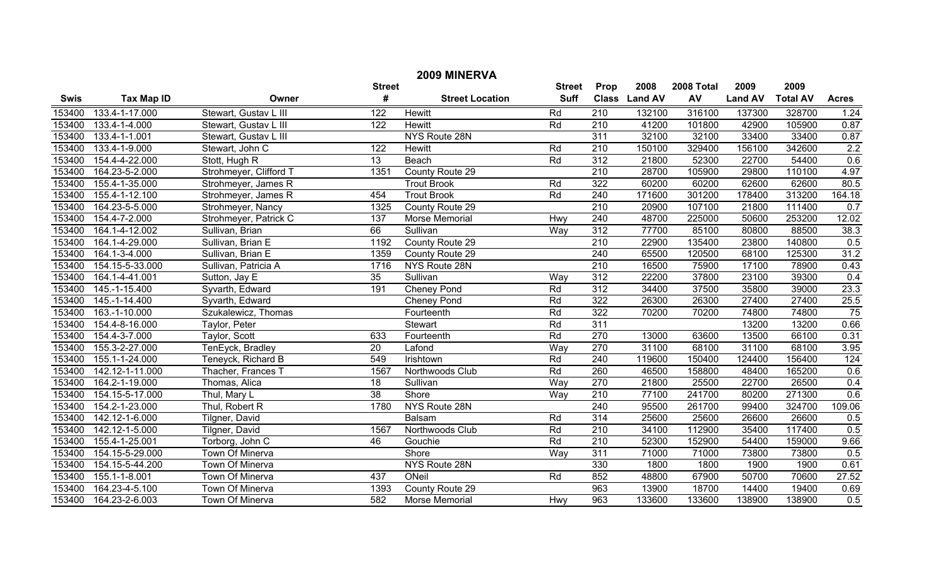| 2009 MINERVA |                   |                        |                  |                        |               |                  |                |            |                |                 |              |
|--------------|-------------------|------------------------|------------------|------------------------|---------------|------------------|----------------|------------|----------------|-----------------|--------------|
|              |                   |                        | <b>Street</b>    |                        | <b>Street</b> | Prop             | 2008           | 2008 Total | 2009           | 2009            |              |
| <b>Swis</b>  | <b>Tax Map ID</b> | Owner                  | #                | <b>Street Location</b> | <b>Suff</b>   | <b>Class</b>     | <b>Land AV</b> | AV         | <b>Land AV</b> | <b>Total AV</b> | <b>Acres</b> |
| 153400       | 133.4-1-17.000    | Stewart, Gustav L III  | 122              | <b>Hewitt</b>          | Rd            | 210              | 132100         | 316100     | 137300         | 328700          | 1.24         |
| 153400       | 133.4-1-4.000     | Stewart, Gustav L III  | 122              | Hewitt                 | Rd            | $\overline{210}$ | 41200          | 101800     | 42900          | 105900          | 0.87         |
| 153400       | 133.4-1-1.001     | Stewart, Gustav L III  |                  | NYS Route 28N          |               | 311              | 32100          | 32100      | 33400          | 33400           | 0.87         |
| 153400       | 133.4-1-9.000     | Stewart, John C        | $\overline{122}$ | Hewitt                 | Rd            | $\overline{210}$ | 150100         | 329400     | 156100         | 342600          | 2.2          |
| 153400       | 154.4-4-22.000    | Stott, Hugh R          | 13               | Beach                  | Rd            | 312              | 21800          | 52300      | 22700          | 54400           | 0.6          |
| 153400       | 164.23-5-2.000    | Strohmeyer, Clifford T | 1351             | County Route 29        |               | 210              | 28700          | 105900     | 29800          | 110100          | 4.97         |
| 153400       | 155.4-1-35.000    | Strohmeyer, James R    |                  | <b>Trout Brook</b>     | Rd            | 322              | 60200          | 60200      | 62600          | 62600           | 80.5         |
| 153400       | 155.4-1-12.100    | Strohmeyer, James R    | 454              | <b>Trout Brook</b>     | Rd            | 240              | 171600         | 301200     | 178400         | 313200          | 164.18       |
| 153400       | 164.23-5-5.000    | Strohmeyer, Nancy      | 1325             | County Route 29        |               | 210              | 20900          | 107100     | 21800          | 111400          | 0.7          |
| 153400       | 154.4-7-2.000     | Strohmeyer, Patrick C  | 137              | Morse Memorial         | Hwy           | 240              | 48700          | 225000     | 50600          | 253200          | 12.02        |
| 153400       | 164.1-4-12.002    | Sullivan, Brian        | 66               | Sullivan               | Way           | 312              | 77700          | 85100      | 80800          | 88500           | 38.3         |
| 153400       | 164.1-4-29.000    | Sullivan, Brian E      | 1192             | County Route 29        |               | $\overline{210}$ | 22900          | 135400     | 23800          | 140800          | 0.5          |
| 153400       | 164.1-3-4.000     | Sullivan, Brian E      | 1359             | County Route 29        |               | 240              | 65500          | 120500     | 68100          | 125300          | 31.2         |
| 153400       | 154.15-5-33.000   | Sullivan, Patricia A   | 1716             | NYS Route 28N          |               | 210              | 16500          | 75900      | 17100          | 78900           | 0.43         |
| 153400       | 164.1-4-41.001    | Sutton, Jay E          | $\overline{35}$  | Sullivan               | Way           | 312              | 22200          | 37800      | 23100          | 39300           | 0.4          |
| 153400       | 145.-1-15.400     | Syvarth, Edward        | 191              | <b>Cheney Pond</b>     | Rd            | 312              | 34400          | 37500      | 35800          | 39000           | 23.3         |
| 153400       | 145.-1-14.400     | Syvarth, Edward        |                  | Cheney Pond            | Rd            | 322              | 26300          | 26300      | 27400          | 27400           | 25.5         |
| 153400       | 163.-1-10.000     | Szukalewicz, Thomas    |                  | Fourteenth             | Rd            | 322              | 70200          | 70200      | 74800          | 74800           | 75           |
| 153400       | 154.4-8-16.000    | Taylor, Peter          |                  | Stewart                | Rd            | 311              |                |            | 13200          | 13200           | 0.66         |
| 153400       | 154.4-3-7.000     | Taylor, Scott          | 633              | Fourteenth             | Rd            | 270              | 13000          | 63600      | 13500          | 66100           | 0.31         |
| 153400       | 155.3-2-27.000    | TenEyck, Bradley       | $\overline{20}$  | Lafond                 | Way           | 270              | 31100          | 68100      | 31100          | 68100           | 3.95         |
| 153400       | 155.1-1-24.000    | Teneyck, Richard B     | 549              | Irishtown              | Rd            | 240              | 119600         | 150400     | 124400         | 156400          | 124          |
| 153400       | 142.12-1-11.000   | Thacher, Frances T     | 1567             | Northwoods Club        | Rd            | 260              | 46500          | 158800     | 48400          | 165200          | 0.6          |
| 153400       | 164.2-1-19.000    | Thomas, Alica          | 18               | Sullivan               | Way           | 270              | 21800          | 25500      | 22700          | 26500           | 0.4          |
| 153400       | 154.15-5-17.000   | Thul, Mary L           | $\overline{38}$  | Shore                  | Way           | 210              | 77100          | 241700     | 80200          | 271300          | 0.6          |
| 153400       | 154.2-1-23.000    | Thul, Robert R         | 1780             | NYS Route 28N          |               | 240              | 95500          | 261700     | 99400          | 324700          | 109.06       |
| 153400       | 142.12-1-6.000    | Tilgner, David         |                  | Balsam                 | Rd            | 314              | 25600          | 25600      | 26600          | 26600           | 0.5          |
| 153400       | 142.12-1-5.000    | Tilgner, David         | 1567             | Northwoods Club        | Rd            | 210              | 34100          | 112900     | 35400          | 117400          | 0.5          |
| 153400       | 155.4-1-25.001    | Torborg, John C        | 46               | Gouchie                | Rd            | $\overline{210}$ | 52300          | 152900     | 54400          | 159000          | 9.66         |
| 153400       | 154.15-5-29.000   | <b>Town Of Minerva</b> |                  | Shore                  | Way           | 311              | 71000          | 71000      | 73800          | 73800           | 0.5          |
| 153400       | 154.15-5-44.200   | <b>Town Of Minerva</b> |                  | NYS Route 28N          |               | 330              | 1800           | 1800       | 1900           | 1900            | 0.61         |
| 153400       | 155.1-1-8.001     | Town Of Minerva        | 437              | ONeil                  | Rd            | 852              | 48800          | 67900      | 50700          | 70600           | 27.52        |
| 153400       | 164.23-4-5.100    | Town Of Minerva        | 1393             | County Route 29        |               | 963              | 13900          | 18700      | 14400          | 19400           | 0.69         |
| 153400       | 164.23-2-6.003    | Town Of Minerva        | 582              | Morse Memorial         | Hwy           | $\overline{963}$ | 133600         | 133600     | 138900         | 138900          | 0.5          |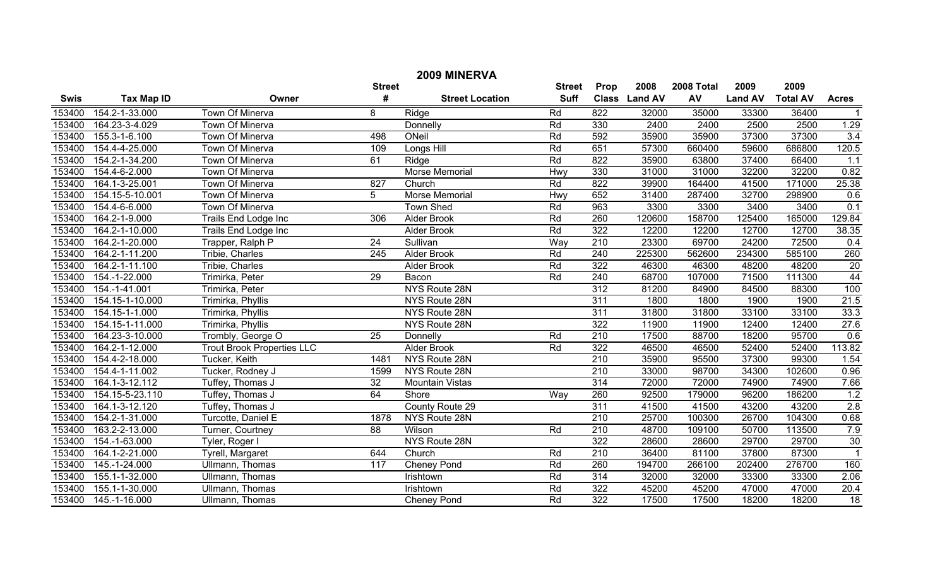| 2009 MINERVA |                   |                                   |                  |                        |             |                  |               |        |                |                 |                 |
|--------------|-------------------|-----------------------------------|------------------|------------------------|-------------|------------------|---------------|--------|----------------|-----------------|-----------------|
|              |                   | <b>Street</b>                     | <b>Street</b>    | Prop                   | 2008        | 2008 Total       | 2009          | 2009   |                |                 |                 |
| <b>Swis</b>  | <b>Tax Map ID</b> | Owner                             | #                | <b>Street Location</b> | <b>Suff</b> |                  | Class Land AV | AV     | <b>Land AV</b> | <b>Total AV</b> | <b>Acres</b>    |
| 153400       | 154.2-1-33.000    | <b>Town Of Minerva</b>            | 8                | Ridge                  | Rd          | 822              | 32000         | 35000  | 33300          | 36400           |                 |
| 153400       | 164.23-3-4.029    | Town Of Minerva                   |                  | Donnelly               | Rd          | 330              | 2400          | 2400   | 2500           | 2500            | 1.29            |
| 153400       | 155.3-1-6.100     | <b>Town Of Minerva</b>            | 498              | ONeil                  | Rd          | 592              | 35900         | 35900  | 37300          | 37300           | 3.4             |
| 153400       | 154.4-4-25.000    | <b>Town Of Minerva</b>            | 109              | Longs Hill             | Rd          | 651              | 57300         | 660400 | 59600          | 686800          | 120.5           |
| 153400       | 154.2-1-34.200    | <b>Town Of Minerva</b>            | 61               | Ridge                  | Rd          | 822              | 35900         | 63800  | 37400          | 66400           | 1.1             |
| 153400       | 154.4-6-2.000     | Town Of Minerva                   |                  | <b>Morse Memorial</b>  | Hwy         | 330              | 31000         | 31000  | 32200          | 32200           | 0.82            |
| 153400       | 164.1-3-25.001    | Town Of Minerva                   | 827              | Church                 | Rd          | 822              | 39900         | 164400 | 41500          | 171000          | 25.38           |
| 153400       | 154.15-5-10.001   | <b>Town Of Minerva</b>            | $\overline{5}$   | <b>Morse Memorial</b>  | Hwy         | 652              | 31400         | 287400 | 32700          | 298900          | 0.6             |
| 153400       | 154.4-6-6.000     | Town Of Minerva                   |                  | <b>Town Shed</b>       | Rd          | 963              | 3300          | 3300   | 3400           | 3400            | 0.1             |
| 153400       | 164.2-1-9.000     | Trails End Lodge Inc              | 306              | <b>Alder Brook</b>     | Rd          | 260              | 120600        | 158700 | 125400         | 165000          | 129.84          |
| 153400       | 164.2-1-10.000    | <b>Trails End Lodge Inc</b>       |                  | <b>Alder Brook</b>     | Rd          | 322              | 12200         | 12200  | 12700          | 12700           | 38.35           |
| 153400       | 164.2-1-20.000    | Trapper, Ralph P                  | $\overline{24}$  | Sullivan               | Way         | 210              | 23300         | 69700  | 24200          | 72500           | 0.4             |
| 153400       | 164.2-1-11.200    | Tribie, Charles                   | 245              | <b>Alder Brook</b>     | Rd          | 240              | 225300        | 562600 | 234300         | 585100          | 260             |
| 153400       | 164.2-1-11.100    | Tribie, Charles                   |                  | Alder Brook            | Rd          | 322              | 46300         | 46300  | 48200          | 48200           | $\overline{20}$ |
| 153400       | 154.-1-22.000     | Trimirka, Peter                   | $\overline{29}$  | Bacon                  | Rd          | 240              | 68700         | 107000 | 71500          | 111300          | 44              |
| 153400       | 154.-1-41.001     | Trimirka, Peter                   |                  | NYS Route 28N          |             | 312              | 81200         | 84900  | 84500          | 88300           | 100             |
| 153400       | 154.15-1-10.000   | Trimirka, Phyllis                 |                  | NYS Route 28N          |             | 311              | 1800          | 1800   | 1900           | 1900            | 21.5            |
| 153400       | 154.15-1-1.000    | Trimirka, Phyllis                 |                  | NYS Route 28N          |             | 311              | 31800         | 31800  | 33100          | 33100           | 33.3            |
| 153400       | 154.15-1-11.000   | Trimirka, Phyllis                 |                  | NYS Route 28N          |             | 322              | 11900         | 11900  | 12400          | 12400           | 27.6            |
| 153400       | 164.23-3-10.000   | Trombly, George O                 | $\overline{25}$  | Donnelly               | Rd          | $\overline{210}$ | 17500         | 88700  | 18200          | 95700           | 0.6             |
| 153400       | 164.2-1-12.000    | <b>Trout Brook Properties LLC</b> |                  | Alder Brook            | Rd          | 322              | 46500         | 46500  | 52400          | 52400           | 113.82          |
| 153400       | 154.4-2-18.000    | Tucker, Keith                     | 1481             | NYS Route 28N          |             | 210              | 35900         | 95500  | 37300          | 99300           | 1.54            |
| 153400       | 154.4-1-11.002    | Tucker, Rodney J                  | 1599             | NYS Route 28N          |             | $\overline{210}$ | 33000         | 98700  | 34300          | 102600          | 0.96            |
| 153400       | 164.1-3-12.112    | Tuffey, Thomas J                  | 32               | <b>Mountain Vistas</b> |             | 314              | 72000         | 72000  | 74900          | 74900           | 7.66            |
| 153400       | 154.15-5-23.110   | Tuffey, Thomas J                  | 64               | Shore                  | Way         | 260              | 92500         | 179000 | 96200          | 186200          | 1.2             |
| 153400       | 164.1-3-12.120    | Tuffey, Thomas J                  |                  | County Route 29        |             | 311              | 41500         | 41500  | 43200          | 43200           | 2.8             |
| 153400       | 154.2-1-31.000    | Turcotte, Daniel E                | 1878             | NYS Route 28N          |             | $\overline{210}$ | 25700         | 100300 | 26700          | 104300          | 0.68            |
| 153400       | 163.2-2-13.000    | Turner, Courtney                  | 88               | Wilson                 | Rd          | 210              | 48700         | 109100 | 50700          | 113500          | 7.9             |
| 153400       | 154.-1-63.000     | Tyler, Roger I                    |                  | NYS Route 28N          |             | 322              | 28600         | 28600  | 29700          | 29700           | 30              |
| 153400       | 164.1-2-21.000    | Tyrell, Margaret                  | 644              | Church                 | Rd          | $\overline{210}$ | 36400         | 81100  | 37800          | 87300           | $\overline{1}$  |
| 153400       | 145.-1-24.000     | <b>Ullmann, Thomas</b>            | $\overline{117}$ | <b>Cheney Pond</b>     | Rd          | 260              | 194700        | 266100 | 202400         | 276700          | 160             |
| 153400       | 155.1-1-32.000    | <b>Ullmann, Thomas</b>            |                  | Irishtown              | Rd          | 314              | 32000         | 32000  | 33300          | 33300           | 2.06            |
| 153400       | 155.1-1-30.000    | Ullmann, Thomas                   |                  | Irishtown              | Rd          | 322              | 45200         | 45200  | 47000          | 47000           | 20.4            |
| 153400       | 145.-1-16.000     | Ullmann, Thomas                   |                  | <b>Cheney Pond</b>     | Rd          | 322              | 17500         | 17500  | 18200          | 18200           | $\overline{18}$ |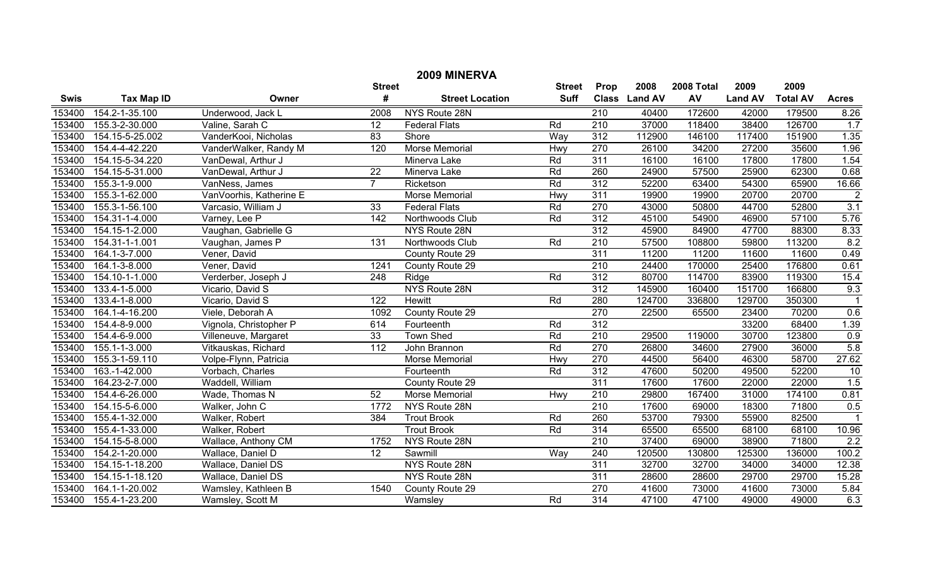| 2009 MINERVA |                       |                         |                   |                        |               |                  |               |            |                |                 |                |
|--------------|-----------------------|-------------------------|-------------------|------------------------|---------------|------------------|---------------|------------|----------------|-----------------|----------------|
|              |                       |                         | <b>Street</b>     |                        | <b>Street</b> | <b>Prop</b>      | 2008          | 2008 Total | 2009           | 2009            |                |
| <b>Swis</b>  | <b>Tax Map ID</b>     | Owner                   | #                 | <b>Street Location</b> | <b>Suff</b>   |                  | Class Land AV | AV         | <b>Land AV</b> | <b>Total AV</b> | <b>Acres</b>   |
| 153400       | 154.2-1-35.100        | Underwood, Jack L       | 2008              | NYS Route 28N          |               | $\overline{210}$ | 40400         | 172600     | 42000          | 179500          | 8.26           |
| 153400       | 155.3-2-30.000        | Valine, Sarah C         | $\overline{12}$   | <b>Federal Flats</b>   | Rd            | $\overline{210}$ | 37000         | 118400     | 38400          | 126700          | 1.7            |
| 153400       | 154.15-5-25.002       | VanderKooi, Nicholas    | 83                | Shore                  | Way           | 312              | 112900        | 146100     | 117400         | 151900          | 1.35           |
| 153400       | 154.4-4-42.220        | VanderWalker, Randy M   | 120               | <b>Morse Memorial</b>  | Hwy           | 270              | 26100         | 34200      | 27200          | 35600           | 1.96           |
| 153400       | 154.15-5-34.220       | VanDewal, Arthur J      |                   | Minerva Lake           | Rd            | 311              | 16100         | 16100      | 17800          | 17800           | 1.54           |
| 153400       | 154.15-5-31.000       | VanDewal, Arthur J      | $\overline{22}$   | Minerva Lake           | Rd            | 260              | 24900         | 57500      | 25900          | 62300           | 0.68           |
| 153400       | 155.3-1-9.000         | VanNess, James          | $\overline{7}$    | Ricketson              | Rd            | 312              | 52200         | 63400      | 54300          | 65900           | 16.66          |
| 153400       | 155.3-1-62.000        | VanVoorhis, Katherine E |                   | <b>Morse Memorial</b>  | Hwy           | 311              | 19900         | 19900      | 20700          | 20700           | $\overline{2}$ |
| 153400       | 155.3-1-56.100        | Varcasio, William J     | $\overline{33}$   | <b>Federal Flats</b>   | Rd            | 270              | 43000         | 50800      | 44700          | 52800           | 3.1            |
| 153400       | 154.31-1-4.000        | Varney, Lee P           | 142               | Northwoods Club        | Rd            | 312              | 45100         | 54900      | 46900          | 57100           | 5.76           |
| 153400       | 154.15-1-2.000        | Vaughan, Gabrielle G    |                   | NYS Route 28N          |               | 312              | 45900         | 84900      | 47700          | 88300           | 8.33           |
| 153400       | 154.31-1-1.001        | Vaughan, James P        | $\overline{131}$  | Northwoods Club        | Rd            | $\overline{210}$ | 57500         | 108800     | 59800          | 113200          | 8.2            |
| 153400       | 164.1-3-7.000         | Vener, David            |                   | County Route 29        |               | 311              | 11200         | 11200      | 11600          | 11600           | 0.49           |
| 153400       | 164.1-3-8.000         | Vener, David            | 1241              | County Route 29        |               | 210              | 24400         | 170000     | 25400          | 176800          | 0.61           |
| 153400       | 154.10-1-1.000        | Verderber, Joseph J     | 248               | Ridge                  | Rd            | 312              | 80700         | 114700     | 83900          | 119300          | 15.4           |
| 153400       | 133.4-1-5.000         | Vicario, David S        |                   | NYS Route 28N          |               | 312              | 145900        | 160400     | 151700         | 166800          | 9.3            |
| 153400       | 133.4-1-8.000         | Vicario, David S        | 122               | Hewitt                 | Rd            | 280              | 124700        | 336800     | 129700         | 350300          |                |
| 153400       | 164.1-4-16.200        | Viele, Deborah A        | 1092              | County Route 29        |               | 270              | 22500         | 65500      | 23400          | 70200           | 0.6            |
| 153400       | 154.4-8-9.000         | Vignola, Christopher P  | 614               | Fourteenth             | Rd            | $\overline{312}$ |               |            | 33200          | 68400           | 1.39           |
| 153400       | 154.4-6-9.000         | Villeneuve, Margaret    | 33                | <b>Town Shed</b>       | Rd            | $\overline{210}$ | 29500         | 119000     | 30700          | 123800          | 0.9            |
| 153400       | 155.1-1-3.000         | Vitkauskas, Richard     | $\frac{112}{112}$ | John Brannon           | Rd            | 270              | 26800         | 34600      | 27900          | 36000           | 5.8            |
| 153400       | 155.3-1-59.110        | Volpe-Flynn, Patricia   |                   | Morse Memorial         | Hwy           | 270              | 44500         | 56400      | 46300          | 58700           | 27.62          |
| 153400       | 163.-1-42.000         | Vorbach, Charles        |                   | Fourteenth             | Rd            | $\overline{312}$ | 47600         | 50200      | 49500          | 52200           | 10             |
| 153400       | 164.23-2-7.000        | Waddell, William        |                   | County Route 29        |               | 311              | 17600         | 17600      | 22000          | 22000           | 1.5            |
| 153400       | 154.4-6-26.000        | Wade, Thomas N          | 52                | Morse Memorial         | Hwy           | 210              | 29800         | 167400     | 31000          | 174100          | 0.81           |
| 153400       | 154.15-5-6.000        | Walker, John C          | 1772              | NYS Route 28N          |               | $\overline{210}$ | 17600         | 69000      | 18300          | 71800           | 0.5            |
| 153400       | 155.4-1-32.000        | Walker, Robert          | 384               | <b>Trout Brook</b>     | Rd            | 260              | 53700         | 79300      | 55900          | 82500           |                |
| 153400       | 155.4-1-33.000        | Walker, Robert          |                   | <b>Trout Brook</b>     | Rd            | 314              | 65500         | 65500      | 68100          | 68100           | 10.96          |
| 153400       | 154.15-5-8.000        | Wallace, Anthony CM     | 1752              | NYS Route 28N          |               | $\overline{210}$ | 37400         | 69000      | 38900          | 71800           | 2.2            |
| 153400       | 154.2-1-20.000        | Wallace, Daniel D       | $\overline{12}$   | Sawmill                | Way           | 240              | 120500        | 130800     | 125300         | 136000          | 100.2          |
| 153400       | 154.15-1-18.200       | Wallace, Daniel DS      |                   | NYS Route 28N          |               | 311              | 32700         | 32700      | 34000          | 34000           | 12.38          |
| 153400       | 154.15-1-18.120       | Wallace, Daniel DS      |                   | NYS Route 28N          |               | 311              | 28600         | 28600      | 29700          | 29700           | 15.28          |
| 153400       | 164.1-1-20.002        | Wamsley, Kathleen B     | 1540              | County Route 29        |               | 270              | 41600         | 73000      | 41600          | 73000           | 5.84           |
|              | 153400 155.4-1-23.200 | Wamsley, Scott M        |                   | Wamsley                | Rd            | $\overline{314}$ | 47100         | 47100      | 49000          | 49000           | 6.3            |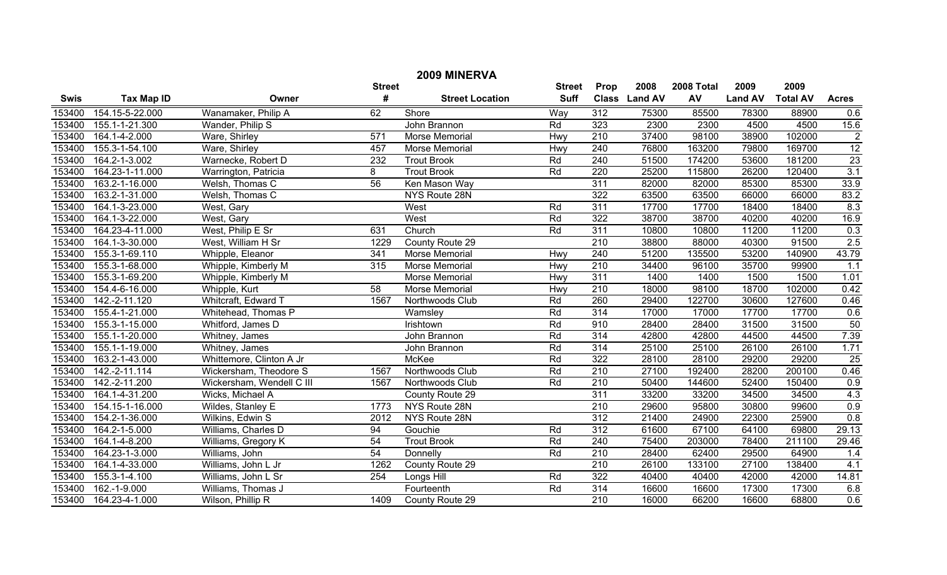| 2009 MINERVA |                    |                           |                  |                        |             |                  |               |            |                |                 |                |
|--------------|--------------------|---------------------------|------------------|------------------------|-------------|------------------|---------------|------------|----------------|-----------------|----------------|
|              | <b>Street</b>      |                           |                  |                        |             | Prop             | 2008          | 2008 Total | 2009           | 2009            |                |
| <b>Swis</b>  | <b>Tax Map ID</b>  | Owner                     | #                | <b>Street Location</b> | <b>Suff</b> |                  | Class Land AV | AV         | <b>Land AV</b> | <b>Total AV</b> | <b>Acres</b>   |
| 153400       | 154.15-5-22.000    | Wanamaker, Philip A       | 62               | Shore                  | Way         | 312              | 75300         | 85500      | 78300          | 88900           | 0.6            |
| 153400       | 155.1-1-21.300     | Wander, Philip S          |                  | John Brannon           | Rd          | 323              | 2300          | 2300       | 4500           | 4500            | 15.6           |
| 153400       | 164.1-4-2.000      | Ware, Shirley             | 571              | Morse Memorial         | Hwy         | 210              | 37400         | 98100      | 38900          | 102000          | $\overline{2}$ |
| 153400       | 155.3-1-54.100     | Ware, Shirley             | 457              | Morse Memorial         | Hwy         | 240              | 76800         | 163200     | 79800          | 169700          | 12             |
| 153400       | 164.2-1-3.002      | Warnecke, Robert D        | 232              | <b>Trout Brook</b>     | Rd          | 240              | 51500         | 174200     | 53600          | 181200          | 23             |
| 153400       | 164.23-1-11.000    | Warrington, Patricia      | $\overline{8}$   | <b>Trout Brook</b>     | Rd          | 220              | 25200         | 115800     | 26200          | 120400          | 3.1            |
| 153400       | 163.2-1-16.000     | Welsh, Thomas C           | 56               | Ken Mason Way          |             | 311              | 82000         | 82000      | 85300          | 85300           | 33.9           |
| 153400       | 163.2-1-31.000     | Welsh, Thomas C           |                  | NYS Route 28N          |             | 322              | 63500         | 63500      | 66000          | 66000           | 83.2           |
| 153400       | 164.1-3-23.000     | West, Gary                |                  | West                   | Rd          | 311              | 17700         | 17700      | 18400          | 18400           | 8.3            |
| 153400       | 164.1-3-22.000     | West, Gary                |                  | West                   | Rd          | 322              | 38700         | 38700      | 40200          | 40200           | 16.9           |
| 153400       | 164.23-4-11.000    | West, Philip E Sr         | 631              | Church                 | Rd          | 311              | 10800         | 10800      | 11200          | 11200           | 0.3            |
| 153400       | 164.1-3-30.000     | West, William H Sr        | 1229             | County Route 29        |             | $\overline{210}$ | 38800         | 88000      | 40300          | 91500           | 2.5            |
| 153400       | 155.3-1-69.110     | Whipple, Eleanor          | $\overline{341}$ | Morse Memorial         | Hwy         | 240              | 51200         | 135500     | 53200          | 140900          | 43.79          |
| 153400       | 155.3-1-68.000     | Whipple, Kimberly M       | 315              | Morse Memorial         | Hwy         | 210              | 34400         | 96100      | 35700          | 99900           | 1.1            |
| 153400       | 155.3-1-69.200     | Whipple, Kimberly M       |                  | Morse Memorial         | Hwy         | 311              | 1400          | 1400       | 1500           | 1500            | 1.01           |
| 153400       | 154.4-6-16.000     | Whipple, Kurt             | $\overline{58}$  | Morse Memorial         | Hwy         | 210              | 18000         | 98100      | 18700          | 102000          | 0.42           |
| 153400       | 142.-2-11.120      | Whitcraft, Edward T       | 1567             | Northwoods Club        | Rd          | 260              | 29400         | 122700     | 30600          | 127600          | 0.46           |
| 153400       | 155.4-1-21.000     | Whitehead, Thomas P       |                  | Wamsley                | Rd          | 314              | 17000         | 17000      | 17700          | 17700           | 0.6            |
| 153400       | 155.3-1-15.000     | Whitford, James D         |                  | Irishtown              | Rd          | 910              | 28400         | 28400      | 31500          | 31500           | 50             |
| 153400       | 155.1-1-20.000     | Whitney, James            |                  | John Brannon           | Rd          | 314              | 42800         | 42800      | 44500          | 44500           | 7.39           |
| 153400       | 155.1-1-19.000     | Whitney, James            |                  | John Brannon           | Rd          | 314              | 25100         | 25100      | 26100          | 26100           | 1.71           |
| 153400       | 163.2-1-43.000     | Whittemore, Clinton A Jr  |                  | McKee                  | Rd          | 322              | 28100         | 28100      | 29200          | 29200           | 25             |
| 153400       | 142.-2-11.114      | Wickersham, Theodore S    | 1567             | Northwoods Club        | Rd          | $\overline{210}$ | 27100         | 192400     | 28200          | 200100          | 0.46           |
| 153400       | 142.-2-11.200      | Wickersham, Wendell C III | 1567             | Northwoods Club        | Rd          | 210              | 50400         | 144600     | 52400          | 150400          | 0.9            |
| 153400       | 164.1-4-31.200     | Wicks, Michael A          |                  | County Route 29        |             | 311              | 33200         | 33200      | 34500          | 34500           | 4.3            |
| 153400       | 154.15-1-16.000    | Wildes, Stanley E         | 1773             | NYS Route 28N          |             | 210              | 29600         | 95800      | 30800          | 99600           | 0.9            |
| 153400       | 154.2-1-36.000     | Wilkins, Edwin S          | 2012             | NYS Route 28N          |             | $\overline{312}$ | 21400         | 24900      | 22300          | 25900           | 0.8            |
| 153400       | 164.2-1-5.000      | Williams, Charles D       | 94               | Gouchie                | Rd          | 312              | 61600         | 67100      | 64100          | 69800           | 29.13          |
| 153400       | 164.1-4-8.200      | Williams, Gregory K       | 54               | <b>Trout Brook</b>     | Rd          | 240              | 75400         | 203000     | 78400          | 211100          | 29.46          |
| 153400       | 164.23-1-3.000     | Williams, John            | 54               | Donnelly               | Rd          | 210              | 28400         | 62400      | 29500          | 64900           | 1.4            |
| 153400       | 164.1-4-33.000     | Williams, John L Jr       | 1262             | County Route 29        |             | $\overline{210}$ | 26100         | 133100     | 27100          | 138400          | 4.1            |
| 153400       | 155.3-1-4.100      | Williams, John L Sr       | 254              | Longs Hill             | Rd          | 322              | 40400         | 40400      | 42000          | 42000           | 14.81          |
| 153400       | $162. - 1 - 9.000$ | Williams, Thomas J        |                  | Fourteenth             | Rd          | 314              | 16600         | 16600      | 17300          | 17300           | 6.8            |
| 153400       | 164.23-4-1.000     | Wilson, Phillip R         | 1409             | County Route 29        |             | $\overline{210}$ | 16000         | 66200      | 16600          | 68800           | 0.6            |